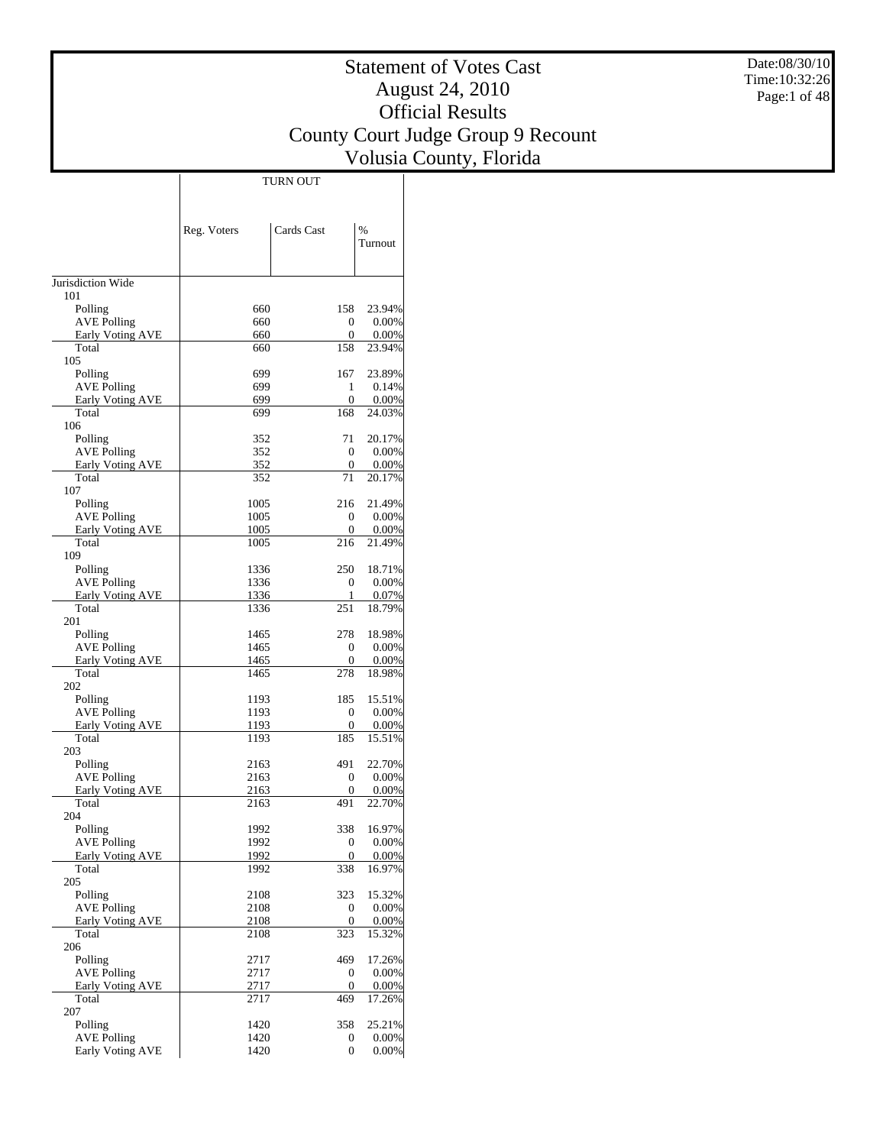Date:08/30/10 Time:10:32:26 Page:1 of 48

## Statement of Votes Cast August 24, 2010 Official Results County Court Judge Group 9 Recount Volusia County, Florida

 $\top$ 

|                                  | Reg. Voters  | Cards Cast              | $\frac{0}{0}$<br>Turnout |
|----------------------------------|--------------|-------------------------|--------------------------|
|                                  |              |                         |                          |
| Jurisdiction Wide                |              |                         |                          |
| 101                              |              |                         |                          |
| Polling                          | 660          | 158                     | 23.94%                   |
| AVE Polling                      | 660          | 0                       | $0.00\%$                 |
| <b>Early Voting AVE</b><br>Total | 660<br>660   | 0<br>158                | 0.00%<br>23.94%          |
| 105                              |              |                         |                          |
| Polling                          | 699          | 167                     | 23.89%                   |
| <b>AVE Polling</b>               | 699          | 1                       | 0.14%                    |
| <b>Early Voting AVE</b>          | 699          | 0                       | $0.00\%$                 |
| Total<br>106                     | 699          | 168                     | 24.03%                   |
| Polling                          | 352          | 71                      | 20.17%                   |
| <b>AVE Polling</b>               | 352          | 0                       | $0.00\%$                 |
| <b>Early Voting AVE</b>          | 352          | 0                       | 0.00%                    |
| Total                            | 352          | 71                      | 20.17%                   |
| 107                              |              |                         |                          |
| Polling<br><b>AVE Polling</b>    | 1005<br>1005 | 216<br>0                | 21.49%<br>$0.00\%$       |
| Early Voting AVE                 | 1005         | 0                       | $0.00\%$                 |
| Total                            | 1005         | 216                     | 21.49%                   |
| 109                              |              |                         |                          |
| Polling                          | 1336         | 250                     | 18.71%                   |
| AVE Polling                      | 1336         | 0<br>1                  | $0.00\%$                 |
| <b>Early Voting AVE</b><br>Total | 1336<br>1336 | 251                     | 0.07%<br>18.79%          |
| 201                              |              |                         |                          |
| Polling                          | 1465         | 278                     | 18.98%                   |
| <b>AVE Polling</b>               | 1465         | $\theta$                | $0.00\%$                 |
| <b>Early Voting AVE</b>          | 1465         | 0                       | $0.00\%$                 |
| Total<br>202                     | 1465         | 278                     | 18.98%                   |
| Polling                          | 1193         | 185                     | 15.51%                   |
| <b>AVE Polling</b>               | 1193         | 0                       | $0.00\%$                 |
| Early Voting AVE                 | 1193         | 0                       | 0.00%                    |
| Total                            | 1193         | 185                     | 15.51%                   |
| 203<br>Polling                   | 2163         | 491                     | 22.70%                   |
| AVE Polling                      | 2163         | 0                       | $0.00\%$                 |
| Early Voting AVE                 | 2163         | 0                       | $0.00\%$                 |
| Total                            | 2163         | 491                     | 22.70%                   |
| 204                              |              |                         |                          |
| Polling<br><b>AVE Polling</b>    | 1992         | 338<br>0                | 16.97%                   |
| <b>Early Voting AVE</b>          | 1992<br>1992 | 0                       | $0.00\%$<br>$0.00\%$     |
| Total                            | 1992         | 338                     | 16.97%                   |
| 205                              |              |                         |                          |
| Polling                          | 2108         | 323                     | 15.32%                   |
| <b>AVE Polling</b>               | 2108         | $\boldsymbol{0}$        | $0.00\%$                 |
| <b>Early Voting AVE</b><br>Total | 2108<br>2108 | $\boldsymbol{0}$<br>323 | $0.00\%$<br>15.32%       |
| 206                              |              |                         |                          |
| Polling                          | 2717         | 469                     | 17.26%                   |
| <b>AVE Polling</b>               | 2717         | 0                       | $0.00\%$                 |
| Early Voting AVE                 | 2717         | 0                       | 0.00%                    |
| Total<br>207                     | 2717         | 469                     | 17.26%                   |
| Polling                          | 1420         | 358                     | 25.21%                   |
| <b>AVE Polling</b>               | 1420         | 0                       | $0.00\%$                 |
| <b>Early Voting AVE</b>          | 1420         | $\overline{0}$          | $0.00\%$                 |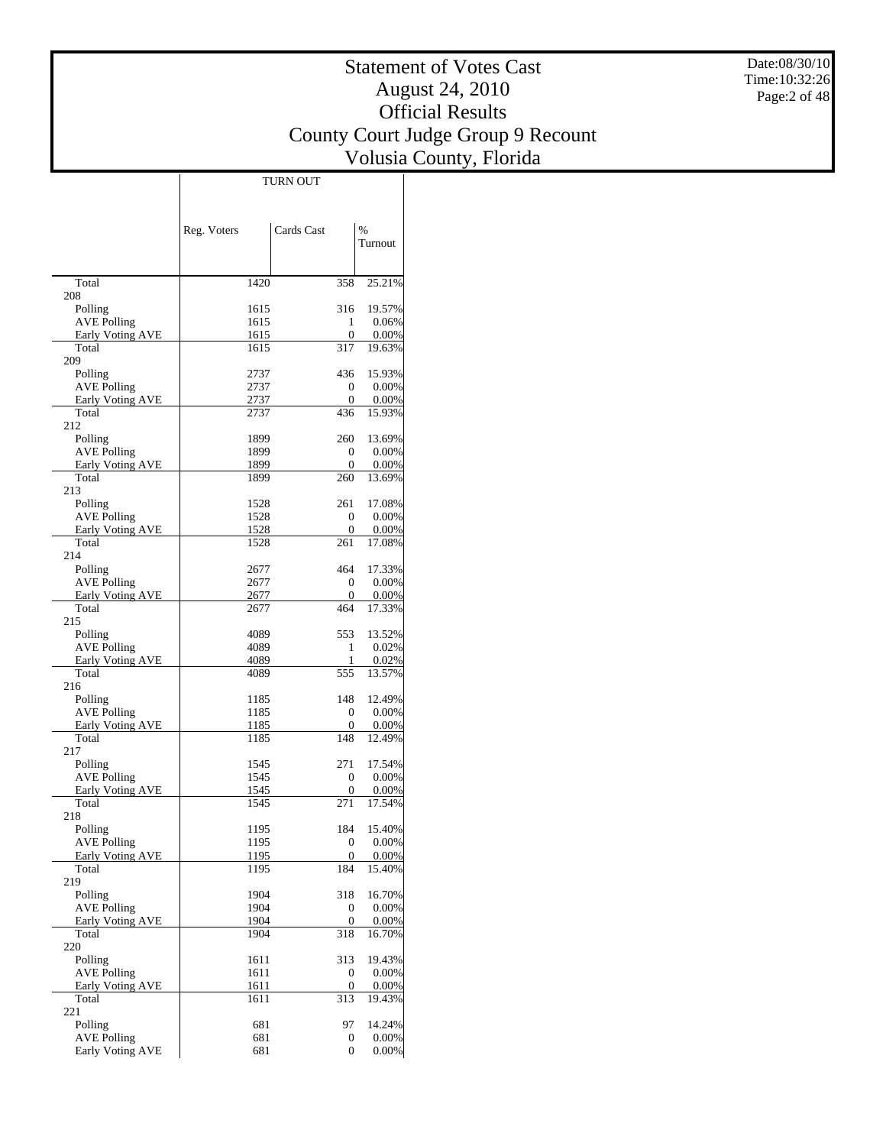Date:08/30/10 Time:10:32:26 Page:2 of 48

## Statement of Votes Cast August 24, 2010 Official Results County Court Judge Group 9 Recount Volusia County, Florida

 $\overline{\phantom{a}}$ 

|                                               | Reg. Voters  | Cards Cast            | $\%$                 |
|-----------------------------------------------|--------------|-----------------------|----------------------|
|                                               |              |                       | Turnout              |
|                                               |              |                       |                      |
| Total                                         | 1420         | 358                   | 25.21%               |
| 208                                           |              |                       |                      |
| Polling<br><b>AVE Polling</b>                 | 1615         | 316                   | 19.57%               |
| Early Voting AVE                              | 1615<br>1615 | 1<br>0                | 0.06%<br>0.00%       |
| Total                                         | 1615         | 317                   | 19.63%               |
| 209                                           |              |                       |                      |
| Polling                                       | 2737         | 436                   | 15.93%               |
| <b>AVE Polling</b><br><b>Early Voting AVE</b> | 2737<br>2737 | 0<br>0                | 0.00%<br>$0.00\%$    |
| Total                                         | 2737         | 436                   | 15.93%               |
| 212                                           |              |                       |                      |
| Polling                                       | 1899         | 260                   | 13.69%               |
| <b>AVE Polling</b>                            | 1899         | 0                     | $0.00\%$             |
| Early Voting AVE<br>Total                     | 1899<br>1899 | 0<br>260              | $0.00\%$<br>13.69%   |
| 213                                           |              |                       |                      |
| Polling                                       | 1528         | 261                   | 17.08%               |
| <b>AVE Polling</b>                            | 1528         | 0                     | 0.00%                |
| Early Voting AVE<br>Total                     | 1528         | 0<br>261              | 0.00%                |
| 214                                           | 1528         |                       | 17.08%               |
| Polling                                       | 2677         | 464                   | 17.33%               |
| <b>AVE Polling</b>                            | 2677         | 0                     | 0.00%                |
| Early Voting AVE                              | 2677         | 0                     | 0.00%                |
| Total                                         | 2677         | 464                   | 17.33%               |
| 215<br>Polling                                | 4089         | 553                   | 13.52%               |
| <b>AVE Polling</b>                            | 4089         | 1                     | 0.02%                |
| <b>Early Voting AVE</b>                       | 4089         | 1                     | $0.02\%$             |
| Total                                         | 4089         | 555                   | 13.57%               |
| 216                                           |              | 148                   |                      |
| Polling<br><b>AVE Polling</b>                 | 1185<br>1185 | 0                     | 12.49%<br>$0.00\%$   |
| Early Voting AVE                              | 1185         | 0                     | 0.00%                |
| Total                                         | 1185         | 148                   | 12.49%               |
| 217                                           |              |                       |                      |
| Polling<br><b>AVE Polling</b>                 | 1545         | 271<br>0              | 17.54%<br>0.00%      |
| Early Voting AVE                              | 1545<br>1545 | 0                     | 0.00%                |
| Total                                         | 1545         | 271                   | 17.54%               |
| 218                                           |              |                       |                      |
| Polling                                       | 1195         | 184                   | 15.40%               |
| <b>AVE Polling</b><br>Early Voting AVE        | 1195<br>1195 | $\boldsymbol{0}$<br>0 | $0.00\%$<br>$0.00\%$ |
| Total                                         | 1195         | 184                   | 15.40%               |
| 219                                           |              |                       |                      |
| Polling                                       | 1904         | 318                   | 16.70%               |
| <b>AVE Polling</b>                            | 1904         | 0                     | $0.00\%$             |
| Early Voting AVE<br>Total                     | 1904<br>1904 | 0<br>318              | $0.00\%$<br>16.70%   |
| 220                                           |              |                       |                      |
| Polling                                       | 1611         | 313                   | 19.43%               |
| <b>AVE Polling</b>                            | 1611         | 0                     | $0.00\%$             |
| Early Voting AVE                              | 1611         | $\mathbf{0}$          | $0.00\%$             |
| Total<br>221                                  | 1611         | 313                   | 19.43%               |
| Polling                                       | 681          | 97                    | 14.24%               |
| <b>AVE Polling</b>                            | 681          | 0                     | $0.00\%$             |
| Early Voting AVE                              | 681          | $\overline{0}$        | $0.00\%$             |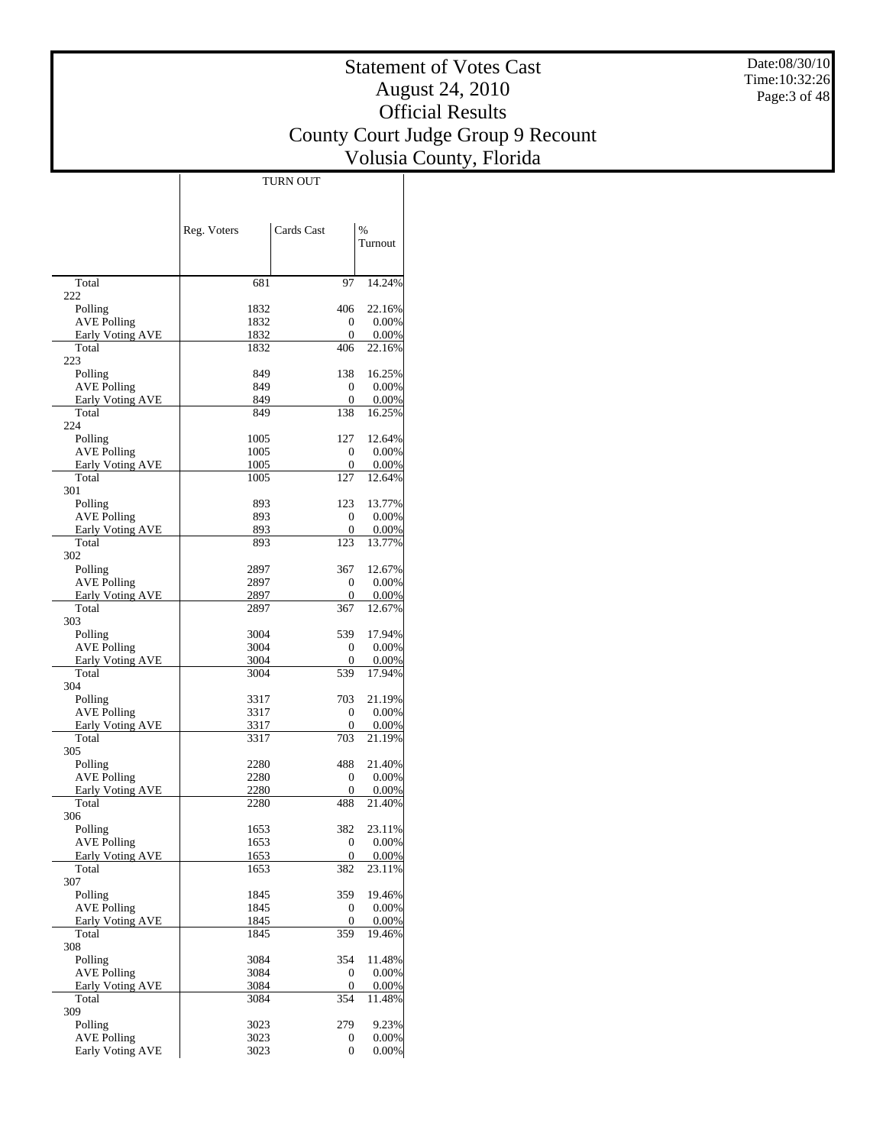Date:08/30/10 Time:10:32:26 Page:3 of 48

## Statement of Votes Cast August 24, 2010 Official Results County Court Judge Group 9 Recount Volusia County, Florida

 $\overline{\phantom{a}}$ 

|                               | Reg. Voters  | Cards Cast       | %                  |
|-------------------------------|--------------|------------------|--------------------|
|                               |              |                  | Turnout            |
|                               |              |                  |                    |
| Total                         | 681          | 97               | 14.24%             |
| 222                           | 1832         | 406              | 22.16%             |
| Polling<br><b>AVE Polling</b> | 1832         | 0                | 0.00%              |
| Early Voting AVE              | 1832         | 0                | 0.00%              |
| Total                         | 1832         | 406              | 22.16%             |
| 223                           |              |                  |                    |
| Polling<br><b>AVE Polling</b> | 849<br>849   | 138<br>0         | 16.25%<br>0.00%    |
| Early Voting AVE              | 849          | 0                | 0.00%              |
| Total                         | 849          | 138              | 16.25%             |
| 224                           |              |                  |                    |
| Polling                       | 1005         | 127              | 12.64%             |
| <b>AVE Polling</b>            | 1005         | 0                | 0.00%              |
| Early Voting AVE<br>Total     | 1005<br>1005 | 0<br>127         | 0.00%<br>12.64%    |
| 301                           |              |                  |                    |
| Polling                       | 893          | 123              | 13.77%             |
| <b>AVE Polling</b>            | 893          | $\mathbf{0}$     | 0.00%              |
| <b>Early Voting AVE</b>       | 893          | 0                | 0.00%              |
| Total<br>302                  | 893          | 123              | 13.77%             |
| Polling                       | 2897         | 367              | 12.67%             |
| <b>AVE Polling</b>            | 2897         | 0                | 0.00%              |
| Early Voting AVE              | 2897         | 0                | 0.00%              |
| Total                         | 2897         | 367              | 12.67%             |
| 303                           |              |                  |                    |
| Polling<br><b>AVE Polling</b> | 3004<br>3004 | 539<br>0         | 17.94%<br>0.00%    |
| <b>Early Voting AVE</b>       | 3004         | 0                | 0.00%              |
| Total                         | 3004         | 539              | 17.94%             |
| 304                           |              |                  |                    |
| Polling                       | 3317         | 703              | 21.19%             |
| <b>AVE Polling</b>            | 3317         | 0                | 0.00%              |
| Early Voting AVE<br>Total     | 3317<br>3317 | 0<br>703         | 0.00%<br>21.19%    |
| 305                           |              |                  |                    |
| Polling                       | 2280         | 488              | 21.40%             |
| <b>AVE Polling</b>            | 2280         | 0                | 0.00%              |
| <b>Early Voting AVE</b>       | 2280         | 0                | 0.00%              |
| Total                         | 2280         | 488              | 21.40%             |
| 306<br>Polling                | 1653         | 382              | 23.11%             |
| <b>AVE Polling</b>            | 1653         | $\boldsymbol{0}$ | 0.00%              |
| <b>Early Voting AVE</b>       | 1653         | 0                | $0.00\%$           |
| Total                         | 1653         | 382              | 23.11%             |
| 307                           |              |                  |                    |
| Polling<br><b>AVE Polling</b> | 1845<br>1845 | 359<br>0         | 19.46%<br>$0.00\%$ |
| Early Voting AVE              | 1845         | $\overline{0}$   | $0.00\%$           |
| Total                         | 1845         | 359              | 19.46%             |
| 308                           |              |                  |                    |
| Polling                       | 3084         | 354              | 11.48%             |
| <b>AVE Polling</b>            | 3084         | 0                | $0.00\%$           |
| Early Voting AVE<br>Total     | 3084<br>3084 | 0<br>354         | 0.00%<br>11.48%    |
| 309                           |              |                  |                    |
| Polling                       | 3023         | 279              | 9.23%              |
| <b>AVE Polling</b>            | 3023         | 0                | $0.00\%$           |
| Early Voting AVE              | 3023         | 0                | $0.00\%$           |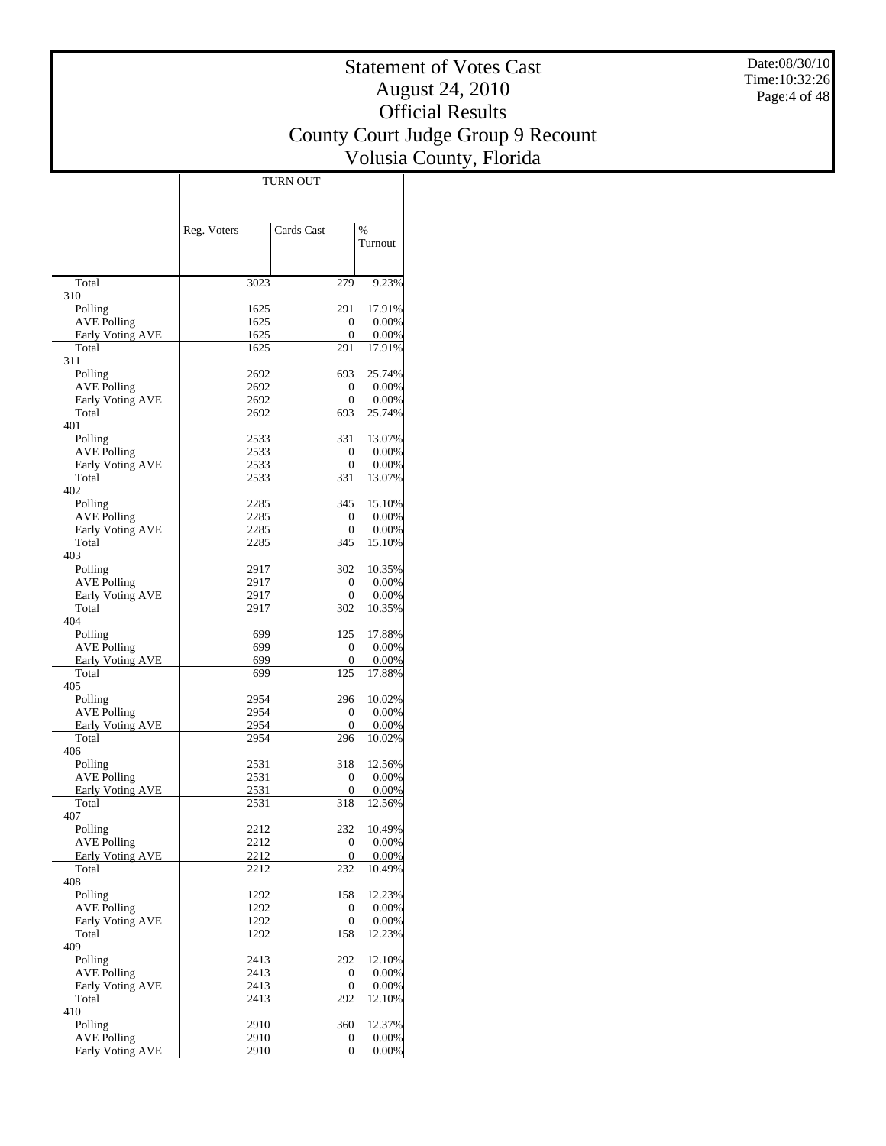Date:08/30/10 Time:10:32:26 Page:4 of 48

## Statement of Votes Cast August 24, 2010 Official Results County Court Judge Group 9 Recount Volusia County, Florida

|                                        | Reg. Voters      | Cards Cast   | $\%$               |
|----------------------------------------|------------------|--------------|--------------------|
|                                        |                  |              | Turnout            |
|                                        |                  |              |                    |
| Total                                  | 3023             | 279          | 9.23%              |
| 310                                    |                  |              |                    |
| Polling                                | 1625             | 291          | 17.91%             |
| <b>AVE Polling</b><br>Early Voting AVE | 1625<br>1625     | 0<br>0       | 0.00%<br>$0.00\%$  |
| Total                                  | 1625             | 291          | 17.91%             |
| 311                                    |                  |              |                    |
| Polling                                | 2692             | 693          | 25.74%             |
| <b>AVE Polling</b>                     | 2692             | 0            | 0.00%              |
| Early Voting AVE<br>Total              | 2692<br>2692     | 0<br>693     | $0.00\%$<br>25.74% |
| 401                                    |                  |              |                    |
| Polling                                | 2533             | 331          | 13.07%             |
| <b>AVE Polling</b>                     | 2533             | 0            | 0.00%              |
| Early Voting AVE                       | 2533             | 0            | 0.00%              |
| Total<br>402                           | 2533             | 331          | 13.07%             |
| Polling                                | 2285             | 345          | 15.10%             |
| <b>AVE Polling</b>                     | 2285             | 0            | 0.00%              |
| Early Voting AVE                       | 2285             | 0            | 0.00%              |
| Total                                  | 2285             | 345          | 15.10%             |
| 403<br>Polling                         | 2917             | 302          | 10.35%             |
| <b>AVE Polling</b>                     | 2917             | 0            | 0.00%              |
| Early Voting AVE                       | 2917             | 0            | 0.00%              |
| Total                                  | 2917             | 302          | 10.35%             |
| 404                                    |                  |              |                    |
| Polling<br><b>AVE Polling</b>          | 699<br>699       | 125<br>0     | 17.88%<br>0.00%    |
| Early Voting AVE                       | 699              | 0            | $0.00\%$           |
| Total                                  | 699              | 125          | 17.88%             |
| 405                                    |                  |              |                    |
| Polling                                | 2954             | 296          | 10.02%             |
| <b>AVE Polling</b><br>Early Voting AVE | 2954<br>2954     | 0<br>0       | 0.00%<br>0.00%     |
| Total                                  | 2954             | 296          | 10.02%             |
| 406                                    |                  |              |                    |
| Polling                                | 2531             | 318          | 12.56%             |
| <b>AVE Polling</b>                     | 2531             | 0            | 0.00%              |
| Early Voting AVE<br>Total              | 2531<br>2531     | 0<br>318     | 0.00%<br>12.56%    |
| 407                                    |                  |              |                    |
| Polling                                | 2212             | 232          | 10.49%             |
| AVE Polling                            | 2212             | 0            | 0.00%              |
| Early Voting AVE                       | 2212             | 0            | 0.00%              |
| Total                                  | 2212             | 232          | 10.49%             |
| 408<br>Polling                         | 1292             | 158          | 12.23%             |
| <b>AVE Polling</b>                     | 1292             | $\mathbf{0}$ | 0.00%              |
| Early Voting AVE                       | 1292             | 0            | 0.00%              |
| Total                                  | <sup>1</sup> 292 | 158          | 12.23%             |
| 409                                    |                  |              |                    |
| Polling<br><b>AVE Polling</b>          | 2413<br>2413     | 292<br>0     | 12.10%<br>0.00%    |
| Early Voting AVE                       | 2413             | 0            | 0.00%              |
| Total                                  | 2413             | 292          | 12.10%             |
| 410                                    |                  |              |                    |
| Polling                                | 2910             | 360          | 12.37%             |
| <b>AVE Polling</b><br>Early Voting AVE | 2910<br>2910     | 0<br>0       | 0.00%<br>0.00%     |
|                                        |                  |              |                    |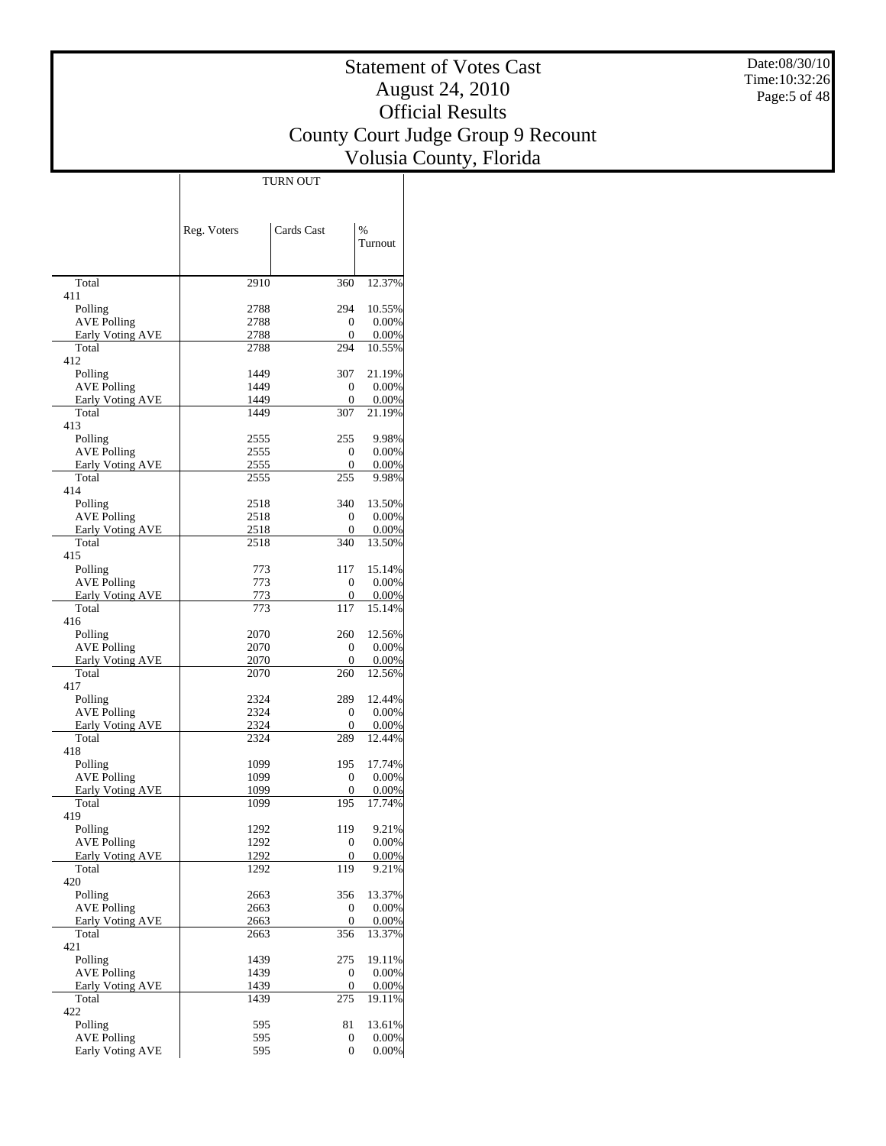Date:08/30/10 Time:10:32:26 Page:5 of 48

## Statement of Votes Cast August 24, 2010 Official Results County Court Judge Group 9 Recount Volusia County, Florida

 $\overline{\phantom{a}}$ 

|                                        | Reg. Voters  | Cards Cast       | $\%$               |
|----------------------------------------|--------------|------------------|--------------------|
|                                        |              |                  | Turnout            |
|                                        |              |                  |                    |
| Total                                  | 2910         | 360              | 12.37%             |
| 411                                    |              |                  |                    |
| Polling<br><b>AVE Polling</b>          | 2788<br>2788 | 294<br>0         | 10.55%<br>0.00%    |
| Early Voting AVE                       | 2788         | 0                | 0.00%              |
| Total                                  | 2788         | 294              | 10.55%             |
| 412                                    |              |                  |                    |
| Polling                                | 1449         | 307              | 21.19%             |
| <b>AVE Polling</b><br>Early Voting AVE | 1449<br>1449 | 0<br>0           | 0.00%<br>0.00%     |
| Total                                  | 1449         | 307              | 21.19%             |
| 413                                    |              |                  |                    |
| Polling                                | 2555         | 255              | 9.98%              |
| AVE Polling                            | 2555         | 0                | 0.00%              |
| Early Voting AVE<br>Total              | 2555<br>2555 | 0<br>255         | 0.00%<br>9.98%     |
| 414                                    |              |                  |                    |
| Polling                                | 2518         | 340              | 13.50%             |
| <b>AVE Polling</b>                     | 2518         | 0                | 0.00%              |
| Early Voting AVE                       | 2518         | 0                | 0.00%              |
| Total<br>415                           | 2518         | 340              | 13.50%             |
| Polling                                | 773          | 117              | 15.14%             |
| <b>AVE Polling</b>                     | 773          | 0                | 0.00%              |
| Early Voting AVE                       | 773          | 0                | 0.00%              |
| Total                                  | 773          | 117              | 15.14%             |
| 416                                    |              |                  |                    |
| Polling<br><b>AVE Polling</b>          | 2070<br>2070 | 260<br>0         | 12.56%<br>0.00%    |
| Early Voting AVE                       | 2070         | 0                | 0.00%              |
| Total                                  | 2070         | 260              | 12.56%             |
| 417                                    |              |                  |                    |
| Polling                                | 2324         | 289              | 12.44%             |
| AVE Polling<br>Early Voting AVE        | 2324<br>2324 | 0<br>0           | 0.00%<br>0.00%     |
| Total                                  | 2324         | 289              | 12.44%             |
| 418                                    |              |                  |                    |
| Polling                                | 1099         | 195              | 17.74%             |
| AVE Polling                            | 1099         | 0                | 0.00%              |
| Early Voting AVE<br>Total              | 1099<br>1099 | 0<br>195         | 0.00%<br>17.74%    |
| 419                                    |              |                  |                    |
| Polling                                | 1292         | 119              | 9.21%              |
| <b>AVE Polling</b>                     | 1292         | 0                | 0.00%              |
| Early Voting AVE                       | 1292         | 0                | 0.00%              |
| Total<br>420                           | 1292         | 119              | 9.21%              |
| Polling                                | 2663         | 356              | 13.37%             |
| <b>AVE Polling</b>                     | 2663         | 0                | 0.00%              |
| Early Voting AVE                       | 2663         | 0                | 0.00%              |
| Total                                  | 2663         | 356              | 13.37%             |
| 421<br>Polling                         | 1439         | 275              | 19.11%             |
| <b>AVE Polling</b>                     | 1439         | 0                | 0.00%              |
| Early Voting AVE                       | 1439         | $\boldsymbol{0}$ | 0.00%              |
| Total                                  | 1439         | $\overline{275}$ | 19.11%             |
| 422                                    |              |                  |                    |
| Polling<br><b>AVE Polling</b>          | 595<br>595   | 81<br>0          | 13.61%<br>$0.00\%$ |
| Early Voting AVE                       | 595          | $\overline{0}$   | $0.00\%$           |
|                                        |              |                  |                    |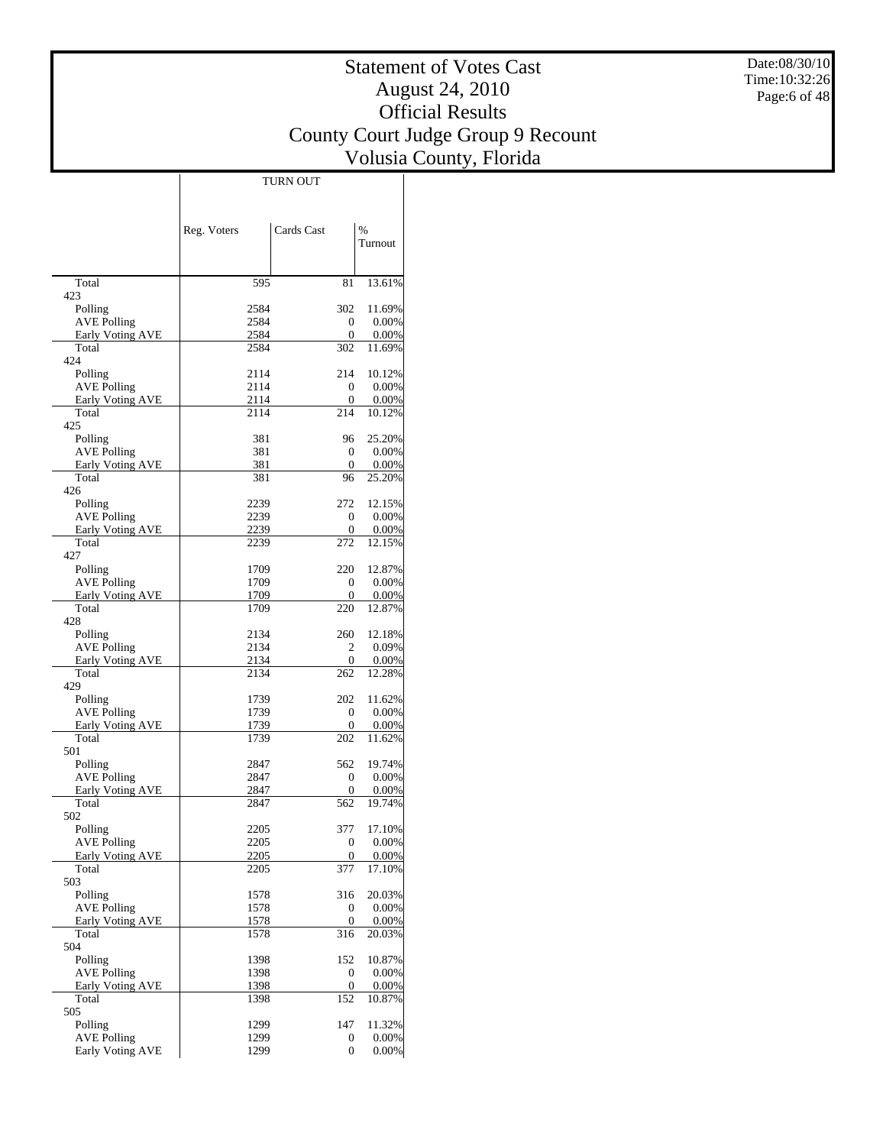Date:08/30/10 Time:10:32:26 Page:6 of 48

## Statement of Votes Cast August 24, 2010 Official Results County Court Judge Group 9 Recount Volusia County, Florida

 $\overline{\phantom{a}}$ 

|                                        | Reg. Voters  | Cards Cast            | $\%$               |
|----------------------------------------|--------------|-----------------------|--------------------|
|                                        |              |                       | Turnout            |
|                                        |              |                       |                    |
| Total                                  | 595          | 81                    | 13.61%             |
| 423                                    |              |                       |                    |
| Polling                                | 2584<br>2584 | 302<br>$\mathbf{0}$   | 11.69%<br>0.00%    |
| <b>AVE Polling</b><br>Early Voting AVE | 2584         | 0                     | $0.00\%$           |
| Total                                  | 2584         | 302                   | 11.69%             |
| 424                                    |              |                       |                    |
| Polling                                | 2114         | 214                   | 10.12%             |
| <b>AVE Polling</b><br>Early Voting AVE | 2114<br>2114 | 0<br>0                | 0.00%<br>0.00%     |
| Total                                  | 2114         | 214                   | 10.12%             |
| 425                                    |              |                       |                    |
| Polling                                | 381          | 96                    | 25.20%             |
| <b>AVE Polling</b>                     | 381          | $\overline{0}$        | 0.00%              |
| Early Voting AVE<br>Total              | 381<br>381   | 0<br>96               | $0.00\%$<br>25.20% |
| 426                                    |              |                       |                    |
| Polling                                | 2239         | 272                   | 12.15%             |
| <b>AVE Polling</b>                     | 2239         | $\mathbf{0}$          | 0.00%              |
| Early Voting AVE                       | 2239         | 0                     | 0.00%              |
| Total<br>427                           | 2239         | 272                   | 12.15%             |
| Polling                                | 1709         | 220                   | 12.87%             |
| <b>AVE Polling</b>                     | 1709         | $\overline{0}$        | 0.00%              |
| Early Voting AVE                       | 1709         | 0                     | $0.00\%$           |
| Total                                  | 1709         | 220                   | 12.87%             |
| 428<br>Polling                         | 2134         | 260                   | 12.18%             |
| <b>AVE Polling</b>                     | 2134         | 2                     | 0.09%              |
| <b>Early Voting AVE</b>                | 2134         | 0                     | 0.00%              |
| Total                                  | 2134         | 262                   | 12.28%             |
| 429                                    |              |                       |                    |
| Polling<br><b>AVE Polling</b>          | 1739<br>1739 | 202<br>$\overline{0}$ | 11.62%<br>$0.00\%$ |
| Early Voting AVE                       | 1739         | 0                     | $0.00\%$           |
| Total                                  | 1739         | 202                   | 11.62%             |
| 501                                    |              |                       |                    |
| Polling                                | 2847         | 562                   | 19.74%             |
| <b>AVE Polling</b><br>Early Voting AVE | 2847<br>2847 | $\mathbf{0}$<br>0     | 0.00%<br>0.00%     |
| Total                                  | 2847         | 562                   | 19.74%             |
| 502                                    |              |                       |                    |
| Polling                                | 2205         | 377                   | 17.10%             |
| <b>AVE Polling</b>                     | 2205         | $\mathbf{0}$          | 0.00%              |
| Early Voting AVE<br>Total              | 2205<br>2205 | 0<br>377              | 0.00%<br>17.10%    |
| 503                                    |              |                       |                    |
| Polling                                | 1578         | 316                   | 20.03%             |
| <b>AVE Polling</b>                     | 1578         | 0                     | 0.00%              |
| Early Voting AVE                       | 1578         | $\boldsymbol{0}$      | 0.00%              |
| Total<br>504                           | 1578         | 316                   | 20.03%             |
| Polling                                | 1398         | 152                   | 10.87%             |
| <b>AVE Polling</b>                     | 1398         | 0                     | 0.00%              |
| Early Voting AVE                       | 1398         | 0                     | $0.00\%$           |
| Total                                  | 1398         | 152                   | 10.87%             |
| 505<br>Polling                         | 1299         | 147                   | 11.32%             |
| <b>AVE Polling</b>                     | 1299         | 0                     | $0.00\%$           |
| Early Voting AVE                       | 1299         | 0                     | $0.00\%$           |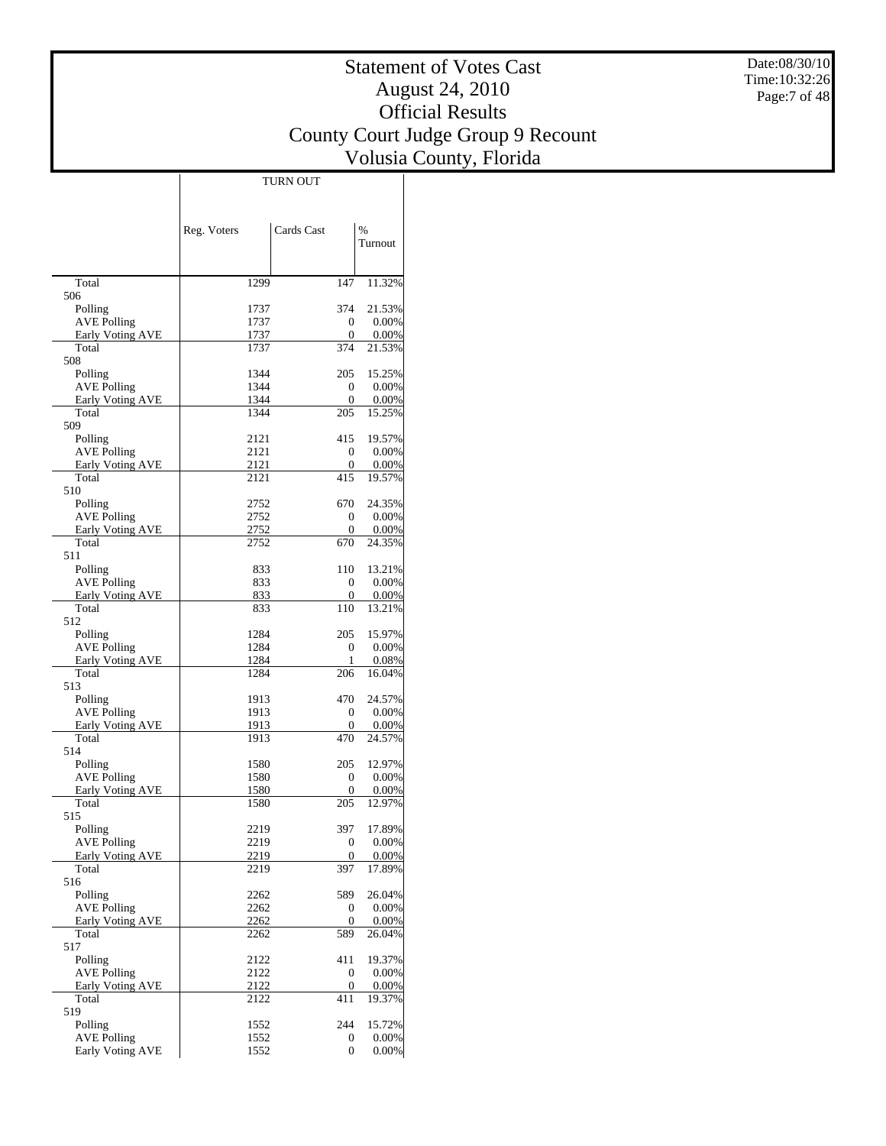Date:08/30/10 Time:10:32:26 Page:7 of 48

## Statement of Votes Cast August 24, 2010 Official Results County Court Judge Group 9 Recount Volusia County, Florida

 $\overline{1}$ 

|                                               | Reg. Voters  | Cards Cast        | $\frac{0}{0}$        |
|-----------------------------------------------|--------------|-------------------|----------------------|
|                                               |              |                   | Turnout              |
|                                               |              |                   |                      |
| Total                                         | 1299         | 147               | 11.32%               |
| 506                                           |              |                   |                      |
| Polling                                       | 1737         | 374               | 21.53%               |
| <b>AVE Polling</b><br><b>Early Voting AVE</b> | 1737<br>1737 | 0<br>0            | 0.00%<br>0.00%       |
| Total                                         | 1737         | 374               | 21.53%               |
| 508                                           |              |                   |                      |
| Polling                                       | 1344         | 205               | 15.25%               |
| <b>AVE Polling</b><br>Early Voting AVE        | 1344<br>1344 | 0<br>0            | 0.00%<br>0.00%       |
| Total                                         | 1344         | 205               | 15.25%               |
| 509                                           |              |                   |                      |
| Polling                                       | 2121         | 415               | 19.57%               |
| <b>AVE Polling</b>                            | 2121         | 0                 | 0.00%                |
| Early Voting AVE<br>Total                     | 2121<br>2121 | 0<br>415          | 0.00%<br>19.57%      |
| 510                                           |              |                   |                      |
| Polling                                       | 2752         | 670               | 24.35%               |
| AVE Polling                                   | 2752         | 0                 | 0.00%                |
| <b>Early Voting AVE</b><br>Total              | 2752         | 0                 | 0.00%                |
| 511                                           | 2752         | 670               | 24.35%               |
| Polling                                       | 833          | 110               | 13.21%               |
| <b>AVE Polling</b>                            | 833          | 0                 | 0.00%                |
| <b>Early Voting AVE</b>                       | 833          | 0                 | 0.00%                |
| Total                                         | 833          | 110               | 13.21%               |
| 512<br>Polling                                | 1284         | 205               | 15.97%               |
| <b>AVE Polling</b>                            | 1284         | 0                 | 0.00%                |
| Early Voting AVE                              | 1284         | 1                 | 0.08%                |
| Total                                         | 1284         | 206               | 16.04%               |
| 513                                           |              | 470               |                      |
| Polling<br>AVE Polling                        | 1913<br>1913 | 0                 | 24.57%<br>0.00%      |
| Early Voting AVE                              | 1913         | 0                 | 0.00%                |
| Total                                         | 1913         | 470               | 24.57%               |
| 514                                           |              |                   |                      |
| Polling                                       | 1580<br>1580 | 205<br>0          | 12.97%<br>0.00%      |
| AVE Polling<br>Early Voting AVE               | 1580         | 0                 | 0.00%                |
| Total                                         | 1580         | 205               | 12.97%               |
| 515                                           |              |                   |                      |
| Polling                                       | 2219         | 397               | 17.89%               |
| <b>AVE Polling</b><br>Early Voting AVE        | 2219<br>2219 | $\mathbf{0}$<br>0 | $0.00\%$<br>$0.00\%$ |
| Total                                         | 2219         | 397               | 17.89%               |
| 516                                           |              |                   |                      |
| Polling                                       | 2262         | 589               | 26.04%               |
| <b>AVE Polling</b>                            | 2262         | 0                 | $0.00\%$             |
| <b>Early Voting AVE</b><br>Total              | 2262<br>2262 | 0<br>589          | $0.00\%$<br>26.04%   |
| 517                                           |              |                   |                      |
| Polling                                       | 2122         | 411               | 19.37%               |
| <b>AVE Polling</b>                            | 2122         | 0                 | $0.00\%$             |
| Early Voting AVE                              | 2122         | 0                 | $0.00\%$             |
| Total<br>519                                  | 2122         | 411               | 19.37%               |
| Polling                                       | 1552         | 244               | 15.72%               |
| <b>AVE Polling</b>                            | 1552         | 0                 | $0.00\%$             |
| Early Voting AVE                              | 1552         | $\overline{0}$    | $0.00\%$             |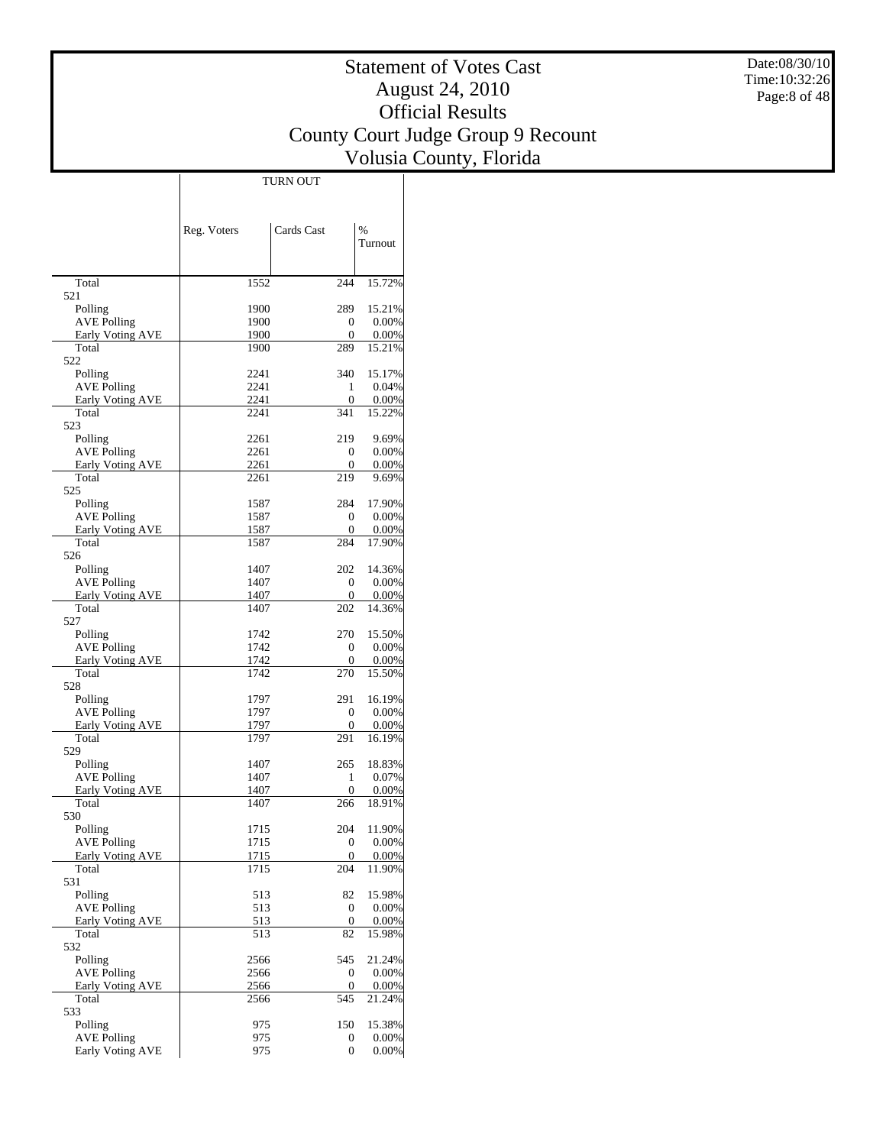Date:08/30/10 Time:10:32:26 Page:8 of 48

## Statement of Votes Cast August 24, 2010 Official Results County Court Judge Group 9 Recount Volusia County, Florida

 $\overline{1}$ 

|                                               | Reg. Voters  | Cards Cast             | $\%$              |
|-----------------------------------------------|--------------|------------------------|-------------------|
|                                               |              |                        | Turnout           |
|                                               |              |                        |                   |
| Total                                         | 1552         | 244                    | 15.72%            |
| 521                                           |              |                        |                   |
| Polling                                       | 1900         | 289                    | 15.21%            |
| <b>AVE Polling</b><br>Early Voting AVE        | 1900<br>1900 | 0<br>0                 | 0.00%<br>$0.00\%$ |
| Total                                         | 1900         | 289                    | 15.21%            |
| 522                                           |              |                        |                   |
| Polling                                       | 2241         | 340                    | 15.17%            |
| <b>AVE Polling</b><br><b>Early Voting AVE</b> | 2241<br>2241 | 1<br>$\overline{0}$    | 0.04%<br>0.00%    |
| Total                                         | 2241         | 341                    | 15.22%            |
| 523                                           |              |                        |                   |
| Polling                                       | 2261         | 219                    | 9.69%             |
| <b>AVE Polling</b>                            | 2261         | 0                      | $0.00\%$          |
| Early Voting AVE<br>Total                     | 2261<br>2261 | 0<br>219               | $0.00\%$<br>9.69% |
| 525                                           |              |                        |                   |
| Polling                                       | 1587         | 284                    | 17.90%            |
| <b>AVE Polling</b>                            | 1587         | 0                      | 0.00%             |
| <b>Early Voting AVE</b>                       | 1587         | $\overline{0}$         | 0.00%             |
| Total<br>526                                  | 1587         | 284                    | 17.90%            |
| Polling                                       | 1407         | 202                    | 14.36%            |
| <b>AVE Polling</b>                            | 1407         | $\overline{0}$         | 0.00%             |
| <b>Early Voting AVE</b>                       | 1407         | 0                      | $0.00\%$          |
| Total                                         | 1407         | 202                    | 14.36%            |
| 527<br>Polling                                | 1742         | 270                    | 15.50%            |
| <b>AVE Polling</b>                            | 1742         | $\overline{0}$         | 0.00%             |
| Early Voting AVE                              | 1742         | 0                      | 0.00%             |
| Total                                         | 1742         | 270                    | 15.50%            |
| 528<br>Polling                                | 1797         | 291                    | 16.19%            |
| <b>AVE Polling</b>                            | 1797         | $\overline{0}$         | 0.00%             |
| Early Voting AVE                              | 1797         | 0                      | $0.00\%$          |
| Total                                         | 1797         | 291                    | 16.19%            |
| 529                                           |              |                        |                   |
| Polling<br><b>AVE Polling</b>                 | 1407<br>1407 | 265<br>1               | 18.83%<br>0.07%   |
| Early Voting AVE                              | 1407         | $\overline{0}$         | 0.00%             |
| Total                                         | 1407         | 266                    | 18.91%            |
| 530                                           |              |                        |                   |
| Polling                                       | 1715         | 204                    | 11.90%            |
| <b>AVE Polling</b><br>Early Voting AVE        | 1715<br>1715 | $\overline{0}$<br>0    | 0.00%<br>$0.00\%$ |
| Total                                         | 1715         | 204                    | 11.90%            |
| 531                                           |              |                        |                   |
| Polling                                       | 513          | 82                     | 15.98%            |
| <b>AVE Polling</b>                            | 513          | $\boldsymbol{0}$       | 0.00%             |
| Early Voting AVE<br>Total                     | 513<br>513   | $\boldsymbol{0}$<br>82 | 0.00%<br>15.98%   |
| 532                                           |              |                        |                   |
| Polling                                       | 2566         | 545                    | 21.24%            |
| <b>AVE Polling</b>                            | 2566         | 0                      | 0.00%             |
| Early Voting AVE                              | 2566         | 0                      | $0.00\%$          |
| Total<br>533                                  | 2566         | 545                    | 21.24%            |
| Polling                                       | 975          | 150                    | 15.38%            |
| <b>AVE Polling</b>                            | 975          | 0                      | $0.00\%$          |
| Early Voting AVE                              | 975          | 0                      | $0.00\%$          |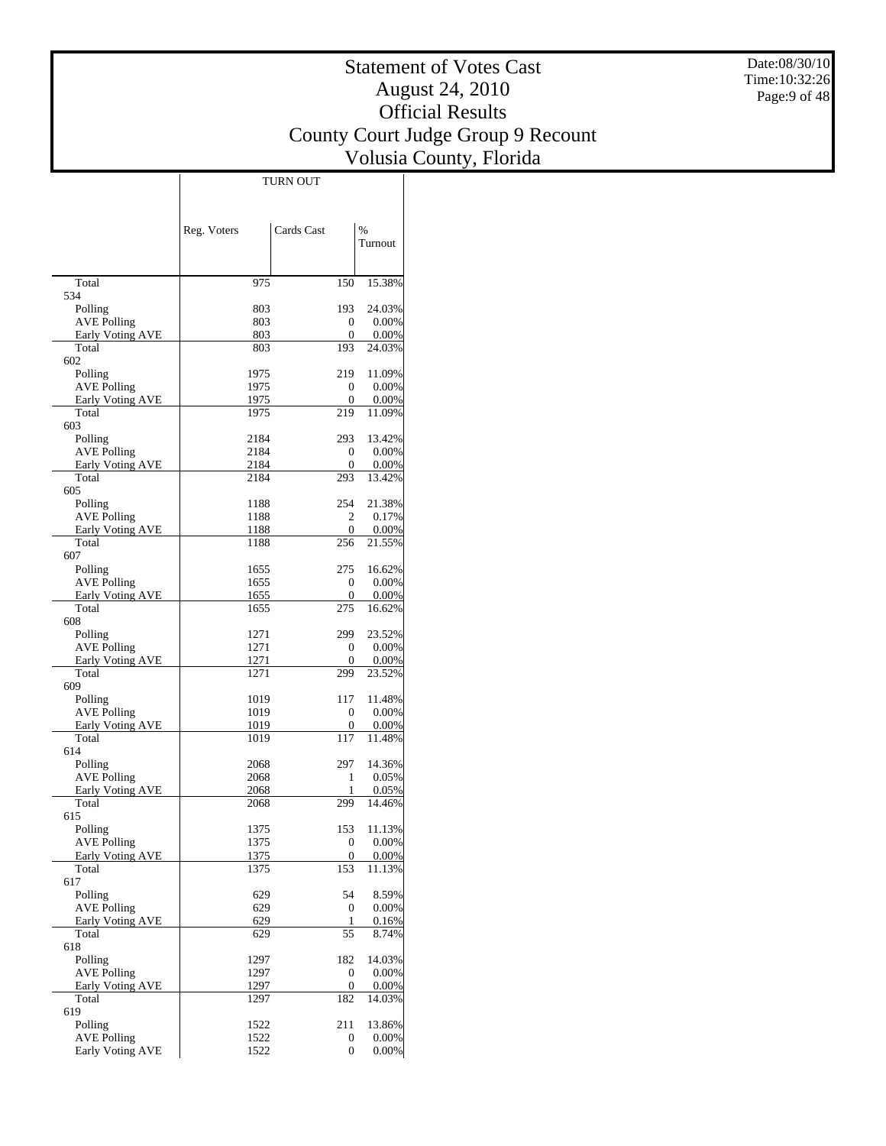Date:08/30/10 Time:10:32:26 Page:9 of 48

## Statement of Votes Cast August 24, 2010 Official Results County Court Judge Group 9 Recount Volusia County, Florida

 $\overline{\phantom{a}}$ 

|                                               | Reg. Voters  | Cards Cast     | %                  |
|-----------------------------------------------|--------------|----------------|--------------------|
|                                               |              |                | Turnout            |
|                                               |              |                |                    |
| Total                                         | 975          | 150            | 15.38%             |
| 534                                           |              |                |                    |
| Polling<br><b>AVE Polling</b>                 | 803<br>803   | 193<br>0       | 24.03%<br>$0.00\%$ |
| Early Voting AVE                              | 803          | 0              | $0.00\%$           |
| Total                                         | 803          | 193            | 24.03%             |
| 602                                           |              |                |                    |
| Polling<br><b>AVE Polling</b>                 | 1975         | 219            | 11.09%             |
| Early Voting AVE                              | 1975<br>1975 | 0<br>0         | $0.00\%$<br>0.00%  |
| Total                                         | 1975         | 219            | 11.09%             |
| 603                                           |              |                |                    |
| Polling                                       | 2184         | 293            | 13.42%             |
| <b>AVE Polling</b>                            | 2184         | 0              | $0.00\%$           |
| Early Voting AVE<br>Total                     | 2184<br>2184 | 0<br>293       | $0.00\%$<br>13.42% |
| 605                                           |              |                |                    |
| Polling                                       | 1188         | 254            | 21.38%             |
| <b>AVE Polling</b>                            | 1188         | 2              | 0.17%              |
| <b>Early Voting AVE</b><br>Total              | 1188         | 0<br>256       | 0.00%              |
| 607                                           | 1188         |                | 21.55%             |
| Polling                                       | 1655         | 275            | 16.62%             |
| <b>AVE Polling</b>                            | 1655         | 0              | 0.00%              |
| Early Voting AVE                              | 1655         | 0              | $0.00\%$           |
| Total                                         | 1655         | 275            | 16.62%             |
| 608<br>Polling                                | 1271         | 299            | 23.52%             |
| <b>AVE Polling</b>                            | 1271         | 0              | $0.00\%$           |
| Early Voting AVE                              | 1271         | 0              | 0.00%              |
| Total                                         | 1271         | 299            | 23.52%             |
| 609                                           |              |                |                    |
| Polling<br><b>AVE Polling</b>                 | 1019<br>1019 | 117<br>0       | 11.48%<br>$0.00\%$ |
| Early Voting AVE                              | 1019         | 0              | 0.00%              |
| Total                                         | 1019         | 117            | 11.48%             |
| 614                                           |              |                |                    |
| Polling                                       | 2068         | 297            | 14.36%             |
| <b>AVE Polling</b><br><b>Early Voting AVE</b> | 2068<br>2068 | 1<br>1         | $0.05\%$<br>0.05%  |
| Total                                         | 2068         | 299            | 14.46%             |
| 615                                           |              |                |                    |
| Polling                                       | 1375         | 153            | 11.13%             |
| <b>AVE Polling</b>                            | 1375         | $\mathbf{0}$   | 0.00%              |
| Early Voting AVE<br>Total                     | 1375<br>1375 | 0<br>153       | $0.00\%$<br>11.13% |
| 617                                           |              |                |                    |
| Polling                                       | 629          | 54             | 8.59%              |
| <b>AVE Polling</b>                            | 629          | 0              | $0.00\%$           |
| Early Voting AVE                              | 629          | 1              | 0.16%              |
| Total<br>618                                  | 629          | 55             | 8.74%              |
| Polling                                       | 1297         | 182            | 14.03%             |
| <b>AVE Polling</b>                            | 1297         | 0              | $0.00\%$           |
| Early Voting AVE                              | 1297         | 0              | $0.00\%$           |
| Total                                         | 1297         | 182            | 14.03%             |
| 619<br>Polling                                | 1522         | 211            | 13.86%             |
| <b>AVE Polling</b>                            | 1522         | 0              | $0.00\%$           |
| Early Voting AVE                              | 1522         | $\overline{0}$ | $0.00\%$           |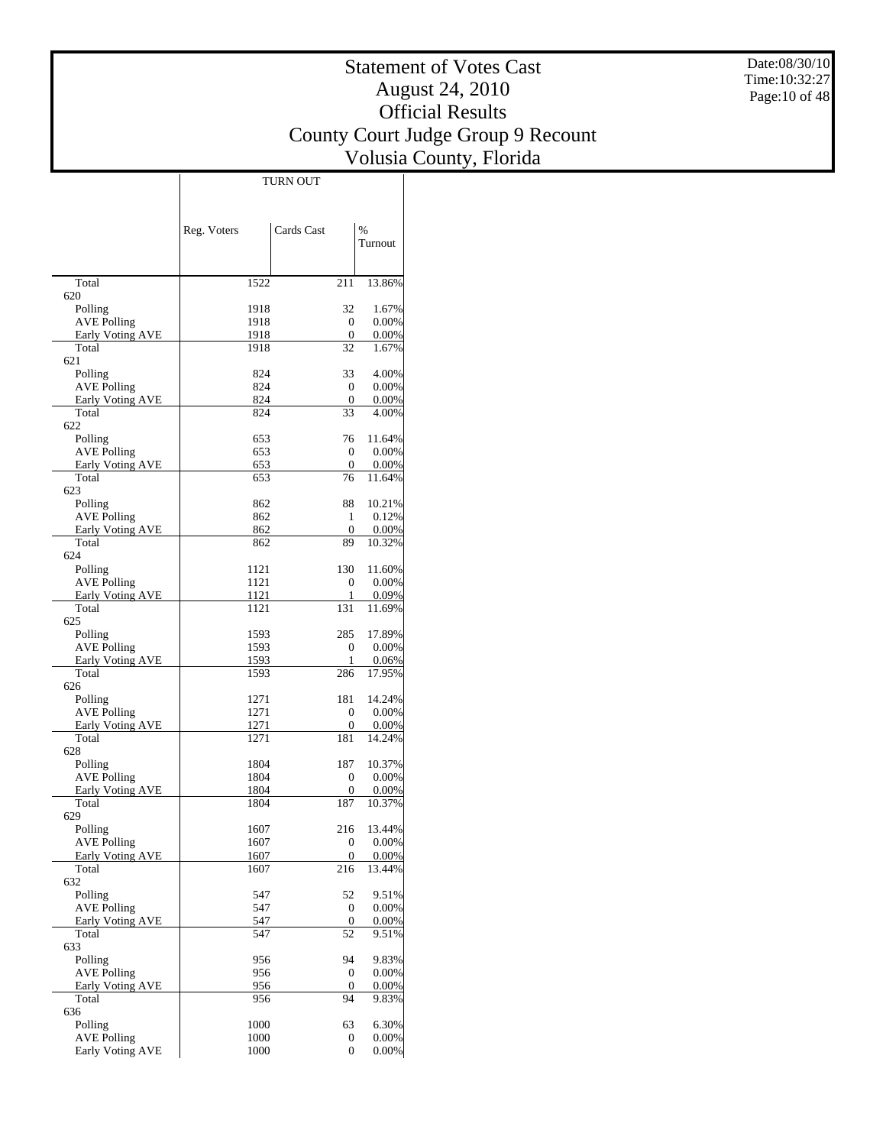Date:08/30/10 Time:10:32:27 Page:10 of 48

## Statement of Votes Cast August 24, 2010 Official Results County Court Judge Group 9 Recount Volusia County, Florida

 $\top$ 

|                                        | Reg. Voters  | Cards Cast           | $\%$                 |
|----------------------------------------|--------------|----------------------|----------------------|
|                                        |              |                      | Turnout              |
|                                        |              |                      |                      |
| Total                                  | 1522         | 211                  | 13.86%               |
| 620                                    |              |                      |                      |
| Polling<br><b>AVE Polling</b>          | 1918<br>1918 | 32<br>$\overline{0}$ | 1.67%<br>$0.00\%$    |
| Early Voting AVE                       | 1918         | $\overline{0}$       | 0.00%                |
| Total                                  | 1918         | 32                   | 1.67%                |
| 621                                    |              |                      |                      |
| Polling<br><b>AVE Polling</b>          | 824<br>824   | 33<br>$\overline{0}$ | 4.00%<br>$0.00\%$    |
| <b>Early Voting AVE</b>                | 824          | $\overline{0}$       | $0.00\%$             |
| Total                                  | 824          | 33                   | 4.00%                |
| 622                                    |              |                      |                      |
| Polling                                | 653          | 76<br>$\Omega$       | 11.64%               |
| <b>AVE Polling</b><br>Early Voting AVE | 653<br>653   | 0                    | $0.00\%$<br>0.00%    |
| Total                                  | 653          | 76                   | 11.64%               |
| 623                                    |              |                      |                      |
| Polling                                | 862          | 88                   | 10.21%               |
| <b>AVE Polling</b>                     | 862          | 1                    | 0.12%                |
| <b>Early Voting AVE</b><br>Total       | 862<br>862   | $\overline{0}$<br>89 | $0.00\%$<br>10.32%   |
| 624                                    |              |                      |                      |
| Polling                                | 1121         | 130                  | 11.60%               |
| <b>AVE Polling</b>                     | 1121         | 0                    | $0.00\%$             |
| Early Voting AVE                       | 1121         | 1                    | 0.09%                |
| Total<br>625                           | 1121         | 131                  | 11.69%               |
| Polling                                | 1593         | 285                  | 17.89%               |
| <b>AVE Polling</b>                     | 1593         | $\Omega$             | $0.00\%$             |
| <b>Early Voting AVE</b>                | 1593         | 1                    | $0.06\%$             |
| Total<br>626                           | 1593         | 286                  | 17.95%               |
| Polling                                | 1271         | 181                  | 14.24%               |
| <b>AVE Polling</b>                     | 1271         | $\Omega$             | $0.00\%$             |
| Early Voting AVE                       | 1271         | 0                    | 0.00%                |
| Total                                  | 1271         | 181                  | 14.24%               |
| 628                                    | 1804         | 187                  | 10.37%               |
| Polling<br><b>AVE Polling</b>          | 1804         | $\overline{0}$       | $0.00\%$             |
| <b>Early Voting AVE</b>                | 1804         | 0                    | $0.00\%$             |
| Total                                  | 1804         | 187                  | 10.37%               |
| 629                                    |              |                      |                      |
| Polling                                | 1607         | 216<br>$\sigma$      | 13.44%               |
| AVE Polling<br>Early Voting AVE        | 1607<br>1607 | 0                    | $0.00\%$<br>$0.00\%$ |
| Total                                  | 1607         | 216                  | 13.44%               |
| 632                                    |              |                      |                      |
| Polling                                | 547          | 52                   | 9.51%                |
| <b>AVE Polling</b><br>Early Voting AVE | 547<br>547   | 0<br>0               | $0.00\%$<br>0.00%    |
| Total                                  | 547          | 52                   | 9.51%                |
| 633                                    |              |                      |                      |
| Polling                                | 956          | 94                   | 9.83%                |
| <b>AVE Polling</b>                     | 956          | 0                    | $0.00\%$             |
| Early Voting AVE<br>Total              | 956<br>956   | $\overline{0}$<br>94 | $0.00\%$<br>9.83%    |
| 636                                    |              |                      |                      |
| Polling                                | 1000         | 63                   | 6.30%                |
| <b>AVE Polling</b>                     | 1000         | 0                    | $0.00\%$             |
| Early Voting AVE                       | 1000         | $\overline{0}$       | $0.00\%$             |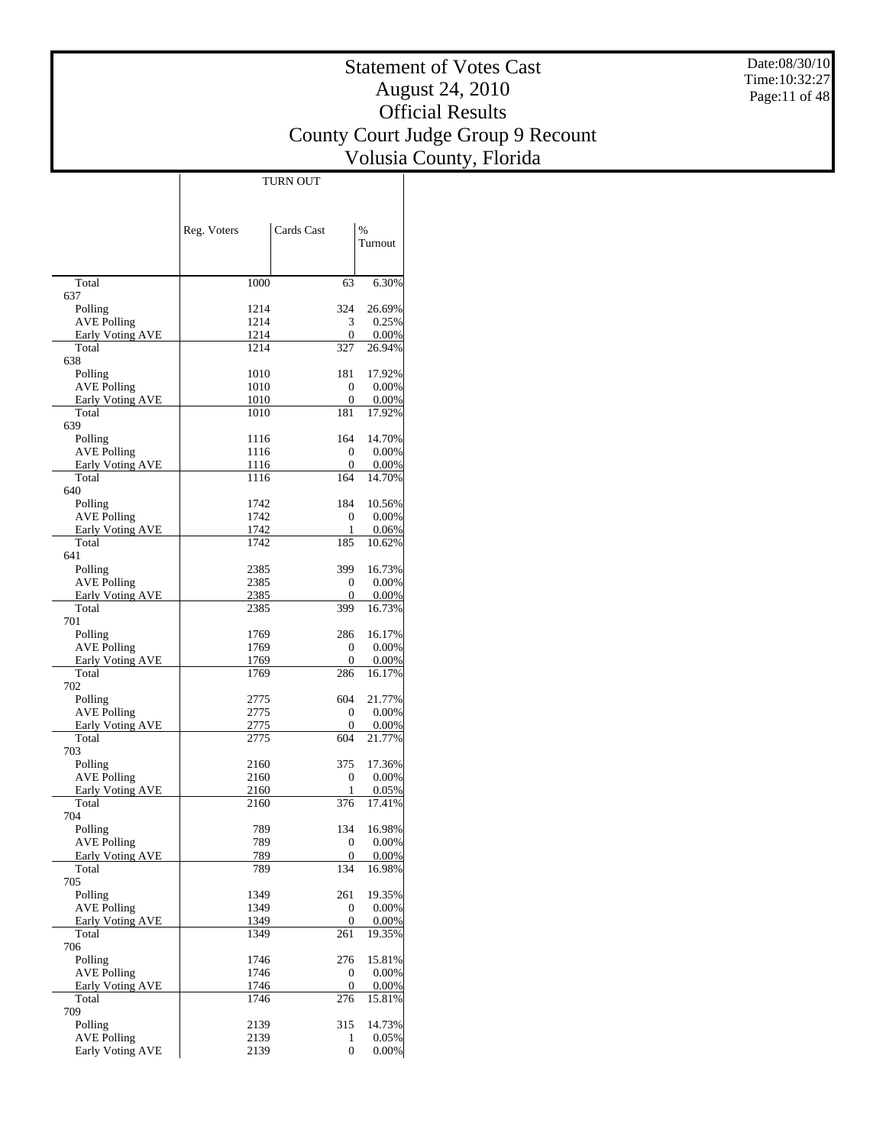Date:08/30/10 Time:10:32:27 Page:11 of 48

## Statement of Votes Cast August 24, 2010 Official Results County Court Judge Group 9 Recount Volusia County, Florida

|                                               | Reg. Voters  | Cards Cast            | %                  |
|-----------------------------------------------|--------------|-----------------------|--------------------|
|                                               |              |                       | Turnout            |
| Total                                         | 1000         | 63                    | 6.30%              |
| 637                                           |              |                       |                    |
| Polling                                       | 1214         | 324                   | 26.69%             |
| <b>AVE Polling</b><br><b>Early Voting AVE</b> | 1214<br>1214 | 3<br>0                | 0.25%<br>0.00%     |
| Total                                         | 1214         | 327                   | 26.94%             |
| 638                                           |              |                       |                    |
| Polling                                       | 1010         | 181                   | 17.92%             |
| <b>AVE Polling</b>                            | 1010         | 0                     | 0.00%              |
| Early Voting AVE                              | 1010         | 0                     | $0.00\%$           |
| Total<br>639                                  | 1010         | 181                   | 17.92%             |
| Polling                                       | 1116         | 164                   | 14.70%             |
| <b>AVE Polling</b>                            | 1116         | 0                     | 0.00%              |
| Early Voting AVE                              | 1116         | 0                     | $0.00\%$           |
| Total                                         | 1116         | 164                   | 14.70%             |
| 640                                           |              |                       |                    |
| Polling                                       | 1742         | 184                   | 10.56%             |
| <b>AVE Polling</b>                            | 1742<br>1742 | 0<br>1                | 0.00%<br>0.06%     |
| Early Voting AVE<br>Total                     | 1742         | 185                   | 10.62%             |
| 641                                           |              |                       |                    |
| Polling                                       | 2385         | 399                   | 16.73%             |
| <b>AVE Polling</b>                            | 2385         | 0                     | 0.00%              |
| <b>Early Voting AVE</b>                       | 2385         | 0                     | $0.00\%$           |
| Total                                         | 2385         | 399                   | 16.73%             |
| 701                                           | 1769         | 286                   | 16.17%             |
| Polling<br><b>AVE Polling</b>                 | 1769         | 0                     | 0.00%              |
| Early Voting AVE                              | 1769         | 0                     | $0.00\%$           |
| Total                                         | 1769         | 286                   | 16.17%             |
| 702                                           |              |                       |                    |
| Polling                                       | 2775         | 604                   | 21.77%             |
| <b>AVE Polling</b>                            | 2775         | 0                     | 0.00%              |
| Early Voting AVE<br>Total                     | 2775<br>2775 | 0<br>604              | $0.00\%$<br>21.77% |
| 703                                           |              |                       |                    |
| Polling                                       | 2160         | 375                   | 17.36%             |
| AVE Polling                                   | 2160         | 0                     | 0.00%              |
| Early Voting AVE                              | 2160         | 1                     | 0.05%              |
| Total                                         | 2160         | 376                   | 17.41%             |
| 704                                           |              |                       |                    |
| Polling<br><b>AVE Polling</b>                 | 789<br>789   | 134<br>0              | 16.98%<br>0.00%    |
| <b>Early Voting AVE</b>                       | 789          | 0                     | 0.00%              |
| Total                                         | 789          | 134                   | 16.98%             |
| 705                                           |              |                       |                    |
| Polling                                       | 1349         | 261                   | 19.35%             |
| <b>AVE Polling</b>                            | 1349         | 0                     | 0.00%              |
| <b>Early Voting AVE</b>                       | 1349         | $\boldsymbol{0}$      | 0.00%              |
| Total<br>706                                  | 1349         | 261                   | 19.35%             |
| Polling                                       | 1746         | 276                   | 15.81%             |
| <b>AVE Polling</b>                            | 1746         | 0                     | 0.00%              |
| Early Voting AVE                              | 1746         | 0                     | 0.00%              |
| Total                                         | 1746         | 276                   | 15.81%             |
| 709                                           |              |                       |                    |
| Polling                                       | 2139         | 315                   | 14.73%             |
| <b>AVE Polling</b><br>Early Voting AVE        | 2139<br>2139 | 1<br>$\boldsymbol{0}$ | 0.05%<br>0.00%     |
|                                               |              |                       |                    |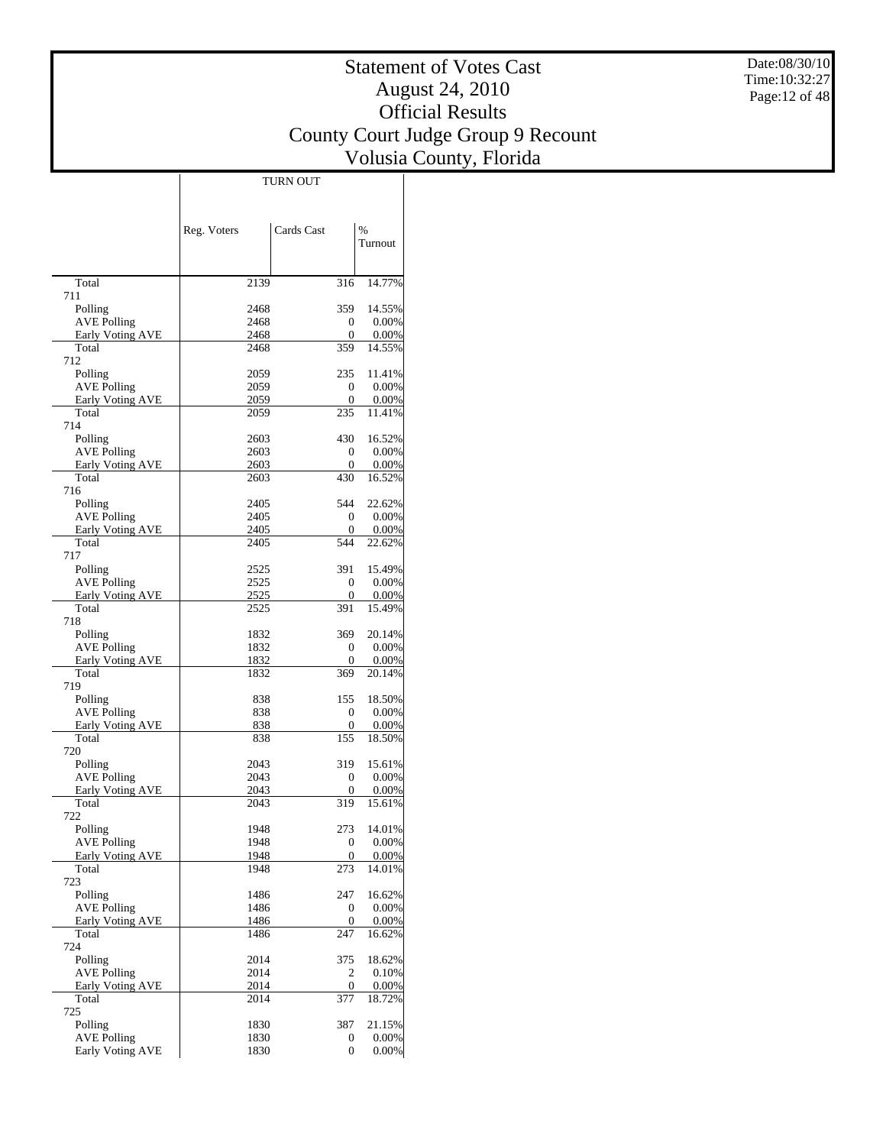Date:08/30/10 Time:10:32:27 Page:12 of 48

## Statement of Votes Cast August 24, 2010 Official Results County Court Judge Group 9 Recount Volusia County, Florida

 $\overline{\phantom{a}}$ 

|                                        | Reg. Voters  | Cards Cast          | %                  |
|----------------------------------------|--------------|---------------------|--------------------|
|                                        |              |                     | Turnout            |
|                                        |              |                     |                    |
| Total                                  | 2139         | 316                 | 14.77%             |
| 711                                    |              |                     |                    |
| Polling                                | 2468<br>2468 | 359                 | 14.55%             |
| <b>AVE Polling</b><br>Early Voting AVE | 2468         | 0<br>0              | 0.00%<br>0.00%     |
| Total                                  | 2468         | 359                 | 14.55%             |
| 712                                    |              |                     |                    |
| Polling                                | 2059         | 235                 | 11.41%             |
| <b>AVE Polling</b>                     | 2059         | 0<br>$\mathbf{0}$   | 0.00%              |
| Early Voting AVE<br>Total              | 2059<br>2059 | 235                 | 0.00%<br>11.41%    |
| 714                                    |              |                     |                    |
| Polling                                | 2603         | 430                 | 16.52%             |
| <b>AVE Polling</b>                     | 2603         | $\overline{0}$      | 0.00%              |
| Early Voting AVE                       | 2603         | $\mathbf{0}$        | 0.00%              |
| Total<br>716                           | 2603         | 430                 | 16.52%             |
| Polling                                | 2405         | 544                 | 22.62%             |
| <b>AVE Polling</b>                     | 2405         | 0                   | 0.00%              |
| Early Voting AVE                       | 2405         | $\overline{0}$      | 0.00%              |
| Total                                  | 2405         | 544                 | 22.62%             |
| 717                                    |              |                     |                    |
| Polling                                | 2525         | 391                 | 15.49%             |
| <b>AVE Polling</b>                     | 2525<br>2525 | $\overline{0}$<br>0 | 0.00%<br>0.00%     |
| Early Voting AVE<br>Total              | 2525         | 391                 | 15.49%             |
| 718                                    |              |                     |                    |
| Polling                                | 1832         | 369                 | 20.14%             |
| <b>AVE Polling</b>                     | 1832         | 0                   | 0.00%              |
| Early Voting AVE                       | 1832         | $\mathbf{0}$        | 0.00%              |
| Total<br>719                           | 1832         | 369                 | 20.14%             |
| Polling                                | 838          | 155                 | 18.50%             |
| <b>AVE Polling</b>                     | 838          | $\overline{0}$      | 0.00%              |
| Early Voting AVE                       | 838          | 0                   | 0.00%              |
| Total                                  | 838          | 155                 | 18.50%             |
| 720                                    |              |                     |                    |
| Polling<br><b>AVE Polling</b>          | 2043<br>2043 | 319<br>0            | 15.61%<br>$0.00\%$ |
| Early Voting AVE                       | 2043         | $\boldsymbol{0}$    | 0.00%              |
| Total                                  | 2043         | 319                 | 15.61%             |
| 722                                    |              |                     |                    |
| Polling                                | 1948         | 273                 | 14.01%             |
| <b>AVE Polling</b>                     | 1948         | $\overline{0}$      | $0.00\%$           |
| Early Voting AVE<br>Total              | 1948<br>1948 | 0<br>273            | $0.00\%$<br>14.01% |
| 723                                    |              |                     |                    |
| Polling                                | 1486         | 247                 | 16.62%             |
| <b>AVE Polling</b>                     | 1486         | 0                   | $0.00\%$           |
| Early Voting AVE                       | 1486         | $\boldsymbol{0}$    | 0.00%              |
| Total                                  | 1486         | 247                 | 16.62%             |
| 724<br>Polling                         | 2014         | 375                 | 18.62%             |
| <b>AVE Polling</b>                     | 2014         | 2                   | 0.10%              |
| Early Voting AVE                       | 2014         | 0                   | 0.00%              |
| Total                                  | 2014         | 377                 | 18.72%             |
| 725                                    |              |                     |                    |
| Polling                                | 1830         | 387                 | 21.15%             |
| <b>AVE Polling</b>                     | 1830         | 0                   | $0.00\%$           |
| Early Voting AVE                       | 1830         | 0                   | $0.00\%$           |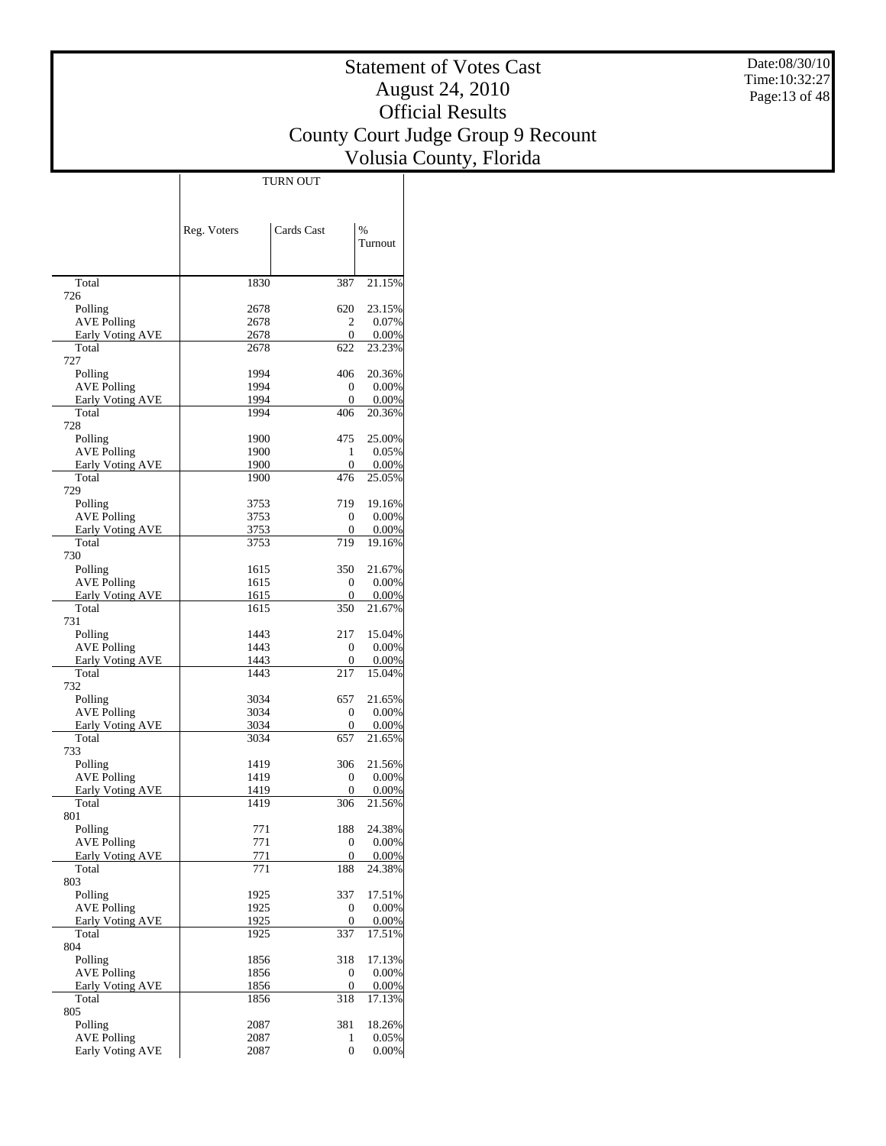Date:08/30/10 Time:10:32:27 Page:13 of 48

## Statement of Votes Cast August 24, 2010 Official Results County Court Judge Group 9 Recount Volusia County, Florida

 $\overline{\phantom{a}}$ 

|                                        | Reg. Voters  | Cards Cast        | %               |
|----------------------------------------|--------------|-------------------|-----------------|
|                                        |              |                   | Turnout         |
|                                        |              |                   |                 |
| Total                                  | 1830         | 387               | 21.15%          |
| 726                                    |              |                   |                 |
| Polling<br><b>AVE Polling</b>          | 2678<br>2678 | 620<br>2          | 23.15%<br>0.07% |
| Early Voting AVE                       | 2678         | $\mathbf{0}$      | 0.00%           |
| Total                                  | 2678         | 622               | 23.23%          |
| 727                                    |              |                   |                 |
| Polling                                | 1994         | 406               | 20.36%          |
| <b>AVE Polling</b>                     | 1994         | 0<br>$\mathbf{0}$ | 0.00%           |
| Early Voting AVE<br>Total              | 1994<br>1994 | 406               | 0.00%<br>20.36% |
| 728                                    |              |                   |                 |
| Polling                                | 1900         | 475               | 25.00%          |
| <b>AVE Polling</b>                     | 1900         | 1                 | 0.05%           |
| Early Voting AVE                       | 1900         | $\mathbf{0}$      | 0.00%           |
| Total<br>729                           | 1900         | 476               | 25.05%          |
| Polling                                | 3753         | 719               | 19.16%          |
| <b>AVE Polling</b>                     | 3753         | 0                 | 0.00%           |
| Early Voting AVE                       | 3753         | $\boldsymbol{0}$  | 0.00%           |
| Total                                  | 3753         | 719               | 19.16%          |
| 730                                    |              |                   |                 |
| Polling                                | 1615         | 350               | 21.67%          |
| <b>AVE Polling</b>                     | 1615         | $\overline{0}$    | 0.00%           |
| Early Voting AVE<br>Total              | 1615<br>1615 | 0<br>350          | 0.00%<br>21.67% |
| 731                                    |              |                   |                 |
| Polling                                | 1443         | 217               | 15.04%          |
| <b>AVE Polling</b>                     | 1443         | $\mathbf{0}$      | 0.00%           |
| Early Voting AVE                       | 1443         | 0                 | 0.00%           |
| Total                                  | 1443         | 217               | 15.04%          |
| 732<br>Polling                         | 3034         | 657               | 21.65%          |
| <b>AVE Polling</b>                     | 3034         | $\overline{0}$    | 0.00%           |
| Early Voting AVE                       | 3034         | 0                 | 0.00%           |
| Total                                  | 3034         | 657               | 21.65%          |
| 733                                    |              |                   |                 |
| Polling                                | 1419         | 306               | 21.56%          |
| <b>AVE Polling</b>                     | 1419<br>1419 | 0<br>$\mathbf{0}$ | 0.00%           |
| <b>Early Voting AVE</b><br>Total       | 1419         | 306               | 0.00%<br>21.56% |
| 801                                    |              |                   |                 |
| Polling                                | 771          | 188               | 24.38%          |
| <b>AVE Polling</b>                     | 771          | $\boldsymbol{0}$  | $0.00\%$        |
| Early Voting AVE                       | 771          | 0                 | 0.00%           |
| Total<br>803                           | 771          | 188               | 24.38%          |
| Polling                                | 1925         | 337               | 17.51%          |
| <b>AVE Polling</b>                     | 1925         | 0                 | 0.00%           |
| Early Voting AVE                       | 1925         | 0                 | 0.00%           |
| Total                                  | 1925         | 337               | 17.51%          |
| 804                                    |              |                   |                 |
| Polling                                | 1856         | 318               | 17.13%          |
| <b>AVE Polling</b><br>Early Voting AVE | 1856<br>1856 | 0<br>0            | 0.00%<br>0.00%  |
| Total                                  | 1856         | 318               | 17.13%          |
| 805                                    |              |                   |                 |
| Polling                                | 2087         | 381               | 18.26%          |
| <b>AVE Polling</b>                     | 2087         | 1                 | $0.05\%$        |
| Early Voting AVE                       | 2087         | 0                 | $0.00\%$        |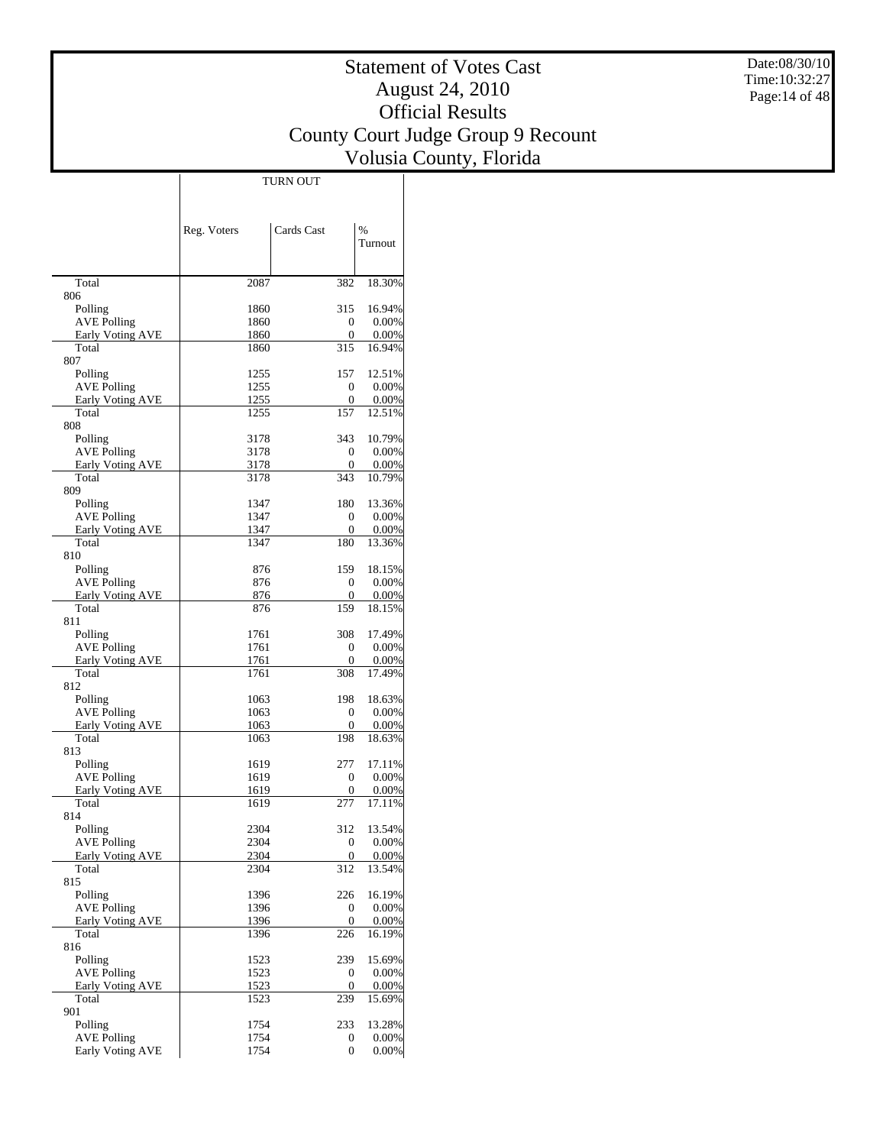Date:08/30/10 Time:10:32:27 Page:14 of 48

## Statement of Votes Cast August 24, 2010 Official Results County Court Judge Group 9 Recount Volusia County, Florida

|                                        | Reg. Voters  | Cards Cast            | %                  |
|----------------------------------------|--------------|-----------------------|--------------------|
|                                        |              |                       | Turnout            |
|                                        |              |                       |                    |
| Total                                  | 2087         | 382                   | 18.30%             |
| 806<br>Polling                         | 1860         | 315                   | 16.94%             |
| <b>AVE Polling</b>                     | 1860         | 0                     | $0.00\%$           |
| Early Voting AVE                       | 1860         | 0                     | $0.00\%$           |
| Total                                  | 1860         | 315                   | 16.94%             |
| 807<br>Polling                         | 1255         | 157                   | 12.51%             |
| <b>AVE Polling</b>                     | 1255         | 0                     | $0.00\%$           |
| Early Voting AVE                       | 1255         | 0                     | $0.00\%$           |
| Total                                  | 1255         | 157                   | 12.51%             |
| 808<br>Polling                         | 3178         | 343                   | 10.79%             |
| <b>AVE Polling</b>                     | 3178         | 0                     | $0.00\%$           |
| Early Voting AVE                       | 3178         | 0                     | $0.00\%$           |
| Total                                  | 3178         | 343                   | 10.79%             |
| 809                                    |              |                       |                    |
| Polling<br><b>AVE Polling</b>          | 1347<br>1347 | 180<br>0              | 13.36%<br>$0.00\%$ |
| Early Voting AVE                       | 1347         | 0                     | $0.00\%$           |
| Total                                  | 1347         | 180                   | 13.36%             |
| 810                                    |              |                       |                    |
| Polling                                | 876          | 159                   | 18.15%             |
| <b>AVE Polling</b><br>Early Voting AVE | 876<br>876   | 0<br>0                | $0.00\%$<br>0.00%  |
| Total                                  | 876          | 159                   | 18.15%             |
| 811                                    |              |                       |                    |
| Polling                                | 1761         | 308                   | 17.49%             |
| <b>AVE Polling</b>                     | 1761         | 0                     | $0.00\%$           |
| Early Voting AVE<br>Total              | 1761<br>1761 | $\overline{0}$<br>308 | $0.00\%$<br>17.49% |
| 812                                    |              |                       |                    |
| Polling                                | 1063         | 198                   | 18.63%             |
| <b>AVE Polling</b>                     | 1063         | 0                     | $0.00\%$           |
| Early Voting AVE<br>Total              | 1063<br>1063 | 0<br>198              | $0.00\%$<br>18.63% |
| 813                                    |              |                       |                    |
| Polling                                | 1619         | 277                   | 17.11%             |
| <b>AVE Polling</b>                     | 1619         | 0                     | $0.00\%$           |
| Early Voting AVE                       | 1619         | 0                     | $0.00\%$           |
| Total<br>814                           | 1619         | 277                   | 17.11%             |
| Polling                                | 2304         | 312                   | 13.54%             |
| <b>AVE Polling</b>                     | 2304         | 0                     | $0.00\%$           |
| <b>Early Voting AVE</b>                | 2304         | $\boldsymbol{0}$      | $0.00\%$           |
| Total                                  | 2304         | $\overline{312}$      | 13.54%             |
| 815<br>Polling                         | 1396         | 226                   | 16.19%             |
| <b>AVE Polling</b>                     | 1396         | 0                     | $0.00\%$           |
| Early Voting AVE                       | 1396         | 0                     | 0.00%              |
| Total                                  | 1396         | $\overline{226}$      | 16.19%             |
| 816<br>Polling                         | 1523         | 239                   | 15.69%             |
| <b>AVE Polling</b>                     | 1523         | 0                     | $0.00\%$           |
| Early Voting AVE                       | 1523         | 0                     | $0.00\%$           |
| Total                                  | 1523         | 239                   | 15.69%             |
| 901                                    |              |                       |                    |
| Polling<br><b>AVE Polling</b>          | 1754<br>1754 | 233<br>0              | 13.28%<br>$0.00\%$ |
| Early Voting AVE                       | 1754         | 0                     | $0.00\%$           |
|                                        |              |                       |                    |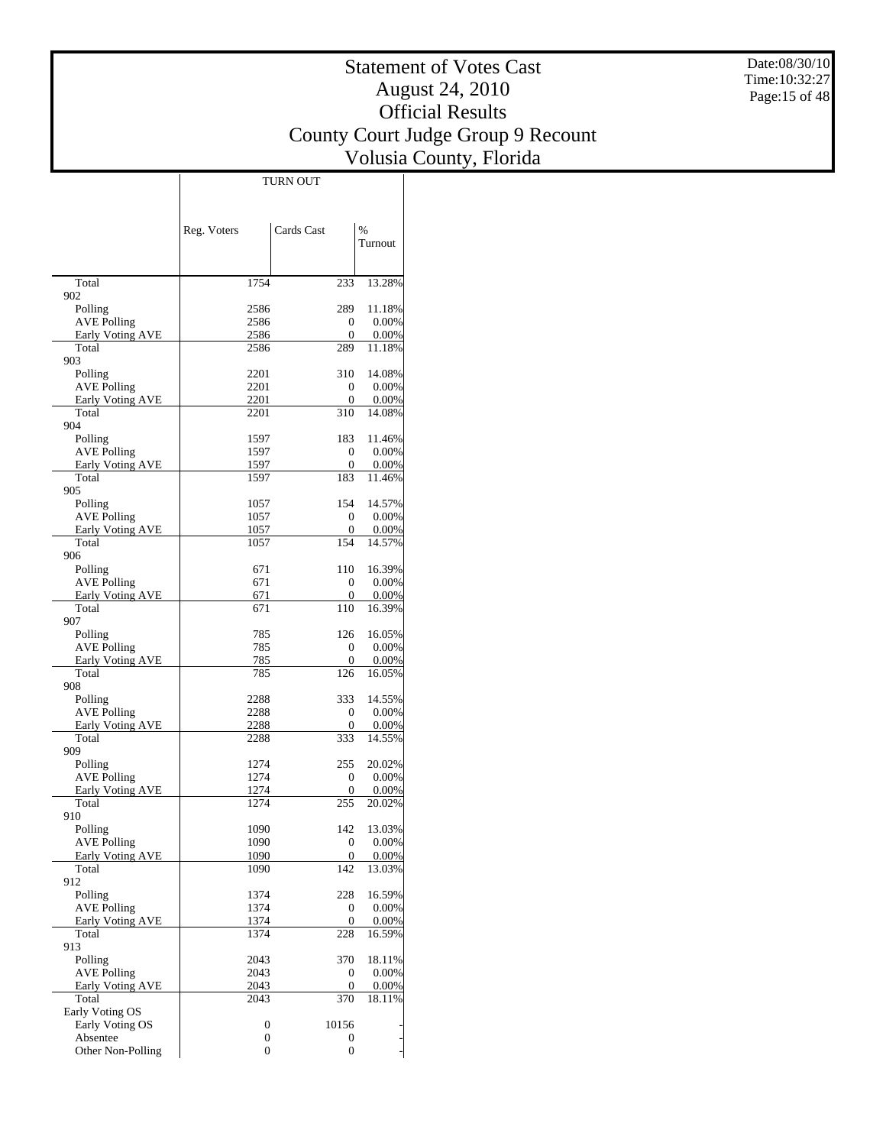Date:08/30/10 Time:10:32:27 Page:15 of 48

## Statement of Votes Cast August 24, 2010 Official Results County Court Judge Group 9 Recount Volusia County, Florida

|                                               | Reg. Voters  | Cards Cast            | $\%$<br>Turnout    |
|-----------------------------------------------|--------------|-----------------------|--------------------|
|                                               |              |                       |                    |
| Total                                         | 1754         | 233                   | 13.28%             |
| 902                                           |              |                       |                    |
| Polling                                       | 2586         | 289                   | 11.18%             |
| <b>AVE Polling</b><br>Early Voting AVE        | 2586<br>2586 | 0<br>0                | 0.00%<br>0.00%     |
| Total                                         | 2586         | 289                   | 11.18%             |
| 903                                           |              |                       |                    |
| Polling                                       | 2201         | 310                   | 14.08%             |
| <b>AVE Polling</b>                            | 2201         | 0                     | 0.00%              |
| <b>Early Voting AVE</b><br>Total              | 2201<br>2201 | 0<br>310              | $0.00\%$           |
| 904                                           |              |                       | 14.08%             |
| Polling                                       | 1597         | 183                   | 11.46%             |
| <b>AVE Polling</b>                            | 1597         | 0                     | 0.00%              |
| <b>Early Voting AVE</b>                       | 1597         | 0                     | 0.00%              |
| Total                                         | 1597         | 183                   | 11.46%             |
| 905                                           |              |                       |                    |
| Polling                                       | 1057         | 154                   | 14.57%             |
| <b>AVE Polling</b><br><b>Early Voting AVE</b> | 1057<br>1057 | 0<br>0                | 0.00%<br>$0.00\%$  |
| Total                                         | 1057         | 154                   | 14.57%             |
| 906                                           |              |                       |                    |
| Polling                                       | 671          | 110                   | 16.39%             |
| <b>AVE Polling</b>                            | 671          | 0                     | 0.00%              |
| Early Voting AVE                              | 671          | 0                     | 0.00%              |
| Total                                         | 671          | 110                   | 16.39%             |
| 907<br>Polling                                | 785          | 126                   | 16.05%             |
| <b>AVE Polling</b>                            | 785          | 0                     | 0.00%              |
| <b>Early Voting AVE</b>                       | 785          | 0                     | $0.00\%$           |
| Total                                         | 785          | 126                   | 16.05%             |
| 908                                           |              |                       |                    |
| Polling                                       | 2288         | 333                   | 14.55%             |
| <b>AVE Polling</b>                            | 2288         | 0                     | 0.00%              |
| <b>Early Voting AVE</b><br>Total              | 2288<br>2288 | 0<br>333              | 0.00%<br>14.55%    |
| 909                                           |              |                       |                    |
| Polling                                       | 1274         | 255                   | 20.02%             |
| AVE Polling                                   | 1274         | 0                     | 0.00%              |
| Early Voting AVE                              | 1274         | 0                     | $0.00\%$           |
| Total                                         | 1274         | 255                   | 20.02%             |
| 910                                           |              |                       |                    |
| Polling<br><b>AVE Polling</b>                 | 1090<br>1090 | 142<br>$\overline{0}$ | 13.03%<br>$0.00\%$ |
| <b>Early Voting AVE</b>                       | 1090         | 0                     | 0.00%              |
| Total                                         | 1090         | 142                   | 13.03%             |
| 912                                           |              |                       |                    |
| Polling                                       | 1374         | 228                   | 16.59%             |
| <b>AVE Polling</b>                            | 1374         | 0                     | 0.00%              |
| Early Voting AVE                              | 1374         | 0                     | $0.00\%$           |
| Total<br>913                                  | 1374         | 228                   | 16.59%             |
| Polling                                       | 2043         | 370                   | 18.11%             |
| <b>AVE Polling</b>                            | 2043         | 0                     | 0.00%              |
| Early Voting AVE                              | 2043         | 0                     | 0.00%              |
| Total                                         | 2043         | 370                   | 18.11%             |
| Early Voting OS                               |              |                       |                    |
| Early Voting OS                               | 0            | 10156                 |                    |
| Absentee                                      | 0            | 0                     |                    |
| Other Non-Polling                             | 0            | 0                     |                    |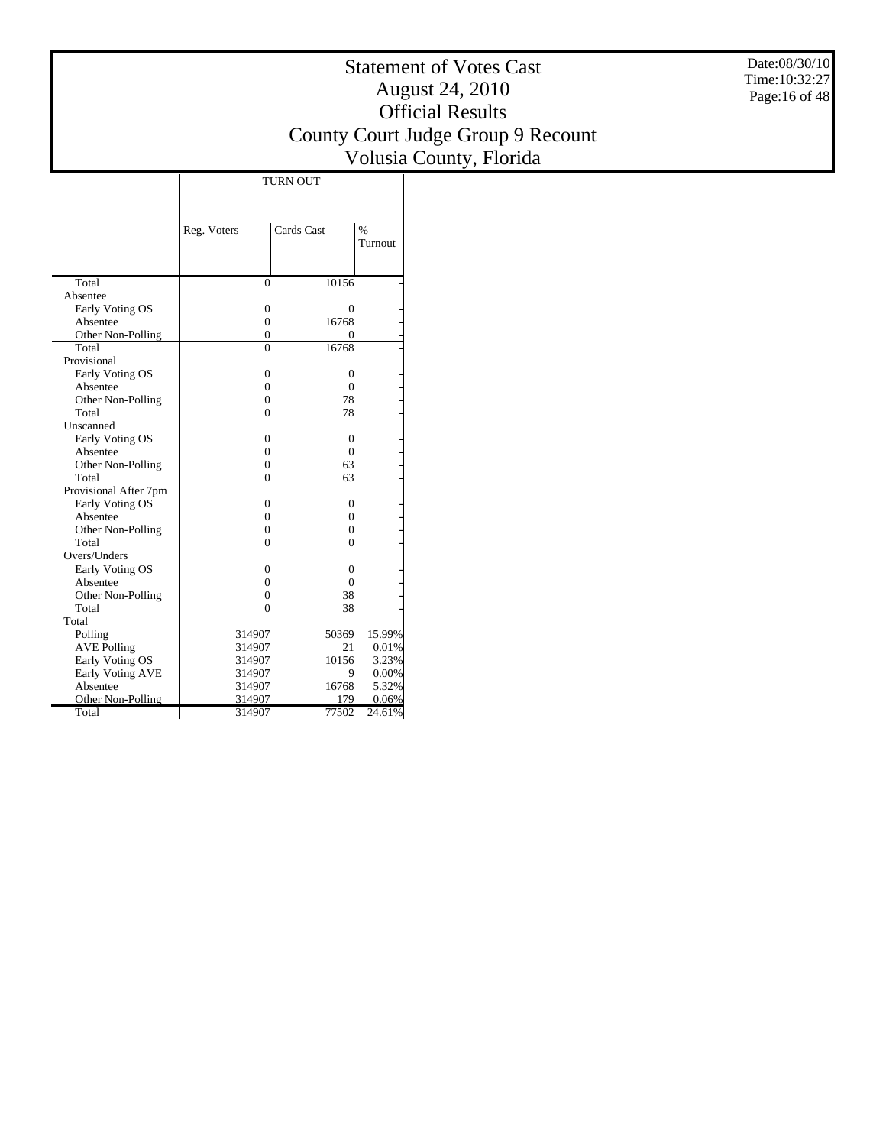Date:08/30/10 Time:10:32:27 Page:16 of 48

|                       | <b>TURN OUT</b> |                |               |  |  |  |  |  |  |
|-----------------------|-----------------|----------------|---------------|--|--|--|--|--|--|
|                       |                 |                |               |  |  |  |  |  |  |
|                       |                 |                |               |  |  |  |  |  |  |
|                       | Reg. Voters     | Cards Cast     | $\frac{0}{0}$ |  |  |  |  |  |  |
|                       |                 |                | Turnout       |  |  |  |  |  |  |
|                       |                 |                |               |  |  |  |  |  |  |
|                       |                 |                |               |  |  |  |  |  |  |
| Total                 | $\overline{0}$  | 10156          |               |  |  |  |  |  |  |
| Absentee              |                 |                |               |  |  |  |  |  |  |
| Early Voting OS       | 0               | 0              |               |  |  |  |  |  |  |
| Absentee              | $\overline{0}$  | 16768          |               |  |  |  |  |  |  |
| Other Non-Polling     | 0               | $\Omega$       |               |  |  |  |  |  |  |
| Total                 | $\Omega$        | 16768          |               |  |  |  |  |  |  |
| Provisional           |                 |                |               |  |  |  |  |  |  |
| Early Voting OS       | $\theta$        | $\Omega$       |               |  |  |  |  |  |  |
| Absentee              | $\theta$        | $\Omega$       |               |  |  |  |  |  |  |
| Other Non-Polling     | 0               | 78             |               |  |  |  |  |  |  |
| Total                 | $\Omega$        | 78             |               |  |  |  |  |  |  |
| Unscanned             |                 |                |               |  |  |  |  |  |  |
| Early Voting OS       | $\overline{0}$  | $\overline{0}$ |               |  |  |  |  |  |  |
| Absentee              | $\overline{0}$  | $\overline{0}$ |               |  |  |  |  |  |  |
| Other Non-Polling     | 0               | 63             |               |  |  |  |  |  |  |
| Total                 | $\Omega$        | 63             |               |  |  |  |  |  |  |
| Provisional After 7pm |                 |                |               |  |  |  |  |  |  |
| Early Voting OS       | 0               | $\overline{0}$ |               |  |  |  |  |  |  |
| Absentee              | $\theta$        | $\Omega$       |               |  |  |  |  |  |  |
| Other Non-Polling     | $\overline{0}$  | $\overline{0}$ |               |  |  |  |  |  |  |
| Total                 | $\Omega$        | $\Omega$       |               |  |  |  |  |  |  |
| Overs/Unders          |                 |                |               |  |  |  |  |  |  |
| Early Voting OS       | 0               | 0              |               |  |  |  |  |  |  |
| Absentee              | 0               | $\Omega$       |               |  |  |  |  |  |  |
| Other Non-Polling     | $\overline{0}$  | 38             |               |  |  |  |  |  |  |
| Total                 | $\Omega$        | 38             |               |  |  |  |  |  |  |
| Total                 |                 |                |               |  |  |  |  |  |  |
| Polling               | 314907          | 50369          | 15.99%        |  |  |  |  |  |  |
| <b>AVE Polling</b>    | 314907          | 21             | 0.01%         |  |  |  |  |  |  |
| Early Voting OS       | 314907          | 10156          | 3.23%         |  |  |  |  |  |  |
| Early Voting AVE      | 314907          | 9              | 0.00%         |  |  |  |  |  |  |
| Absentee              | 314907          | 16768          | 5.32%         |  |  |  |  |  |  |
| Other Non-Polling     | 314907          | 179            | 0.06%         |  |  |  |  |  |  |
| Total                 | 314907          | 77502          | 24.61%        |  |  |  |  |  |  |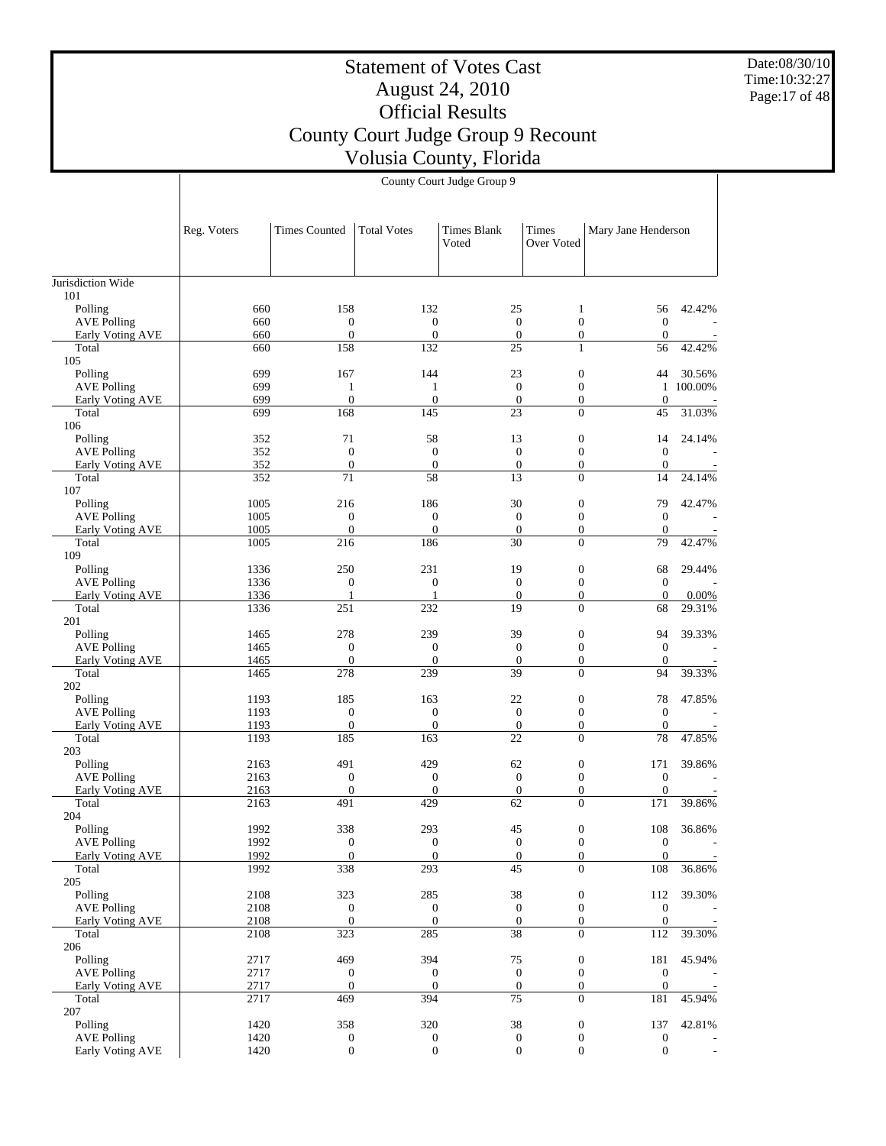Date:08/30/10 Time:10:32:27 Page:17 of 48

|                                        | Reg. Voters  | <b>Times Counted</b>               | <b>Total Votes</b>                   | <b>Times Blank</b><br>Voted        | Times<br>Over Voted                | Mary Jane Henderson                  |                   |
|----------------------------------------|--------------|------------------------------------|--------------------------------------|------------------------------------|------------------------------------|--------------------------------------|-------------------|
|                                        |              |                                    |                                      |                                    |                                    |                                      |                   |
| Jurisdiction Wide<br>101               |              |                                    |                                      |                                    |                                    |                                      |                   |
| Polling                                | 660          | 158                                | 132                                  | 25                                 | $\mathbf{1}$                       | 56                                   | 42.42%            |
| <b>AVE Polling</b>                     | 660          | $\mathbf{0}$                       | $\boldsymbol{0}$                     | $\mathbf{0}$                       | $\overline{0}$                     | $\boldsymbol{0}$                     |                   |
| Early Voting AVE                       | 660          | $\mathbf{0}$                       | $\boldsymbol{0}$                     | $\mathbf{0}$                       | $\mathbf{0}$                       | $\boldsymbol{0}$                     |                   |
| Total                                  | 660          | 158                                | 132                                  | 25                                 | $\mathbf{1}$                       | 56                                   | 42.42%            |
| 105                                    |              | 167                                | 144                                  |                                    |                                    |                                      |                   |
| Polling<br><b>AVE Polling</b>          | 699<br>699   | $\mathbf{1}$                       | $\mathbf{1}$                         | 23<br>$\mathbf{0}$                 | $\boldsymbol{0}$<br>$\overline{0}$ | 44<br>$\mathbf{1}$                   | 30.56%<br>100.00% |
| Early Voting AVE                       | 699          | $\boldsymbol{0}$                   | $\overline{0}$                       | $\mathbf{0}$                       | $\boldsymbol{0}$                   | $\mathbf{0}$                         |                   |
| Total                                  | 699          | 168                                | 145                                  | 23                                 | $\Omega$                           | 45                                   | 31.03%            |
| 106                                    |              |                                    |                                      |                                    |                                    |                                      |                   |
| Polling                                | 352          | 71                                 | 58                                   | 13                                 | $\boldsymbol{0}$                   | 14                                   | 24.14%            |
| <b>AVE Polling</b>                     | 352          | $\mathbf{0}$                       | $\mathbf{0}$                         | $\mathbf{0}$                       | $\overline{0}$                     | $\boldsymbol{0}$                     |                   |
| <b>Early Voting AVE</b>                | 352          | $\mathbf{0}$                       | $\boldsymbol{0}$                     | $\boldsymbol{0}$                   | $\mathbf{0}$                       | $\boldsymbol{0}$                     |                   |
| Total                                  | 352          | 71                                 | 58                                   | 13                                 | $\Omega$                           | 14                                   | 24.14%            |
| 107<br>Polling                         | 1005         | 216                                | 186                                  | 30                                 | $\boldsymbol{0}$                   | 79                                   | 42.47%            |
| <b>AVE Polling</b>                     | 1005         | $\mathbf{0}$                       | $\boldsymbol{0}$                     | $\mathbf{0}$                       | $\overline{0}$                     | $\mathbf{0}$                         |                   |
| Early Voting AVE                       | 1005         | $\mathbf{0}$                       | $\overline{0}$                       | $\mathbf{0}$                       | $\overline{0}$                     | $\mathbf{0}$                         |                   |
| Total                                  | 1005         | 216                                | 186                                  | 30                                 | $\overline{0}$                     | 79                                   | 42.47%            |
| 109                                    |              |                                    |                                      |                                    |                                    |                                      |                   |
| Polling                                | 1336         | 250                                | 231                                  | 19                                 | $\boldsymbol{0}$                   | 68                                   | 29.44%            |
| <b>AVE Polling</b>                     | 1336         | $\boldsymbol{0}$                   | $\boldsymbol{0}$                     | $\mathbf{0}$                       | $\mathbf{0}$                       | $\boldsymbol{0}$                     |                   |
| Early Voting AVE                       | 1336         | $\mathbf{1}$                       | $\mathbf{1}$                         | $\mathbf{0}$                       | $\boldsymbol{0}$                   | $\mathbf{0}$                         | 0.00%             |
| Total<br>201                           | 1336         | 251                                | 232                                  | 19                                 | $\Omega$                           | 68                                   | 29.31%            |
| Polling                                | 1465         | 278                                | 239                                  | 39                                 | $\boldsymbol{0}$                   | 94                                   | 39.33%            |
| <b>AVE Polling</b>                     | 1465         | $\mathbf{0}$                       | $\boldsymbol{0}$                     | $\mathbf{0}$                       | $\overline{0}$                     | $\mathbf{0}$                         |                   |
| Early Voting AVE                       | 1465         | $\mathbf{0}$                       | $\boldsymbol{0}$                     | $\mathbf{0}$                       | $\boldsymbol{0}$                   | $\mathbf{0}$                         |                   |
| Total                                  | 1465         | 278                                | 239                                  | 39                                 | $\theta$                           | 94                                   | 39.33%            |
| 202                                    |              |                                    |                                      |                                    |                                    |                                      |                   |
| Polling                                | 1193         | 185                                | 163                                  | 22                                 | $\boldsymbol{0}$                   | 78                                   | 47.85%            |
| <b>AVE Polling</b>                     | 1193         | $\mathbf{0}$                       | $\mathbf{0}$                         | $\mathbf{0}$                       | $\overline{0}$                     | $\mathbf{0}$                         |                   |
| <b>Early Voting AVE</b><br>Total       | 1193<br>1193 | $\boldsymbol{0}$<br>185            | $\boldsymbol{0}$<br>163              | $\mathbf{0}$<br>22                 | $\mathbf{0}$<br>$\Omega$           | $\boldsymbol{0}$<br>78               | 47.85%            |
| 203                                    |              |                                    |                                      |                                    |                                    |                                      |                   |
| Polling                                | 2163         | 491                                | 429                                  | 62                                 | $\boldsymbol{0}$                   | 171                                  | 39.86%            |
| <b>AVE Polling</b>                     | 2163         | $\mathbf{0}$                       | $\boldsymbol{0}$                     | $\mathbf{0}$                       | $\overline{0}$                     | $\mathbf{0}$                         |                   |
| Early Voting AVE                       | 2163         | $\mathbf{0}$                       | $\mathbf{0}$                         | $\mathbf{0}$                       | $\overline{0}$                     | $\mathbf{0}$                         |                   |
| Total                                  | 2163         | 491                                | 429                                  | 62                                 | $\overline{0}$                     | 171                                  | 39.86%            |
| 204                                    |              |                                    |                                      |                                    |                                    |                                      |                   |
| Polling                                | 1992         | 338                                | 293                                  | 45                                 | $\boldsymbol{0}$                   | 108                                  | 36.86%            |
| <b>AVE Polling</b><br>Early Voting AVE | 1992<br>1992 | $\boldsymbol{0}$<br>$\overline{0}$ | $\boldsymbol{0}$                     | $\boldsymbol{0}$<br>$\overline{0}$ | $\mathbf{0}$<br>$\boldsymbol{0}$   | $\boldsymbol{0}$<br>$\boldsymbol{0}$ |                   |
| Total                                  | 1992         | 338                                | $\boldsymbol{0}$<br>293              | $\overline{45}$                    | $\theta$                           | $\overline{108}$                     | 36.86%            |
| 205                                    |              |                                    |                                      |                                    |                                    |                                      |                   |
| Polling                                | 2108         | 323                                | 285                                  | $38\,$                             | $\boldsymbol{0}$                   | 112                                  | 39.30%            |
| <b>AVE Polling</b>                     | 2108         | $\boldsymbol{0}$                   | $\boldsymbol{0}$                     | $\mathbf{0}$                       | $\boldsymbol{0}$                   | $\boldsymbol{0}$                     |                   |
| Early Voting AVE                       | 2108         | $\mathbf{0}$                       | $\boldsymbol{0}$                     | $\boldsymbol{0}$                   | $\mathbf{0}$                       | $\mathbf{0}$                         |                   |
| Total                                  | 2108         | 323                                | 285                                  | 38                                 | $\overline{0}$                     | 112                                  | 39.30%            |
| 206                                    |              |                                    |                                      |                                    |                                    |                                      |                   |
| Polling                                | 2717         | 469                                | 394                                  | $75\,$                             | $\boldsymbol{0}$                   | 181                                  | 45.94%            |
| <b>AVE Polling</b><br>Early Voting AVE | 2717<br>2717 | $\boldsymbol{0}$<br>$\mathbf{0}$   | $\boldsymbol{0}$<br>$\boldsymbol{0}$ | $\mathbf{0}$<br>$\boldsymbol{0}$   | $\boldsymbol{0}$<br>$\mathbf{0}$   | $\boldsymbol{0}$<br>$\mathbf{0}$     |                   |
| Total                                  | 2717         | 469                                | 394                                  | 75                                 | $\Omega$                           | 181                                  | 45.94%            |
| $207\,$                                |              |                                    |                                      |                                    |                                    |                                      |                   |
| Polling                                | 1420         | 358                                | 320                                  | $38\,$                             | $\boldsymbol{0}$                   | 137                                  | 42.81%            |
| <b>AVE Polling</b>                     | 1420         | $\boldsymbol{0}$                   | $\boldsymbol{0}$                     | $\boldsymbol{0}$                   | $\boldsymbol{0}$                   | $\boldsymbol{0}$                     |                   |
| Early Voting AVE                       | 1420         | $\boldsymbol{0}$                   | $\boldsymbol{0}$                     | $\boldsymbol{0}$                   | $\mathbf{0}$                       | $\boldsymbol{0}$                     |                   |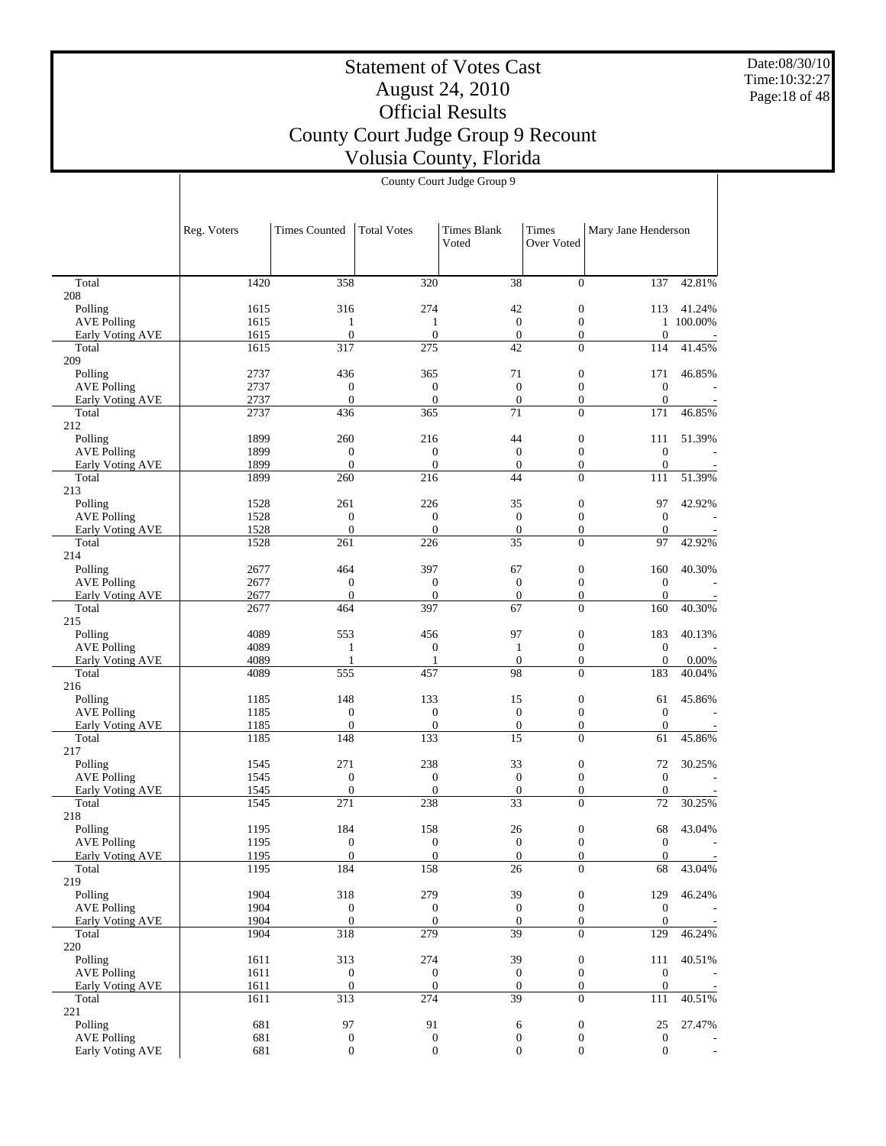Date:08/30/10 Time:10:32:27 Page:18 of 48

## Statement of Votes Cast August 24, 2010 Official Results County Court Judge Group 9 Recount Volusia County, Florida

|                               | County Court Judge Group 9 |                      |                    |                             |                                  |                     |           |  |  |
|-------------------------------|----------------------------|----------------------|--------------------|-----------------------------|----------------------------------|---------------------|-----------|--|--|
|                               | Reg. Voters                | <b>Times Counted</b> | <b>Total Votes</b> | <b>Times Blank</b><br>Voted | Times<br>Over Voted              | Mary Jane Henderson |           |  |  |
| Total                         | 1420                       | 358                  | 320                | 38                          | $\Omega$                         | 137                 | 42.81%    |  |  |
| $^{18}$                       |                            |                      |                    |                             |                                  |                     |           |  |  |
| Polling                       | 1615                       | 316                  | 274                | 42                          | $\mathbf{0}$                     | 113                 | 41.24%    |  |  |
| <b>AVE Polling</b>            | 1615                       | 1                    | 1                  | $\mathbf{0}$                | $\boldsymbol{0}$                 |                     | 1 100.00% |  |  |
| Early Voting AVE              | 1615                       | $\mathbf{0}$         | $\boldsymbol{0}$   | $\boldsymbol{0}$            | 0                                | $\mathbf{0}$        |           |  |  |
| Total<br>)9                   | 1615                       | 317                  | 275                | 42                          | $\overline{0}$                   | 114                 | 41.45%    |  |  |
| Polling                       | 2737                       | 436                  | 365                | 71                          | $\boldsymbol{0}$                 | 171                 | 46.85%    |  |  |
| <b>AVE Polling</b>            | 2737                       | $\overline{0}$       | $\mathbf{0}$       | $\overline{0}$              | $\mathbf{0}$                     | $\mathbf{0}$        |           |  |  |
| Early Voting AVE              | 2737                       | $\overline{0}$       | $\overline{0}$     | $\mathbf{0}$                | $\overline{0}$                   | $\mathbf{0}$        |           |  |  |
| Total<br>12                   | 2737                       | 436                  | 365                | 71                          | $\overline{0}$                   | 171                 | 46.85%    |  |  |
| Polling                       | 1899                       | 260                  | 216                | 44                          | $\boldsymbol{0}$                 | 111                 | 51.39%    |  |  |
| <b>AVE Polling</b>            | 1899                       | $\mathbf{0}$         | $\mathbf{0}$       | $\boldsymbol{0}$            | $\boldsymbol{0}$                 | $\mathbf{0}$        |           |  |  |
| Early Voting AVE              | 1899                       | $\mathbf{0}$         | $\boldsymbol{0}$   | $\boldsymbol{0}$            | $\boldsymbol{0}$                 | $\mathbf{0}$        |           |  |  |
| Total<br>13                   | 1899                       | 260                  | 216                | 44                          | $\mathbf{0}$                     | 111                 | 51.39%    |  |  |
| Polling                       | 1528                       | 261                  | 226                | 35                          | $\boldsymbol{0}$                 | 97                  | 42.92%    |  |  |
| <b>AVE Polling</b>            | 1528                       | $\boldsymbol{0}$     | $\boldsymbol{0}$   | $\boldsymbol{0}$            | $\mathbf{0}$                     | $\mathbf{0}$        |           |  |  |
| Early Voting AVE              | 1528                       | $\mathbf{0}$         | $\mathbf{0}$       | $\boldsymbol{0}$            | $\boldsymbol{0}$                 | $\mathbf{0}$        |           |  |  |
| Total                         | 1528                       | 261                  | 226                | 35                          | $\overline{0}$                   | 97                  | 42.92%    |  |  |
| $\sqrt{4}$                    | 2677                       | 464                  | 397                | 67                          |                                  | 160                 |           |  |  |
| Polling<br><b>AVE Polling</b> | 2677                       | $\mathbf{0}$         | $\boldsymbol{0}$   | $\mathbf{0}$                | $\boldsymbol{0}$<br>$\mathbf{0}$ | $\mathbf{0}$        | 40.30%    |  |  |
| Early Voting AVE              | 2677                       | $\overline{0}$       | $\overline{0}$     | $\mathbf{0}$                | $\overline{0}$                   | $\Omega$            |           |  |  |
| Total                         | 2677                       | 464                  | 397                | 67                          | $\mathbf{0}$                     | 160                 | 40.30%    |  |  |
| 15                            |                            |                      |                    |                             |                                  |                     |           |  |  |
| Polling                       | 4089                       | 553                  | 456                | 97                          | $\boldsymbol{0}$                 | 183                 | 40.13%    |  |  |
| <b>AVE Polling</b>            | 4089                       | $\mathbf{1}$         | $\boldsymbol{0}$   | $\mathbf{1}$                | $\boldsymbol{0}$                 | $\boldsymbol{0}$    |           |  |  |
| <b>Early Voting AVE</b>       | 4089                       | $\mathbf{1}$         | 1                  | $\boldsymbol{0}$            | $\boldsymbol{0}$                 | $\boldsymbol{0}$    | 0.00%     |  |  |
| Total                         | 4089                       | 555                  | 457                | 98                          | $\overline{0}$                   | 183                 | 40.04%    |  |  |
| l6                            |                            |                      |                    |                             |                                  |                     |           |  |  |
| Polling                       | 1185                       | 148                  | 133                | 15                          | $\boldsymbol{0}$                 | 61                  | 45.86%    |  |  |
| <b>AVE Polling</b>            | 1185                       | $\boldsymbol{0}$     | $\boldsymbol{0}$   | $\mathbf{0}$                | $\mathbf{0}$                     | $\mathbf{0}$        |           |  |  |
| Early Voting AVE              | 1185                       | $\overline{0}$       | $\mathbf{0}$       | $\boldsymbol{0}$            | $\overline{0}$                   | $\theta$            |           |  |  |
| Total<br>17                   | 1185                       | 148                  | 133                | 15                          | $\overline{0}$                   | 61                  | 45.86%    |  |  |
| Polling                       | 1545                       | 271                  | 238                | 33                          | $\boldsymbol{0}$                 | 72                  | 30.25%    |  |  |
| <b>AVE Polling</b>            | 1545                       | $\boldsymbol{0}$     | $\boldsymbol{0}$   | $\boldsymbol{0}$            | $\boldsymbol{0}$                 | $\boldsymbol{0}$    |           |  |  |
| Early Voting AVE              | 1545                       | $\boldsymbol{0}$     | $\boldsymbol{0}$   | $\mathbf{0}$                | $\overline{0}$                   | $\mathbf{0}$        |           |  |  |

1545 271 238 33 0 72 30.25% 1195 184 158 26 0 68 43.04% 1195 0 0 0 0 0 0 m 1195 0 0 0 0 0 0 0 1195 184 158 26 0 68 43.04% 1904 318 279 39 0 129 46.24% 1904 0 0 0 0 0 0 -1904 0 0 0 0 0 0 0 1904 318 279 39 0 129 46.24% 1611 313 274 39 0 111 40.51% 1611 0 0 0 0 0 0 -1611 0 0 0 0 0 0 -1611 313 274 39 0 111 40.51% 681 97 91 6 0 25 27.47% 681 0 0 0 0 0 0 -681 0 0 0 0 0 0 -

 Total 208 Polling

 Total 209 Polling

 Total 212 Polling

 Total 213 Polling

 Total 214 Polling

 Total 215 Polling

 Total 216 Polling

 Total 217 Polling

 Total 218 Polling AVE Polling Early Voting AVE

 Total 219 Polling AVE Polling Early Voting AVE

 Total 220 Polling AVE Polling Early Voting AVE

 Total 221 Polling AVE Polling Early Voting AVE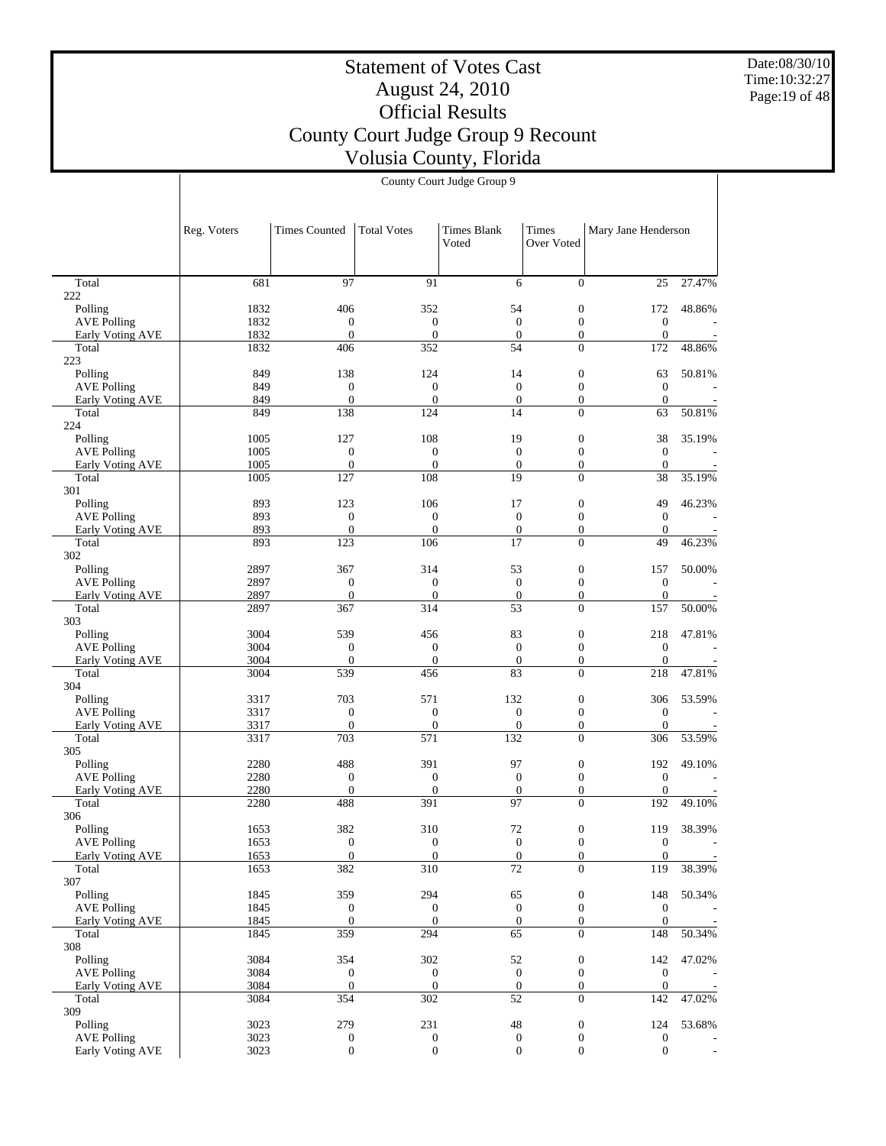Date:08/30/10 Time:10:32:27 Page:19 of 48

# Statement of Votes Cast August 24, 2010 Official Results County Court Judge Group 9 Recount Volusia County, Florida

|                                        | Reg. Voters  | <b>Times Counted</b>           | <b>Total Votes</b>           | Times Blank<br>Voted         | Times<br>Over Voted                | Mary Jane Henderson          |                          |
|----------------------------------------|--------------|--------------------------------|------------------------------|------------------------------|------------------------------------|------------------------------|--------------------------|
|                                        |              |                                |                              |                              |                                    |                              |                          |
| Total<br>222                           | 681          | 97                             | 91                           | 6                            | $\Omega$                           | 25                           | 27.47%                   |
| Polling                                | 1832         | 406                            | 352                          | 54                           | $\mathbf{0}$                       | 172                          | 48.86%                   |
| <b>AVE Polling</b>                     | 1832         | $\mathbf{0}$                   | $\mathbf{0}$                 | $\mathbf{0}$                 | $\mathbf{0}$                       | $\boldsymbol{0}$             |                          |
| Early Voting AVE                       | 1832         | $\overline{0}$                 | $\boldsymbol{0}$             | $\mathbf{0}$                 | $\mathbf{0}$                       | $\mathbf{0}$                 | $\overline{\phantom{a}}$ |
| Total<br>223                           | 1832         | 406                            | 352                          | 54                           | $\Omega$                           | 172                          | 48.86%                   |
| Polling                                | 849          | 138                            | 124                          | 14                           | $\mathbf{0}$                       | 63                           | 50.81%                   |
| <b>AVE Polling</b>                     | 849          | $\mathbf{0}$                   | $\boldsymbol{0}$             | $\mathbf{0}$                 | $\overline{0}$                     | $\mathbf{0}$                 |                          |
| Early Voting AVE                       | 849          | $\boldsymbol{0}$               | $\mathbf{0}$                 | $\mathbf{0}$                 | $\mathbf{0}$                       | $\mathbf{0}$                 |                          |
| Total                                  | 849          | 138                            | 124                          | 14                           | $\Omega$                           | 63                           | 50.81%                   |
| 224<br>Polling                         | 1005         | 127                            | 108                          | 19                           | $\mathbf{0}$                       | 38                           | 35.19%                   |
| <b>AVE Polling</b>                     | 1005         | $\mathbf{0}$                   | $\mathbf{0}$                 | $\mathbf{0}$                 | $\mathbf{0}$                       | $\mathbf{0}$                 |                          |
| Early Voting AVE                       | 1005         | $\mathbf{0}$                   | $\mathbf{0}$                 | $\mathbf{0}$                 | $\mathbf{0}$                       | $\mathbf{0}$                 |                          |
| Total                                  | 1005         | 127                            | 108                          | 19                           | $\overline{0}$                     | 38                           | 35.19%                   |
| 301                                    |              |                                |                              |                              |                                    |                              |                          |
| Polling                                | 893          | 123                            | 106                          | 17                           | $\mathbf{0}$                       | 49                           | 46.23%                   |
| <b>AVE Polling</b><br>Early Voting AVE | 893<br>893   | $\mathbf{0}$<br>$\overline{0}$ | $\mathbf{0}$<br>$\mathbf{0}$ | $\mathbf{0}$<br>$\mathbf{0}$ | $\overline{0}$<br>$\mathbf{0}$     | $\mathbf{0}$<br>$\mathbf{0}$ |                          |
| Total                                  | 893          | 123                            | 106                          | 17                           | $\Omega$                           | 49                           | 46.23%                   |
| 302                                    |              |                                |                              |                              |                                    |                              |                          |
| Polling                                | 2897         | 367                            | 314                          | 53                           | $\mathbf{0}$                       | 157                          | 50.00%                   |
| <b>AVE Polling</b>                     | 2897         | $\boldsymbol{0}$               | $\mathbf{0}$                 | $\mathbf{0}$                 | $\mathbf{0}$                       | $\mathbf{0}$                 |                          |
| Early Voting AVE                       | 2897         | $\mathbf{0}$                   | $\mathbf{0}$                 | $\mathbf{0}$                 | $\mathbf{0}$                       | $\boldsymbol{0}$             |                          |
| Total<br>303                           | 2897         | 367                            | 314                          | 53                           | $\Omega$                           | 157                          | 50.00%                   |
| Polling                                | 3004         | 539                            | 456                          | 83                           | $\mathbf{0}$                       | 218                          | 47.81%                   |
| <b>AVE Polling</b>                     | 3004         | $\mathbf{0}$                   | $\boldsymbol{0}$             | $\mathbf{0}$                 | $\overline{0}$                     | $\mathbf{0}$                 |                          |
| Early Voting AVE                       | 3004         | $\mathbf{0}$                   | $\mathbf{0}$                 | $\mathbf{0}$                 | $\mathbf{0}$                       | $\boldsymbol{0}$             |                          |
| Total                                  | 3004         | 539                            | 456                          | 83                           | $\Omega$                           | 218                          | 47.81%                   |
| 304<br>Polling                         | 3317         | 703                            | 571                          | 132                          | $\mathbf{0}$                       | 306                          | 53.59%                   |
| <b>AVE Polling</b>                     | 3317         | $\mathbf{0}$                   | $\mathbf{0}$                 | $\mathbf{0}$                 | $\overline{0}$                     | $\theta$                     |                          |
| Early Voting AVE                       | 3317         | $\boldsymbol{0}$               | $\boldsymbol{0}$             | $\mathbf{0}$                 | $\mathbf{0}$                       | $\boldsymbol{0}$             |                          |
| Total                                  | 3317         | 703                            | 571                          | 132                          | $\overline{0}$                     | 306                          | 53.59%                   |
| 305                                    |              |                                |                              |                              |                                    |                              |                          |
| Polling                                | 2280         | 488                            | 391                          | 97                           | $\mathbf{0}$                       | 192                          | 49.10%                   |
| <b>AVE Polling</b>                     | 2280<br>2280 | $\mathbf{0}$<br>$\overline{0}$ | $\mathbf{0}$<br>$\mathbf{0}$ | $\mathbf{0}$<br>$\mathbf{0}$ | $\overline{0}$<br>$\mathbf{0}$     | $\mathbf{0}$<br>$\mathbf{0}$ |                          |
| Early Voting AVE<br>Total              | 2280         | 488                            | 391                          | 97                           | $\overline{0}$                     | 192                          | 49.10%                   |
| 306                                    |              |                                |                              |                              |                                    |                              |                          |
| Polling                                | 1653         | 382                            | 310                          | 72                           | $\boldsymbol{0}$                   | 119                          | 38.39%                   |
| <b>AVE Polling</b>                     | 1653         | $\mathbf{0}$                   | $\mathbf{0}$                 | $\mathbf{0}$                 | $\overline{0}$                     | $\mathbf{0}$                 | ÷,                       |
| Early Voting AVE                       | 1653         | $\boldsymbol{0}$               | $\mathbf{0}$                 | $\boldsymbol{0}$             | $\boldsymbol{0}$                   | $\boldsymbol{0}$             |                          |
| Total<br>307                           | 1653         | 382                            | 310                          | $\overline{72}$              | $\overline{0}$                     | 119                          | 38.39%                   |
| Polling                                | 1845         | 359                            | 294                          | 65                           | $\boldsymbol{0}$                   | 148                          | 50.34%                   |
| <b>AVE Polling</b>                     | 1845         | $\boldsymbol{0}$               | $\boldsymbol{0}$             | $\boldsymbol{0}$             | $\mathbf{0}$                       | $\boldsymbol{0}$             |                          |
| Early Voting AVE                       | 1845         | $\mathbf{0}$                   | $\mathbf{0}$                 | $\mathbf{0}$                 | $\overline{0}$                     | $\boldsymbol{0}$             |                          |
| Total                                  | 1845         | 359                            | 294                          | 65                           | $\overline{0}$                     | 148                          | 50.34%                   |
| 308                                    |              |                                |                              |                              |                                    |                              |                          |
| Polling<br><b>AVE Polling</b>          | 3084<br>3084 | 354<br>$\mathbf{0}$            | 302<br>$\boldsymbol{0}$      | 52<br>$\mathbf{0}$           | $\boldsymbol{0}$<br>$\overline{0}$ | 142<br>$\boldsymbol{0}$      | 47.02%                   |
| Early Voting AVE                       | 3084         | $\mathbf{0}$                   | $\mathbf{0}$                 | $\boldsymbol{0}$             | $\boldsymbol{0}$                   | $\boldsymbol{0}$             |                          |
| Total                                  | 3084         | 354                            | 302                          | 52                           | $\overline{0}$                     | 142                          | 47.02%                   |
| 309                                    |              |                                |                              |                              |                                    |                              |                          |
| Polling                                | 3023         | 279                            | 231                          | 48                           | $\boldsymbol{0}$                   | 124                          | 53.68%                   |
| <b>AVE Polling</b>                     | 3023         | $\boldsymbol{0}$               | $\boldsymbol{0}$             | $\boldsymbol{0}$             | $\boldsymbol{0}$                   | $\boldsymbol{0}$             |                          |
| Early Voting AVE                       | 3023         | $\boldsymbol{0}$               | $\mathbf{0}$                 | $\mathbf{0}$                 | $\mathbf{0}$                       | $\mathbf{0}$                 |                          |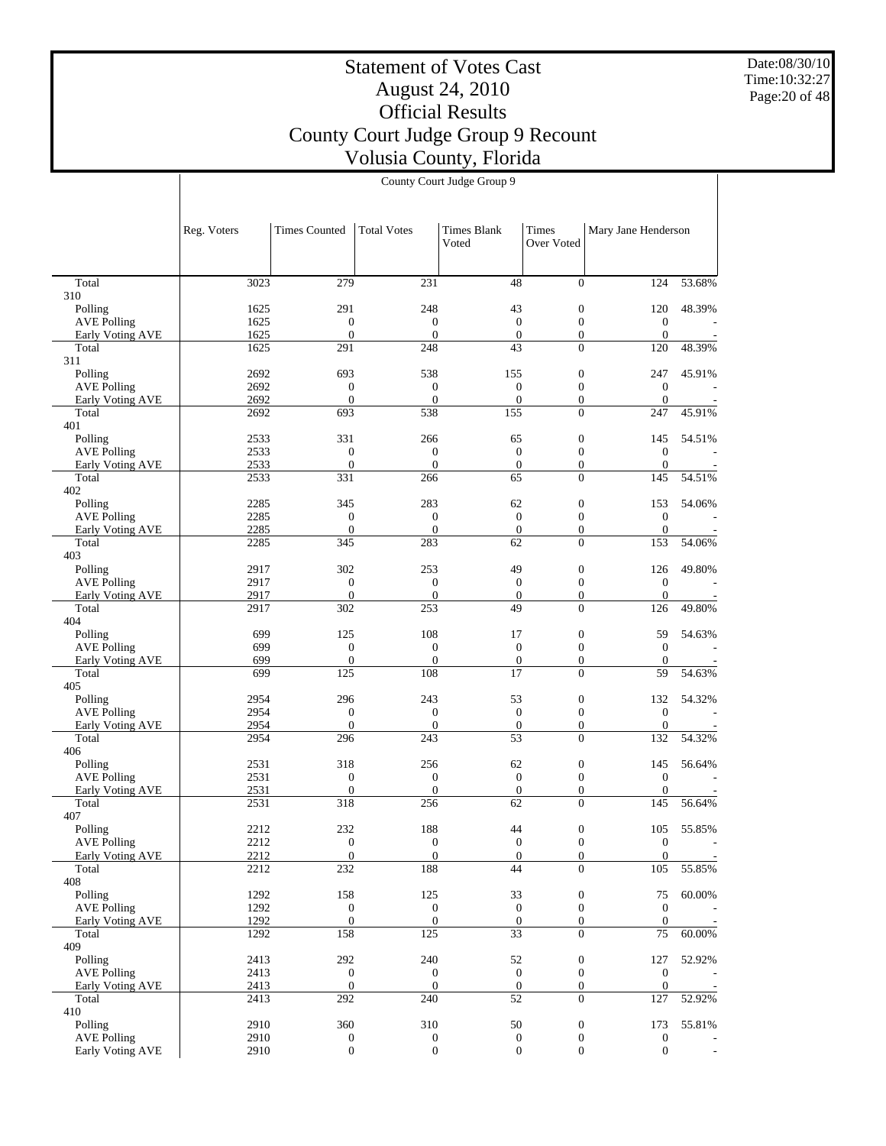Date:08/30/10 Time:10:32:27 Page:20 of 48

# Statement of Votes Cast August 24, 2010 Official Results County Court Judge Group 9 Recount Volusia County, Florida

|                                        | Reg. Voters  | <b>Times Counted</b>                 | Total Votes                          | <b>Times Blank</b><br>Voted          | Times<br>Over Voted                  | Mary Jane Henderson              |                          |
|----------------------------------------|--------------|--------------------------------------|--------------------------------------|--------------------------------------|--------------------------------------|----------------------------------|--------------------------|
|                                        |              |                                      |                                      |                                      |                                      |                                  |                          |
| Total                                  | 3023         | 279                                  | 231                                  | 48                                   | $\overline{0}$                       | 124                              | 53.68%                   |
| 310                                    |              |                                      |                                      |                                      |                                      |                                  |                          |
| Polling                                | 1625         | 291                                  | 248                                  | 43                                   | $\mathbf{0}$                         | 120                              | 48.39%                   |
| <b>AVE Polling</b>                     | 1625<br>1625 | $\boldsymbol{0}$<br>$\boldsymbol{0}$ | $\boldsymbol{0}$<br>$\boldsymbol{0}$ | $\mathbf{0}$<br>$\mathbf{0}$         | $\mathbf{0}$<br>$\mathbf{0}$         | $\mathbf{0}$<br>$\boldsymbol{0}$ |                          |
| Early Voting AVE<br>Total              | 1625         | 291                                  | 248                                  | 43                                   | $\overline{0}$                       | 120                              | 48.39%                   |
| 311                                    |              |                                      |                                      |                                      |                                      |                                  |                          |
| Polling                                | 2692         | 693                                  | 538                                  | 155                                  | $\mathbf{0}$                         | 247                              | 45.91%                   |
| <b>AVE Polling</b>                     | 2692         | $\mathbf{0}$                         | $\mathbf{0}$                         | $\mathbf{0}$                         | $\mathbf{0}$                         | $\mathbf{0}$                     |                          |
| Early Voting AVE<br>Total              | 2692<br>2692 | $\boldsymbol{0}$<br>693              | $\boldsymbol{0}$<br>538              | $\mathbf{0}$<br>155                  | $\mathbf{0}$<br>$\Omega$             | $\boldsymbol{0}$<br>247          | 45.91%                   |
| 401                                    |              |                                      |                                      |                                      |                                      |                                  |                          |
| Polling                                | 2533         | 331                                  | 266                                  | 65                                   | $\mathbf{0}$                         | 145                              | 54.51%                   |
| <b>AVE Polling</b>                     | 2533         | $\mathbf{0}$                         | $\mathbf{0}$                         | $\mathbf{0}$                         | $\mathbf{0}$                         | $\boldsymbol{0}$                 |                          |
| Early Voting AVE                       | 2533         | $\boldsymbol{0}$                     | $\boldsymbol{0}$                     | $\mathbf{0}$                         | $\mathbf{0}$                         | $\boldsymbol{0}$                 |                          |
| Total<br>402                           | 2533         | 331                                  | 266                                  | 65                                   | $\overline{0}$                       | 145                              | 54.51%                   |
| Polling                                | 2285         | 345                                  | 283                                  | 62                                   | $\mathbf{0}$                         | 153                              | 54.06%                   |
| <b>AVE Polling</b>                     | 2285         | $\mathbf{0}$                         | $\mathbf{0}$                         | $\mathbf{0}$                         | $\mathbf{0}$                         | $\mathbf{0}$                     |                          |
| Early Voting AVE                       | 2285         | $\boldsymbol{0}$                     | $\overline{0}$                       | $\overline{0}$                       | $\boldsymbol{0}$                     | $\boldsymbol{0}$                 |                          |
| Total                                  | 2285         | 345                                  | 283                                  | 62                                   | $\Omega$                             | 153                              | 54.06%                   |
| 403<br>Polling                         | 2917         | 302                                  | 253                                  | 49                                   | $\mathbf{0}$                         | 126                              | 49.80%                   |
| <b>AVE Polling</b>                     | 2917         | $\boldsymbol{0}$                     | $\boldsymbol{0}$                     | $\mathbf{0}$                         | $\mathbf{0}$                         | $\mathbf{0}$                     |                          |
| Early Voting AVE                       | 2917         | $\boldsymbol{0}$                     | $\boldsymbol{0}$                     | $\mathbf{0}$                         | $\mathbf{0}$                         | $\boldsymbol{0}$                 |                          |
| Total                                  | 2917         | 302                                  | 253                                  | 49                                   | $\Omega$                             | 126                              | 49.80%                   |
| 404                                    |              |                                      |                                      |                                      |                                      |                                  |                          |
| Polling                                | 699<br>699   | 125<br>$\mathbf{0}$                  | 108<br>$\mathbf{0}$                  | 17<br>$\mathbf{0}$                   | $\mathbf{0}$<br>$\mathbf{0}$         | 59<br>$\mathbf{0}$               | 54.63%                   |
| <b>AVE Polling</b><br>Early Voting AVE | 699          | $\boldsymbol{0}$                     | $\boldsymbol{0}$                     | $\boldsymbol{0}$                     | $\boldsymbol{0}$                     | $\mathbf{0}$                     |                          |
| Total                                  | 699          | 125                                  | 108                                  | 17                                   | $\Omega$                             | 59                               | 54.63%                   |
| 405                                    |              |                                      |                                      |                                      |                                      |                                  |                          |
| Polling                                | 2954         | 296                                  | 243                                  | 53                                   | $\mathbf{0}$                         | 132                              | 54.32%                   |
| <b>AVE Polling</b>                     | 2954<br>2954 | $\boldsymbol{0}$<br>$\boldsymbol{0}$ | $\boldsymbol{0}$<br>$\boldsymbol{0}$ | $\mathbf{0}$<br>$\mathbf{0}$         | $\mathbf{0}$<br>$\mathbf{0}$         | $\mathbf{0}$<br>$\boldsymbol{0}$ |                          |
| Early Voting AVE<br>Total              | 2954         | 296                                  | 243                                  | 53                                   | $\overline{0}$                       | 132                              | 54.32%                   |
| 406                                    |              |                                      |                                      |                                      |                                      |                                  |                          |
| Polling                                | 2531         | 318                                  | 256                                  | 62                                   | $\mathbf{0}$                         | 145                              | 56.64%                   |
| <b>AVE Polling</b>                     | 2531         | $\mathbf{0}$                         | $\mathbf{0}$                         | $\mathbf{0}$                         | $\mathbf{0}$                         | $\mathbf{0}$                     |                          |
| <b>Early Voting AVE</b><br>Total       | 2531<br>2531 | $\boldsymbol{0}$<br>318              | $\boldsymbol{0}$<br>256              | $\boldsymbol{0}$<br>62               | $\boldsymbol{0}$<br>$\overline{0}$   | $\boldsymbol{0}$<br>145          | 56.64%                   |
| 407                                    |              |                                      |                                      |                                      |                                      |                                  |                          |
| Polling                                | 2212         | 232                                  | 188                                  | 44                                   | $\boldsymbol{0}$                     | 105                              | 55.85%                   |
| <b>AVE Polling</b>                     | 2212         | $\mathbf{0}$                         | $\mathbf{0}$                         | $\mathbf{0}$                         | $\overline{0}$                       | $\mathbf{0}$                     | $\overline{\phantom{a}}$ |
| Early Voting AVE                       | 2212         | $\overline{0}$                       | $\boldsymbol{0}$                     | $\boldsymbol{0}$                     | $\boldsymbol{0}$                     | $\boldsymbol{0}$                 |                          |
| Total<br>408                           | 2212         | $\overline{232}$                     | 188                                  | 44                                   | $\overline{0}$                       | 105                              | 55.85%                   |
| Polling                                | 1292         | 158                                  | 125                                  | 33                                   | $\boldsymbol{0}$                     | 75                               | 60.00%                   |
| <b>AVE Polling</b>                     | 1292         | $\boldsymbol{0}$                     | $\mathbf{0}$                         | $\boldsymbol{0}$                     | $\mathbf{0}$                         | $\mathbf{0}$                     |                          |
| <b>Early Voting AVE</b>                | 1292         | $\boldsymbol{0}$                     | $\boldsymbol{0}$                     | $\mathbf{0}$                         | $\mathbf{0}$                         | $\boldsymbol{0}$                 |                          |
| Total                                  | 1292         | 158                                  | 125                                  | $\overline{33}$                      | $\overline{0}$                       | 75                               | 60.00%                   |
| 409                                    |              |                                      |                                      |                                      |                                      |                                  | 52.92%                   |
| Polling<br><b>AVE Polling</b>          | 2413<br>2413 | 292<br>$\boldsymbol{0}$              | 240<br>$\boldsymbol{0}$              | 52<br>$\boldsymbol{0}$               | $\boldsymbol{0}$<br>$\boldsymbol{0}$ | 127<br>$\boldsymbol{0}$          |                          |
| Early Voting AVE                       | 2413         | $\boldsymbol{0}$                     | $\mathbf{0}$                         | $\mathbf{0}$                         | $\boldsymbol{0}$                     | $\boldsymbol{0}$                 |                          |
| Total                                  | 2413         | 292                                  | 240                                  | 52                                   | $\overline{0}$                       | 127                              | 52.92%                   |
| 410                                    |              |                                      |                                      |                                      |                                      |                                  |                          |
| Polling                                | 2910         | 360                                  | 310                                  | 50                                   | $\boldsymbol{0}$                     | 173                              | 55.81%                   |
| <b>AVE Polling</b><br>Early Voting AVE | 2910<br>2910 | $\boldsymbol{0}$<br>$\boldsymbol{0}$ | $\mathbf{0}$<br>$\boldsymbol{0}$     | $\boldsymbol{0}$<br>$\boldsymbol{0}$ | $\boldsymbol{0}$<br>$\mathbf{0}$     | $\mathbf{0}$<br>$\boldsymbol{0}$ | $\overline{\phantom{a}}$ |
|                                        |              |                                      |                                      |                                      |                                      |                                  |                          |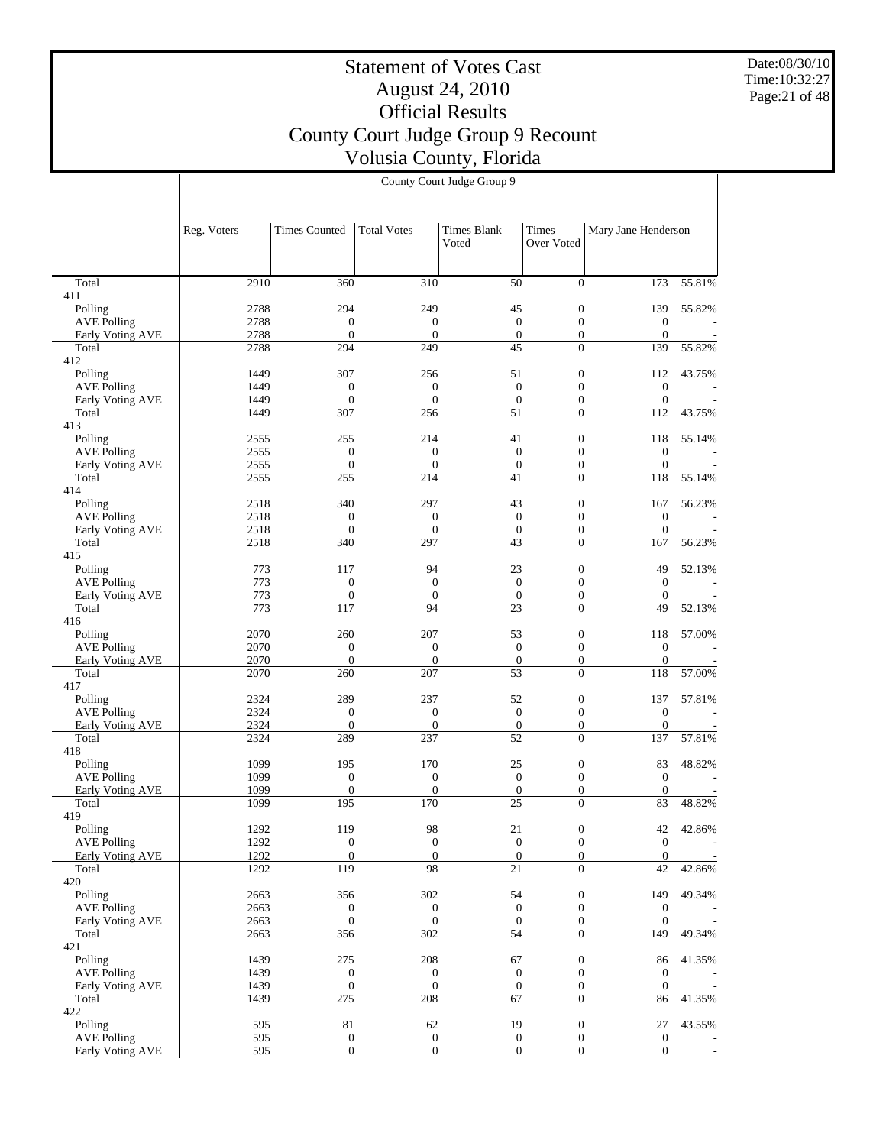Date:08/30/10 Time:10:32:27 Page:21 of 48

# Statement of Votes Cast August 24, 2010 Official Results County Court Judge Group 9 Recount Volusia County, Florida

|                                        | Reg. Voters  | <b>Times Counted</b>         | <b>Total Votes</b>               | <b>Times Blank</b>                  | Times                                | Mary Jane Henderson              |        |
|----------------------------------------|--------------|------------------------------|----------------------------------|-------------------------------------|--------------------------------------|----------------------------------|--------|
|                                        |              |                              |                                  | Voted                               | Over Voted                           |                                  |        |
| Total                                  | 2910         | 360                          | 310                              | 50                                  | $\overline{0}$                       | 173                              | 55.81% |
| 411                                    |              |                              |                                  |                                     |                                      |                                  |        |
| Polling                                | 2788<br>2788 | 294<br>$\mathbf{0}$          | 249<br>$\mathbf{0}$              | 45<br>$\mathbf{0}$                  | $\mathbf{0}$<br>$\mathbf{0}$         | 139<br>$\mathbf{0}$              | 55.82% |
| <b>AVE Polling</b><br>Early Voting AVE | 2788         | $\mathbf{0}$                 | $\mathbf{0}$                     | $\boldsymbol{0}$                    | $\mathbf{0}$                         | $\mathbf{0}$                     |        |
| Total                                  | 2788         | 294                          | 249                              | 45                                  | $\overline{0}$                       | 139                              | 55.82% |
| 412                                    |              |                              |                                  |                                     |                                      |                                  |        |
| Polling<br>AVE Polling                 | 1449<br>1449 | 307<br>$\mathbf{0}$          | 256<br>$\boldsymbol{0}$          | 51<br>$\boldsymbol{0}$              | $\mathbf{0}$<br>$\boldsymbol{0}$     | 112<br>$\boldsymbol{0}$          | 43.75% |
| Early Voting AVE                       | 1449         | $\mathbf{0}$                 | $\boldsymbol{0}$                 | $\boldsymbol{0}$                    | $\mathbf{0}$                         | $\boldsymbol{0}$                 |        |
| Total                                  | 1449         | 307                          | 256                              | 51                                  | $\overline{0}$                       | 112                              | 43.75% |
| 413<br>Polling                         | 2555         | 255                          | 214                              | 41                                  | $\mathbf{0}$                         | 118                              | 55.14% |
| <b>AVE Polling</b>                     | 2555         | $\mathbf{0}$                 | $\boldsymbol{0}$                 | $\mathbf{0}$                        | $\mathbf{0}$                         | $\boldsymbol{0}$                 |        |
| Early Voting AVE                       | 2555         | $\boldsymbol{0}$             | $\overline{0}$                   | $\boldsymbol{0}$                    | $\mathbf{0}$                         | $\boldsymbol{0}$                 |        |
| Total                                  | 2555         | 255                          | 214                              | 41                                  | $\overline{0}$                       | 118                              | 55.14% |
| 414<br>Polling                         | 2518         | 340                          | 297                              | 43                                  | $\boldsymbol{0}$                     | 167                              | 56.23% |
| <b>AVE Polling</b>                     | 2518         | $\mathbf{0}$                 | $\boldsymbol{0}$                 | $\boldsymbol{0}$                    | $\mathbf{0}$                         | $\mathbf{0}$                     |        |
| Early Voting AVE                       | 2518         | $\theta$                     | $\mathbf{0}$                     | $\mathbf{0}$                        | $\mathbf{0}$                         | $\mathbf{0}$                     |        |
| Total<br>415                           | 2518         | 340                          | 297                              | 43                                  | $\overline{0}$                       | 167                              | 56.23% |
| Polling                                | 773          | 117                          | 94                               | 23                                  | $\boldsymbol{0}$                     | 49                               | 52.13% |
| <b>AVE Polling</b>                     | 773          | $\theta$                     | $\mathbf{0}$                     | $\mathbf{0}$                        | $\mathbf{0}$                         | $\mathbf{0}$                     |        |
| Early Voting AVE                       | 773          | $\boldsymbol{0}$             | $\mathbf{0}$                     | $\boldsymbol{0}$                    | $\mathbf{0}$                         | $\boldsymbol{0}$                 |        |
| Total<br>416                           | 773          | 117                          | 94                               | 23                                  | $\overline{0}$                       | 49                               | 52.13% |
| Polling                                | 2070         | 260                          | 207                              | 53                                  | $\mathbf{0}$                         | 118                              | 57.00% |
| <b>AVE Polling</b>                     | 2070         | $\overline{0}$               | $\boldsymbol{0}$                 | $\boldsymbol{0}$                    | $\boldsymbol{0}$                     | $\boldsymbol{0}$                 |        |
| Early Voting AVE<br>Total              | 2070<br>2070 | $\mathbf{0}$<br>260          | $\boldsymbol{0}$<br>207          | $\boldsymbol{0}$<br>$\overline{53}$ | $\mathbf{0}$<br>$\overline{0}$       | $\boldsymbol{0}$<br>118          | 57.00% |
| 417                                    |              |                              |                                  |                                     |                                      |                                  |        |
| Polling                                | 2324         | 289                          | 237                              | 52                                  | $\mathbf{0}$                         | 137                              | 57.81% |
| <b>AVE Polling</b>                     | 2324         | $\mathbf{0}$<br>$\mathbf{0}$ | $\boldsymbol{0}$                 | $\mathbf{0}$                        | $\mathbf{0}$                         | $\mathbf{0}$                     |        |
| Early Voting AVE<br>Total              | 2324<br>2324 | 289                          | $\boldsymbol{0}$<br>237          | $\boldsymbol{0}$<br>52              | $\mathbf{0}$<br>$\overline{0}$       | $\boldsymbol{0}$<br>137          | 57.81% |
| 418                                    |              |                              |                                  |                                     |                                      |                                  |        |
| Polling                                | 1099         | 195                          | 170                              | 25                                  | $\mathbf{0}$                         | 83                               | 48.82% |
| <b>AVE Polling</b><br>Early Voting AVE | 1099<br>1099 | $\mathbf{0}$<br>$\mathbf{0}$ | $\boldsymbol{0}$<br>$\mathbf{0}$ | $\boldsymbol{0}$<br>$\mathbf{0}$    | $\mathbf{0}$<br>$\mathbf{0}$         | $\mathbf{0}$<br>$\mathbf{0}$     |        |
| Total                                  | 1099         | 195                          | 170                              | 25                                  | $\overline{0}$                       | 83                               | 48.82% |
| 419                                    |              |                              |                                  |                                     |                                      |                                  |        |
| Polling                                | 1292         | 119                          | 98<br>$\mathbf{0}$               | 21<br>$\boldsymbol{0}$              | $\boldsymbol{0}$                     | 42                               | 42.86% |
| <b>AVE Polling</b><br>Early Voting AVE | 1292<br>1292 | $\theta$<br>$\boldsymbol{0}$ | $\mathbf{0}$                     | $\boldsymbol{0}$                    | $\boldsymbol{0}$<br>$\boldsymbol{0}$ | $\mathbf{0}$<br>$\boldsymbol{0}$ | ÷,     |
| Total                                  | 1292         | 119                          | 98                               | $\overline{21}$                     | $\overline{0}$                       | 42                               | 42.86% |
| 420                                    |              |                              |                                  |                                     |                                      |                                  |        |
| Polling<br><b>AVE Polling</b>          | 2663<br>2663 | 356<br>$\mathbf{0}$          | 302<br>$\boldsymbol{0}$          | 54<br>$\boldsymbol{0}$              | $\boldsymbol{0}$<br>$\mathbf{0}$     | 149<br>$\boldsymbol{0}$          | 49.34% |
| Early Voting AVE                       | 2663         | $\mathbf{0}$                 | $\boldsymbol{0}$                 | $\boldsymbol{0}$                    | $\mathbf{0}$                         | $\mathbf{0}$                     |        |
| Total                                  | 2663         | 356                          | 302                              | $\overline{54}$                     | $\overline{0}$                       | 149                              | 49.34% |
| 421                                    |              |                              |                                  |                                     |                                      |                                  |        |
| Polling<br><b>AVE Polling</b>          | 1439<br>1439 | 275<br>$\mathbf{0}$          | 208<br>$\boldsymbol{0}$          | 67<br>$\mathbf{0}$                  | $\boldsymbol{0}$<br>$\overline{0}$   | 86<br>$\boldsymbol{0}$           | 41.35% |
| Early Voting AVE                       | 1439         | $\boldsymbol{0}$             | $\mathbf{0}$                     | $\boldsymbol{0}$                    | $\mathbf{0}$                         | $\boldsymbol{0}$                 |        |
| Total                                  | 1439         | 275                          | 208                              | 67                                  | $\overline{0}$                       | 86                               | 41.35% |
| 422<br>Polling                         | 595          | $81\,$                       | 62                               | 19                                  | $\boldsymbol{0}$                     | 27                               | 43.55% |
| <b>AVE Polling</b>                     | 595          | $\mathbf{0}$                 | $\boldsymbol{0}$                 | $\boldsymbol{0}$                    | $\boldsymbol{0}$                     | $\boldsymbol{0}$                 |        |
| Early Voting AVE                       | 595          | $\mathbf{0}$                 | $\overline{0}$                   | $\boldsymbol{0}$                    | $\mathbf{0}$                         | $\mathbf{0}$                     | ÷,     |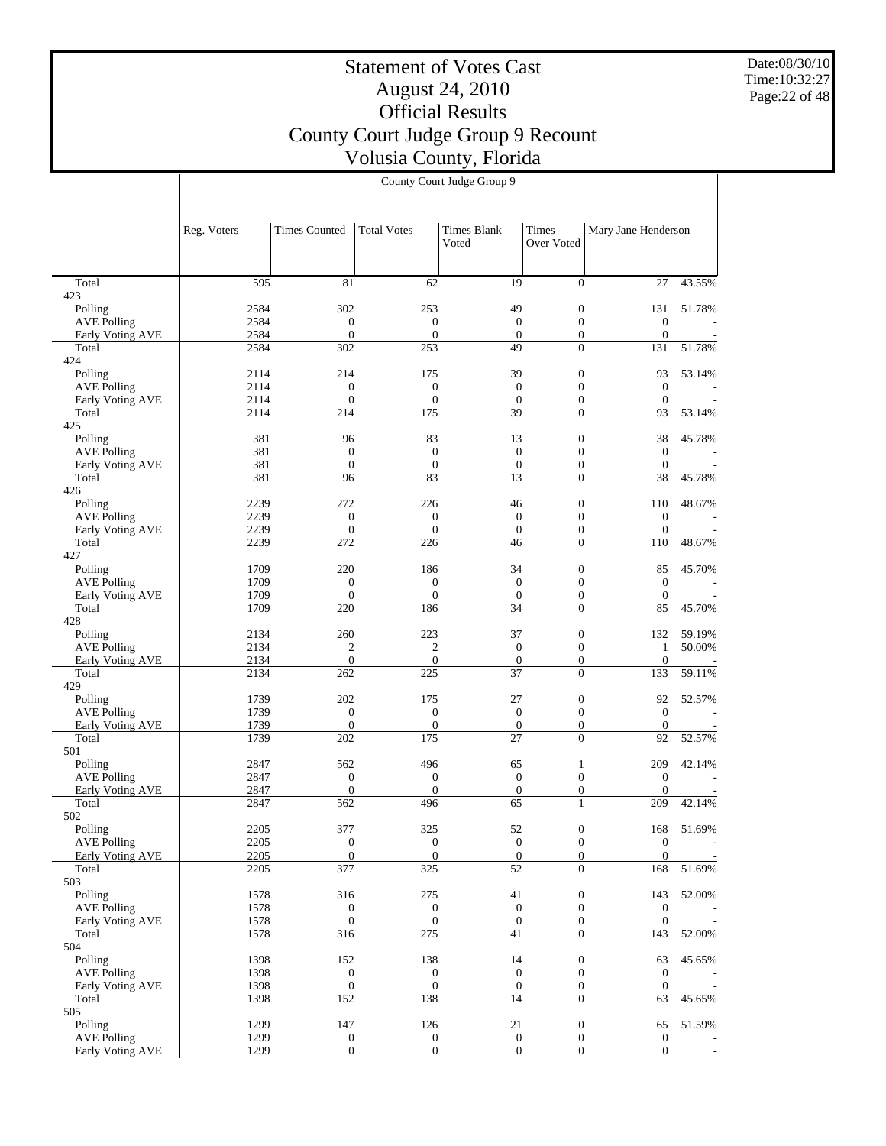Date:08/30/10 Time:10:32:27 Page:22 of 48

# Statement of Votes Cast August 24, 2010 Official Results County Court Judge Group 9 Recount Volusia County, Florida

|                                        | Reg. Voters  | <b>Times Counted</b>                 | <b>Total Votes</b>                   | <b>Times Blank</b><br>Voted      | Times<br>Over Voted              | Mary Jane Henderson                  |        |
|----------------------------------------|--------------|--------------------------------------|--------------------------------------|----------------------------------|----------------------------------|--------------------------------------|--------|
| Total                                  | 595          | 81                                   | 62                                   | 19                               | $\overline{0}$                   | 27                                   | 43.55% |
| 423                                    |              |                                      |                                      |                                  |                                  |                                      |        |
| Polling                                | 2584         | 302                                  | 253                                  | 49                               | $\boldsymbol{0}$                 | 131                                  | 51.78% |
| <b>AVE Polling</b><br>Early Voting AVE | 2584<br>2584 | $\boldsymbol{0}$<br>$\boldsymbol{0}$ | $\mathbf{0}$<br>$\boldsymbol{0}$     | $\boldsymbol{0}$<br>$\mathbf{0}$ | $\mathbf{0}$<br>$\mathbf{0}$     | $\boldsymbol{0}$<br>$\boldsymbol{0}$ |        |
| Total                                  | 2584         | 302                                  | 253                                  | 49                               | $\Omega$                         | 131                                  | 51.78% |
| 424                                    |              |                                      |                                      |                                  |                                  |                                      |        |
| Polling                                | 2114         | 214                                  | 175                                  | 39                               | $\boldsymbol{0}$                 | 93                                   | 53.14% |
| <b>AVE Polling</b>                     | 2114<br>2114 | $\boldsymbol{0}$<br>$\boldsymbol{0}$ | $\boldsymbol{0}$<br>$\boldsymbol{0}$ | $\mathbf{0}$<br>$\boldsymbol{0}$ | $\boldsymbol{0}$<br>$\mathbf{0}$ | $\mathbf{0}$<br>$\mathbf{0}$         |        |
| Early Voting AVE<br>Total              | 2114         | 214                                  | 175                                  | 39                               | $\Omega$                         | 93                                   | 53.14% |
| 425                                    |              |                                      |                                      |                                  |                                  |                                      |        |
| Polling                                | 381          | 96                                   | 83                                   | 13                               | $\boldsymbol{0}$                 | 38                                   | 45.78% |
| <b>AVE Polling</b>                     | 381          | $\mathbf{0}$                         | $\mathbf{0}$                         | $\boldsymbol{0}$                 | $\mathbf{0}$                     | $\mathbf{0}$                         |        |
| Early Voting AVE                       | 381          | $\theta$                             | $\mathbf{0}$                         | $\boldsymbol{0}$                 | $\mathbf{0}$                     | $\mathbf{0}$                         |        |
| Total<br>426                           | 381          | 96                                   | 83                                   | 13                               | $\mathbf{0}$                     | 38                                   | 45.78% |
| Polling                                | 2239         | 272                                  | 226                                  | 46                               | $\boldsymbol{0}$                 | 110                                  | 48.67% |
| <b>AVE Polling</b>                     | 2239         | $\boldsymbol{0}$                     | $\mathbf{0}$                         | $\boldsymbol{0}$                 | $\boldsymbol{0}$                 | $\boldsymbol{0}$                     |        |
| Early Voting AVE                       | 2239         | $\overline{0}$                       | $\overline{0}$                       | $\boldsymbol{0}$                 | $\mathbf{0}$                     | $\boldsymbol{0}$                     |        |
| Total                                  | 2239         | 272                                  | 226                                  | 46                               | $\overline{0}$                   | 110                                  | 48.67% |
| 427<br>Polling                         | 1709         | 220                                  | 186                                  | 34                               | $\mathbf{0}$                     | 85                                   | 45.70% |
| <b>AVE Polling</b>                     | 1709         | $\boldsymbol{0}$                     | $\mathbf{0}$                         | $\mathbf{0}$                     | $\mathbf{0}$                     | $\boldsymbol{0}$                     |        |
| Early Voting AVE                       | 1709         | $\theta$                             | $\mathbf{0}$                         | $\mathbf{0}$                     | $\boldsymbol{0}$                 | $\mathbf{0}$                         |        |
| Total<br>428                           | 1709         | 220                                  | 186                                  | 34                               | $\Omega$                         | 85                                   | 45.70% |
| Polling                                | 2134         | 260                                  | 223                                  | 37                               | $\boldsymbol{0}$                 | 132                                  | 59.19% |
| <b>AVE Polling</b>                     | 2134         | $\overline{c}$                       | $\overline{c}$                       | $\mathbf{0}$                     | $\boldsymbol{0}$                 | $\mathbf{1}$                         | 50.00% |
| Early Voting AVE                       | 2134         | $\mathbf{0}$                         | $\mathbf{0}$                         | $\boldsymbol{0}$                 | $\boldsymbol{0}$                 | $\boldsymbol{0}$                     |        |
| Total<br>429                           | 2134         | 262                                  | 225                                  | 37                               | $\Omega$                         | 133                                  | 59.11% |
| Polling                                | 1739         | 202                                  | 175                                  | 27                               | $\mathbf{0}$                     | 92                                   | 52.57% |
| <b>AVE Polling</b>                     | 1739         | $\mathbf{0}$                         | $\mathbf{0}$                         | $\boldsymbol{0}$                 | $\mathbf{0}$                     | $\mathbf{0}$                         |        |
| Early Voting AVE                       | 1739         | $\boldsymbol{0}$                     | $\boldsymbol{0}$                     | $\mathbf{0}$                     | $\mathbf{0}$                     | $\mathbf{0}$                         |        |
| Total                                  | 1739         | 202                                  | 175                                  | 27                               | $\overline{0}$                   | 92                                   | 52.57% |
| 501<br>Polling                         | 2847         | 562                                  | 496                                  | 65                               | $\mathbf{1}$                     | 209                                  | 42.14% |
| <b>AVE Polling</b>                     | 2847         | $\mathbf{0}$                         | $\mathbf{0}$                         | $\mathbf{0}$                     | $\boldsymbol{0}$                 | $\boldsymbol{0}$                     |        |
| Early Voting AVE                       | 2847         | $\overline{0}$                       | $\boldsymbol{0}$                     | $\boldsymbol{0}$                 | $\boldsymbol{0}$                 | $\boldsymbol{0}$                     |        |
| Total                                  | 2847         | 562                                  | 496                                  | 65                               | $\mathbf{1}$                     | 209                                  | 42.14% |
| 502                                    |              |                                      |                                      |                                  |                                  |                                      |        |
| Polling                                | 2205<br>2205 | 377<br>$\boldsymbol{0}$              | 325<br>$\mathbf{0}$                  | 52<br>$\boldsymbol{0}$           | $\boldsymbol{0}$<br>$\mathbf{0}$ | 168<br>$\boldsymbol{0}$              | 51.69% |
| <b>AVE Polling</b><br>Early Voting AVE | 2205         | $\mathbf{0}$                         | $\boldsymbol{0}$                     | $\boldsymbol{0}$                 | $\boldsymbol{0}$                 | $\boldsymbol{0}$                     |        |
| Total                                  | 2205         | 377                                  | 325                                  | 52                               | $\mathbf{0}$                     | 168                                  | 51.69% |
| 503                                    |              |                                      |                                      |                                  |                                  |                                      |        |
| Polling                                | 1578         | 316                                  | 275                                  | 41                               | $\boldsymbol{0}$                 | 143                                  | 52.00% |
| <b>AVE Polling</b>                     | 1578         | $\mathbf{0}$                         | $\mathbf{0}$                         | $\boldsymbol{0}$                 | $\boldsymbol{0}$                 | $\boldsymbol{0}$                     |        |
| Early Voting AVE<br>Total              | 1578<br>1578 | $\mathbf{0}$<br>316                  | $\boldsymbol{0}$<br>275              | $\boldsymbol{0}$<br>41           | $\mathbf{0}$<br>$\mathbf{0}$     | $\mathbf{0}$<br>143                  | 52.00% |
| 504                                    |              |                                      |                                      |                                  |                                  |                                      |        |
| Polling                                | 1398         | 152                                  | 138                                  | 14                               | $\boldsymbol{0}$                 | 63                                   | 45.65% |
| <b>AVE Polling</b>                     | 1398         | $\mathbf{0}$                         | $\boldsymbol{0}$                     | $\boldsymbol{0}$                 | $\boldsymbol{0}$                 | $\mathbf{0}$                         |        |
| Early Voting AVE                       | 1398         | $\mathbf{0}$                         | $\mathbf{0}$                         | $\mathbf{0}$                     | $\mathbf{0}$                     | $\mathbf{0}$                         |        |
| Total<br>505                           | 1398         | 152                                  | 138                                  | 14                               | $\theta$                         | 63                                   | 45.65% |
| Polling                                | 1299         | 147                                  | 126                                  | 21                               | $\boldsymbol{0}$                 | 65                                   | 51.59% |
| <b>AVE Polling</b>                     | 1299         | $\boldsymbol{0}$                     | $\mathbf{0}$                         | $\boldsymbol{0}$                 | $\boldsymbol{0}$                 | $\mathbf{0}$                         |        |
| Early Voting AVE                       | 1299         | $\boldsymbol{0}$                     | $\boldsymbol{0}$                     | $\boldsymbol{0}$                 | $\mathbf{0}$                     | $\boldsymbol{0}$                     |        |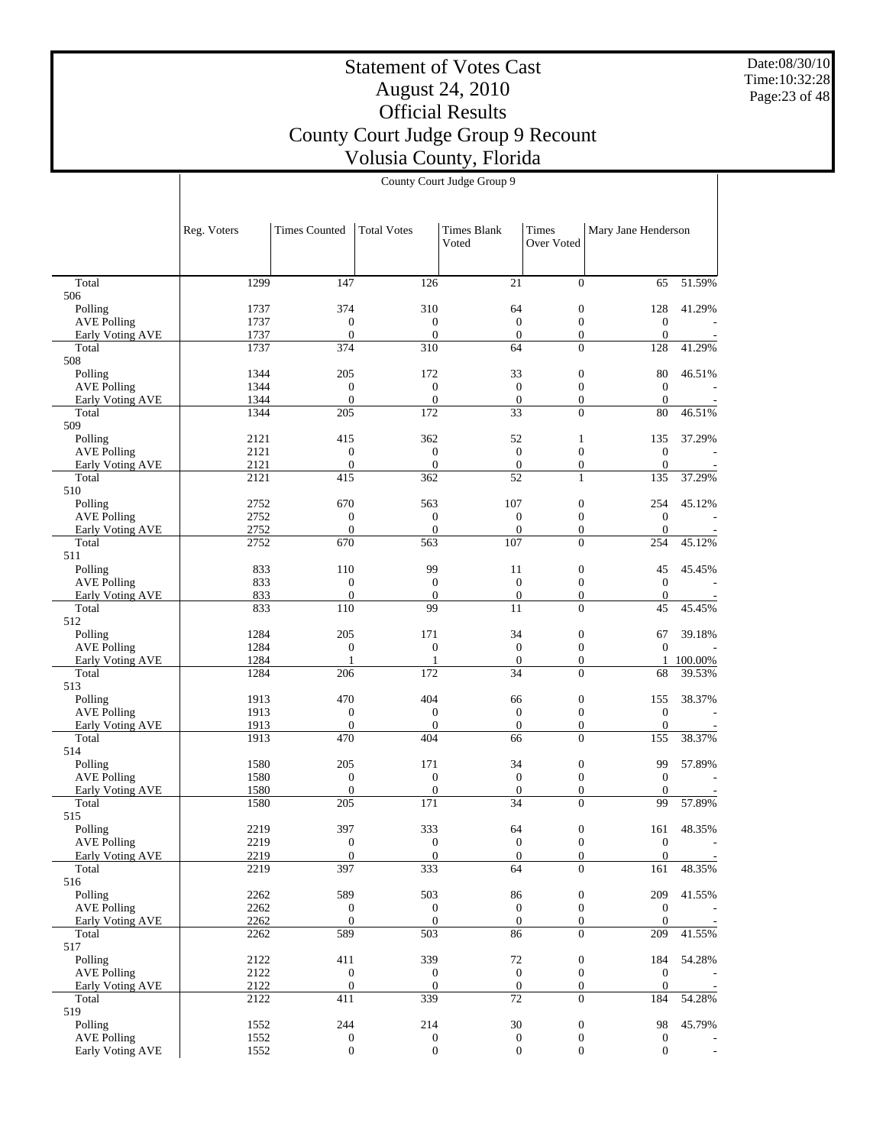Date:08/30/10 Time:10:32:28 Page:23 of 48

# Statement of Votes Cast August 24, 2010 Official Results County Court Judge Group 9 Recount Volusia County, Florida

|                                        | Reg. Voters  | <b>Times Counted</b>             | <b>Total Votes</b>                   | <b>Times Blank</b><br>Voted          | Times<br><b>Over Voted</b>           | Mary Jane Henderson                  |               |
|----------------------------------------|--------------|----------------------------------|--------------------------------------|--------------------------------------|--------------------------------------|--------------------------------------|---------------|
|                                        |              |                                  |                                      |                                      |                                      |                                      |               |
| Total<br>506                           | 1299         | 147                              | 126                                  | 21                                   | $\overline{0}$                       | 65                                   | 51.59%        |
| Polling                                | 1737         | 374                              | 310                                  | 64                                   | $\boldsymbol{0}$                     | 128                                  | 41.29%        |
| <b>AVE Polling</b>                     | 1737         | $\mathbf{0}$                     | $\boldsymbol{0}$                     | $\mathbf{0}$                         | $\boldsymbol{0}$                     | $\boldsymbol{0}$                     |               |
| Early Voting AVE                       | 1737         | $\mathbf{0}$                     | $\mathbf{0}$                         | $\mathbf{0}$                         | $\boldsymbol{0}$                     | $\boldsymbol{0}$                     |               |
| Total<br>508                           | 1737         | 374                              | 310                                  | 64                                   | $\Omega$                             | 128                                  | 41.29%        |
| Polling                                | 1344         | 205                              | 172                                  | 33                                   | $\boldsymbol{0}$                     | 80                                   | 46.51%        |
| <b>AVE Polling</b>                     | 1344         | $\mathbf{0}$                     | $\boldsymbol{0}$                     | $\mathbf{0}$                         | $\boldsymbol{0}$                     | $\mathbf{0}$                         |               |
| <b>Early Voting AVE</b>                | 1344         | $\boldsymbol{0}$                 | $\boldsymbol{0}$                     | $\boldsymbol{0}$                     | $\boldsymbol{0}$                     | $\boldsymbol{0}$                     |               |
| Total                                  | 1344         | 205                              | 172                                  | 33                                   | $\theta$                             | 80                                   | 46.51%        |
| 509<br>Polling                         | 2121         | 415                              | 362                                  | 52                                   | $\mathbf{1}$                         | 135                                  | 37.29%        |
| <b>AVE Polling</b>                     | 2121         | $\mathbf{0}$                     | $\boldsymbol{0}$                     | $\mathbf{0}$                         | $\boldsymbol{0}$                     | $\boldsymbol{0}$                     |               |
| Early Voting AVE                       | 2121         | $\mathbf{0}$                     | $\boldsymbol{0}$                     | $\mathbf{0}$                         | $\boldsymbol{0}$                     | $\boldsymbol{0}$                     |               |
| Total                                  | 2121         | 415                              | 362                                  | $\overline{52}$                      | $\mathbf{1}$                         | 135                                  | 37.29%        |
| 510<br>Polling                         | 2752         | 670                              | 563                                  | 107                                  | $\boldsymbol{0}$                     | 254                                  | 45.12%        |
| <b>AVE Polling</b>                     | 2752         | $\mathbf{0}$                     | $\mathbf{0}$                         | $\mathbf{0}$                         | $\boldsymbol{0}$                     | $\mathbf{0}$                         |               |
| <b>Early Voting AVE</b>                | 2752         | $\boldsymbol{0}$                 | $\mathbf{0}$                         | $\mathbf{0}$                         | $\boldsymbol{0}$                     | $\boldsymbol{0}$                     |               |
| Total                                  | 2752         | 670                              | 563                                  | 107                                  | $\theta$                             | 254                                  | 45.12%        |
| 511                                    |              |                                  |                                      |                                      |                                      |                                      |               |
| Polling<br><b>AVE Polling</b>          | 833<br>833   | 110<br>$\boldsymbol{0}$          | 99<br>$\mathbf{0}$                   | 11<br>$\mathbf{0}$                   | $\boldsymbol{0}$<br>$\boldsymbol{0}$ | 45<br>$\mathbf{0}$                   | 45.45%        |
| Early Voting AVE                       | 833          | $\boldsymbol{0}$                 | $\mathbf{0}$                         | $\boldsymbol{0}$                     | $\boldsymbol{0}$                     | $\boldsymbol{0}$                     |               |
| Total                                  | 833          | 110                              | 99                                   | 11                                   | $\theta$                             | 45                                   | 45.45%        |
| 512                                    |              |                                  |                                      |                                      |                                      |                                      |               |
| Polling                                | 1284         | 205                              | 171                                  | 34                                   | $\boldsymbol{0}$                     | 67                                   | 39.18%        |
| <b>AVE Polling</b><br>Early Voting AVE | 1284<br>1284 | $\mathbf{0}$<br>$\mathbf{1}$     | $\boldsymbol{0}$<br>1                | $\mathbf{0}$<br>$\boldsymbol{0}$     | $\boldsymbol{0}$<br>$\boldsymbol{0}$ | $\mathbf{0}$<br>$\mathbf{1}$         | 100.00%       |
| Total                                  | 1284         | 206                              | 172                                  | 34                                   | $\theta$                             | 68                                   | 39.53%        |
| 513                                    |              |                                  |                                      |                                      |                                      |                                      |               |
| Polling                                | 1913         | 470                              | 404                                  | 66                                   | $\boldsymbol{0}$                     | 155                                  | 38.37%        |
| <b>AVE Polling</b>                     | 1913         | $\mathbf{0}$                     | $\boldsymbol{0}$                     | $\mathbf{0}$                         | $\mathbf{0}$                         | $\boldsymbol{0}$                     |               |
| Early Voting AVE<br>Total              | 1913<br>1913 | $\boldsymbol{0}$<br>470          | $\boldsymbol{0}$<br>404              | $\boldsymbol{0}$<br>66               | $\boldsymbol{0}$<br>$\overline{0}$   | $\boldsymbol{0}$<br>155              | 38.37%        |
| 514                                    |              |                                  |                                      |                                      |                                      |                                      |               |
| Polling                                | 1580         | 205                              | 171                                  | 34                                   | $\boldsymbol{0}$                     | 99                                   | 57.89%        |
| <b>AVE Polling</b>                     | 1580         | $\mathbf{0}$                     | $\boldsymbol{0}$                     | $\mathbf{0}$                         | $\boldsymbol{0}$                     | $\mathbf{0}$                         |               |
| <b>Early Voting AVE</b>                | 1580         | $\boldsymbol{0}$<br>205          | $\boldsymbol{0}$<br>171              | $\boldsymbol{0}$<br>34               | $\boldsymbol{0}$<br>$\theta$         | $\boldsymbol{0}$<br>99               | 57.89%        |
| Total<br>515                           | 1580         |                                  |                                      |                                      |                                      |                                      |               |
| Polling                                | 2219         | 397                              | 333                                  | 64                                   | $\boldsymbol{0}$                     | 161                                  | 48.35%        |
| <b>AVE Polling</b>                     | 2219         | $\mathbf{0}$                     | $\boldsymbol{0}$                     | $\overline{0}$                       | $\overline{0}$                       | $\boldsymbol{0}$                     |               |
| Early Voting AVE                       | 2219         | $\overline{0}$                   | $\boldsymbol{0}$                     | $\boldsymbol{0}$                     | $\overline{0}$                       | $\overline{0}$                       |               |
| Total<br>516                           | 2219         | 397                              | 333                                  | 64                                   | $\overline{0}$                       | 161                                  | 48.35%        |
| Polling                                | 2262         | 589                              | 503                                  | 86                                   | $\boldsymbol{0}$                     | 209                                  | 41.55%        |
| <b>AVE Polling</b>                     | 2262         | $\boldsymbol{0}$                 | $\boldsymbol{0}$                     | $\mathbf{0}$                         | $\mathbf{0}$                         | $\boldsymbol{0}$                     |               |
| Early Voting AVE                       | 2262         | $\boldsymbol{0}$                 | $\boldsymbol{0}$                     | $\mathbf{0}$                         | $\mathbf{0}$                         | $\mathbf{0}$                         |               |
| Total                                  | 2262         | 589                              | 503                                  | 86                                   | $\overline{0}$                       | 209                                  | 41.55%        |
| 517                                    |              |                                  |                                      |                                      |                                      |                                      | 54.28%        |
| Polling<br><b>AVE Polling</b>          | 2122<br>2122 | 411<br>$\boldsymbol{0}$          | 339<br>$\boldsymbol{0}$              | $72\,$<br>$\boldsymbol{0}$           | $\boldsymbol{0}$<br>$\boldsymbol{0}$ | 184<br>$\boldsymbol{0}$              |               |
| Early Voting AVE                       | 2122         | $\boldsymbol{0}$                 | $\boldsymbol{0}$                     | $\boldsymbol{0}$                     | $\boldsymbol{0}$                     | $\boldsymbol{0}$                     |               |
| Total                                  | 2122         | 411                              | 339                                  | 72                                   | $\overline{0}$                       | 184                                  | 54.28%        |
| 519                                    |              |                                  |                                      |                                      |                                      |                                      |               |
| Polling                                | 1552         | 244                              | 214                                  | 30                                   | $\boldsymbol{0}$                     | 98                                   | 45.79%        |
| <b>AVE Polling</b><br>Early Voting AVE | 1552<br>1552 | $\boldsymbol{0}$<br>$\mathbf{0}$ | $\boldsymbol{0}$<br>$\boldsymbol{0}$ | $\boldsymbol{0}$<br>$\boldsymbol{0}$ | $\boldsymbol{0}$<br>$\mathbf{0}$     | $\boldsymbol{0}$<br>$\boldsymbol{0}$ | $\frac{1}{2}$ |
|                                        |              |                                  |                                      |                                      |                                      |                                      |               |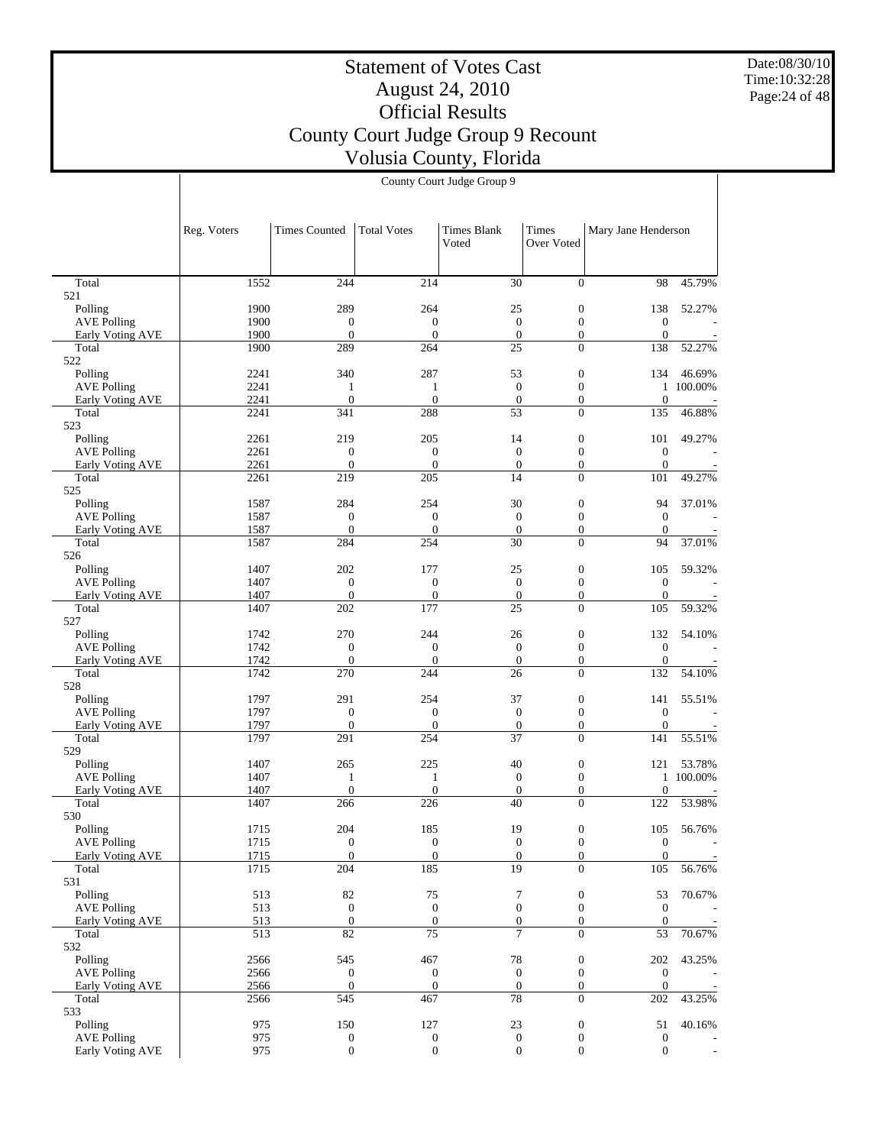Date:08/30/10 Time:10:32:28 Page:24 of 48

# Statement of Votes Cast August 24, 2010 Official Results County Court Judge Group 9 Recount Volusia County, Florida

|                                        | Reg. Voters  | <b>Times Counted</b>                 | <b>Total Votes</b>                   | <b>Times Blank</b><br>Voted          | Times<br>Over Voted              | Mary Jane Henderson              |           |
|----------------------------------------|--------------|--------------------------------------|--------------------------------------|--------------------------------------|----------------------------------|----------------------------------|-----------|
|                                        |              |                                      |                                      |                                      |                                  |                                  |           |
| Total<br>521                           | 1552         | 244                                  | 214                                  | 30                                   | $\overline{0}$                   | 98                               | 45.79%    |
| Polling                                | 1900         | 289                                  | 264                                  | 25                                   | $\mathbf{0}$                     | 138                              | 52.27%    |
| <b>AVE Polling</b>                     | 1900         | $\boldsymbol{0}$                     | $\boldsymbol{0}$                     | $\mathbf{0}$                         | $\mathbf{0}$                     | $\boldsymbol{0}$                 |           |
| Early Voting AVE                       | 1900         | $\mathbf{0}$                         | $\mathbf{0}$                         | $\mathbf{0}$                         | $\mathbf{0}$                     | $\mathbf{0}$                     |           |
| Total<br>522                           | 1900         | 289                                  | 264                                  | 25                                   | $\Omega$                         | 138                              | 52.27%    |
| Polling                                | 2241         | 340                                  | 287                                  | 53                                   | $\mathbf{0}$                     | 134                              | 46.69%    |
| <b>AVE Polling</b>                     | 2241         | 1                                    | $\mathbf{1}$                         | $\mathbf{0}$                         | $\overline{0}$                   |                                  | 1 100.00% |
| Early Voting AVE                       | 2241         | $\overline{0}$                       | $\overline{0}$                       | $\boldsymbol{0}$                     | $\mathbf{0}$                     | $\boldsymbol{0}$                 |           |
| Total                                  | 2241         | 341                                  | 288                                  | 53                                   | $\Omega$                         | 135                              | 46.88%    |
| 523<br>Polling                         | 2261         | 219                                  | 205                                  | 14                                   | $\mathbf{0}$                     | 101                              | 49.27%    |
| <b>AVE Polling</b>                     | 2261         | $\boldsymbol{0}$                     | $\boldsymbol{0}$                     | $\mathbf{0}$                         | $\mathbf{0}$                     | $\mathbf{0}$                     |           |
| Early Voting AVE                       | 2261         | $\boldsymbol{0}$                     | $\mathbf{0}$                         | $\mathbf{0}$                         | $\mathbf{0}$                     | $\mathbf{0}$                     |           |
| Total                                  | 2261         | 219                                  | 205                                  | 14                                   | $\overline{0}$                   | 101                              | 49.27%    |
| 525                                    |              |                                      |                                      |                                      |                                  |                                  |           |
| Polling<br><b>AVE Polling</b>          | 1587<br>1587 | 284<br>$\boldsymbol{0}$              | 254<br>$\boldsymbol{0}$              | 30<br>$\mathbf{0}$                   | $\mathbf{0}$<br>$\mathbf{0}$     | 94<br>$\mathbf{0}$               | 37.01%    |
| Early Voting AVE                       | 1587         | $\overline{0}$                       | $\mathbf{0}$                         | $\overline{0}$                       | $\mathbf{0}$                     | $\mathbf{0}$                     |           |
| Total                                  | 1587         | 284                                  | 254                                  | 30                                   | $\Omega$                         | 94                               | 37.01%    |
| 526                                    |              |                                      |                                      |                                      |                                  |                                  |           |
| Polling                                | 1407         | 202                                  | 177                                  | 25                                   | $\mathbf{0}$                     | 105                              | 59.32%    |
| <b>AVE Polling</b>                     | 1407<br>1407 | $\boldsymbol{0}$<br>$\mathbf{0}$     | $\boldsymbol{0}$<br>$\mathbf{0}$     | $\mathbf{0}$<br>$\mathbf{0}$         | $\mathbf{0}$<br>$\mathbf{0}$     | $\boldsymbol{0}$<br>$\mathbf{0}$ |           |
| Early Voting AVE<br>Total              | 1407         | 202                                  | 177                                  | 25                                   | $\Omega$                         | 105                              | 59.32%    |
| 527                                    |              |                                      |                                      |                                      |                                  |                                  |           |
| Polling                                | 1742         | 270                                  | 244                                  | 26                                   | $\mathbf{0}$                     | 132                              | 54.10%    |
| <b>AVE Polling</b>                     | 1742         | $\boldsymbol{0}$                     | $\boldsymbol{0}$                     | $\mathbf{0}$                         | $\mathbf{0}$                     | $\mathbf{0}$                     |           |
| Early Voting AVE<br>Total              | 1742<br>1742 | $\boldsymbol{0}$<br>270              | $\mathbf{0}$<br>244                  | $\boldsymbol{0}$<br>26               | $\mathbf{0}$<br>$\Omega$         | $\boldsymbol{0}$<br>132          | 54.10%    |
| 528                                    |              |                                      |                                      |                                      |                                  |                                  |           |
| Polling                                | 1797         | 291                                  | 254                                  | 37                                   | $\mathbf{0}$                     | 141                              | 55.51%    |
| <b>AVE Polling</b>                     | 1797         | $\boldsymbol{0}$                     | $\boldsymbol{0}$                     | $\mathbf{0}$                         | $\mathbf{0}$                     | $\mathbf{0}$                     |           |
| Early Voting AVE                       | 1797<br>1797 | $\boldsymbol{0}$<br>291              | $\mathbf{0}$                         | $\mathbf{0}$<br>37                   | $\mathbf{0}$                     | $\mathbf{0}$                     | 55.51%    |
| Total<br>529                           |              |                                      | 254                                  |                                      | $\overline{0}$                   | 141                              |           |
| Polling                                | 1407         | 265                                  | 225                                  | 40                                   | $\mathbf{0}$                     | 121                              | 53.78%    |
| <b>AVE Polling</b>                     | 1407         | $\mathbf{1}$                         | $\mathbf{1}$                         | $\mathbf{0}$                         | $\overline{0}$                   |                                  | 1 100.00% |
| <b>Early Voting AVE</b>                | 1407         | $\boldsymbol{0}$                     | $\overline{0}$                       | $\boldsymbol{0}$                     | $\mathbf{0}$                     | $\boldsymbol{0}$                 |           |
| Total                                  | 1407         | 266                                  | 226                                  | 40                                   | $\Omega$                         | 122                              | 53.98%    |
| 530<br>Polling                         | 1715         | 204                                  | 185                                  | 19                                   | $\mathbf{0}$                     | 105                              | 56.76%    |
| <b>AVE Polling</b>                     | 1715         | $\mathbf{0}$                         | $\boldsymbol{0}$                     | $\mathbf{0}$                         | $\overline{0}$                   | $\boldsymbol{0}$                 |           |
| <b>Early Voting AVE</b>                | 1715         | $\boldsymbol{0}$                     | $\boldsymbol{0}$                     | $\overline{0}$                       | $\boldsymbol{0}$                 | $\boldsymbol{0}$                 |           |
| Total                                  | 1715         | 204                                  | 185                                  | $\overline{19}$                      | $\overline{0}$                   | 105                              | 56.76%    |
| 531<br>Polling                         | 513          |                                      | $75\,$                               |                                      | $\boldsymbol{0}$                 | 53                               | 70.67%    |
| <b>AVE Polling</b>                     | 513          | 82<br>$\mathbf{0}$                   | $\mathbf{0}$                         | $\boldsymbol{7}$<br>$\mathbf{0}$     | $\mathbf{0}$                     | $\mathbf{0}$                     |           |
| Early Voting AVE                       | 513          | $\boldsymbol{0}$                     | $\boldsymbol{0}$                     | $\mathbf{0}$                         | $\overline{0}$                   | $\mathbf{0}$                     |           |
| Total                                  | 513          | 82                                   | 75                                   | 7                                    | $\Omega$                         | 53                               | 70.67%    |
| 532                                    |              |                                      |                                      |                                      |                                  |                                  |           |
| Polling                                | 2566         | 545                                  | 467                                  | 78                                   | $\boldsymbol{0}$                 | 202                              | 43.25%    |
| <b>AVE Polling</b><br>Early Voting AVE | 2566<br>2566 | $\boldsymbol{0}$<br>$\boldsymbol{0}$ | $\boldsymbol{0}$<br>$\mathbf{0}$     | $\boldsymbol{0}$<br>$\mathbf{0}$     | $\mathbf{0}$<br>$\boldsymbol{0}$ | $\boldsymbol{0}$<br>$\mathbf{0}$ |           |
| Total                                  | 2566         | 545                                  | 467                                  | 78                                   | $\overline{0}$                   | 202                              | 43.25%    |
| 533                                    |              |                                      |                                      |                                      |                                  |                                  |           |
| Polling                                | 975          | 150                                  | 127                                  | 23                                   | $\boldsymbol{0}$                 | 51                               | 40.16%    |
| <b>AVE Polling</b><br>Early Voting AVE | 975<br>975   | $\boldsymbol{0}$<br>$\boldsymbol{0}$ | $\boldsymbol{0}$<br>$\boldsymbol{0}$ | $\boldsymbol{0}$<br>$\boldsymbol{0}$ | $\boldsymbol{0}$<br>$\mathbf{0}$ | $\boldsymbol{0}$<br>$\mathbf{0}$ |           |
|                                        |              |                                      |                                      |                                      |                                  |                                  |           |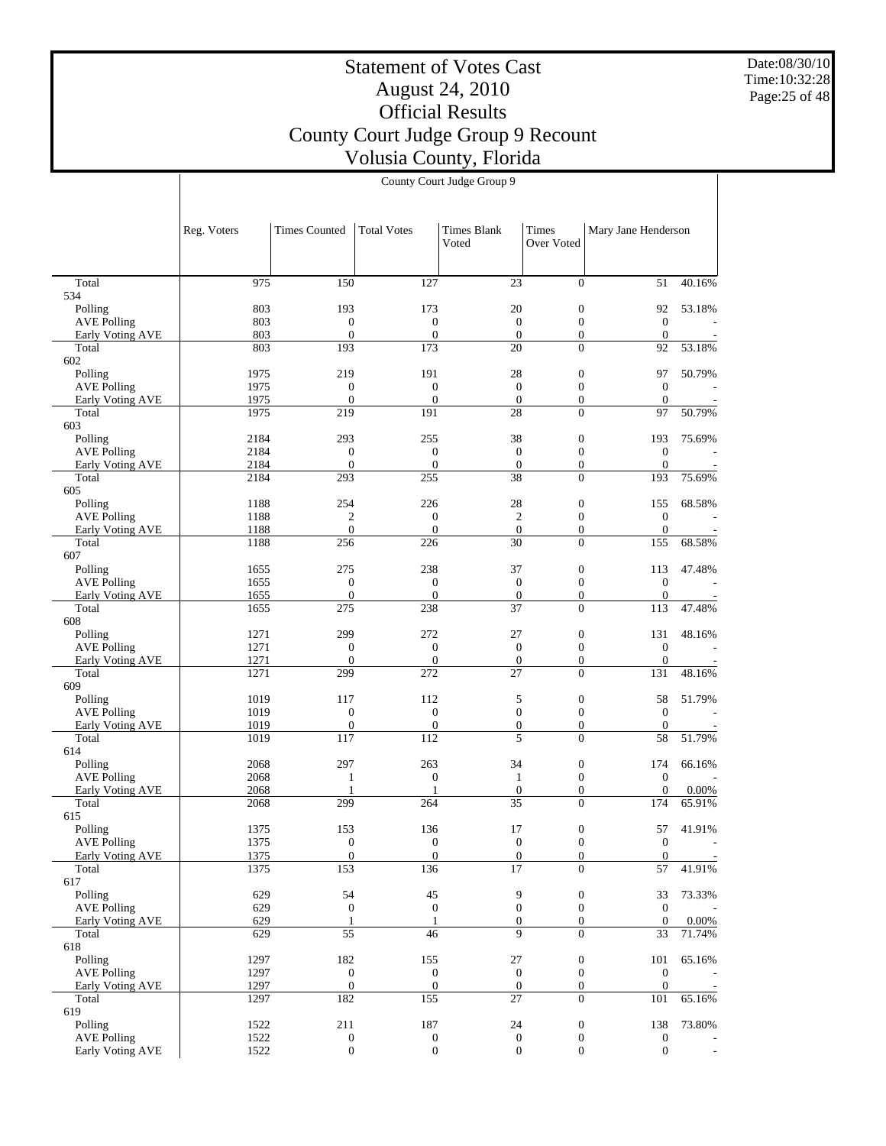Date:08/30/10 Time:10:32:28 Page:25 of 48

# Statement of Votes Cast August 24, 2010 Official Results County Court Judge Group 9 Recount Volusia County, Florida

|                                        | Reg. Voters  | <b>Times Counted</b>                 | <b>Total Votes</b>           | <b>Times Blank</b><br>Voted  | Times<br>Over Voted                  | Mary Jane Henderson                  |                 |
|----------------------------------------|--------------|--------------------------------------|------------------------------|------------------------------|--------------------------------------|--------------------------------------|-----------------|
| Total                                  | 975          | 150                                  | 127                          | 23                           | $\overline{0}$                       | 51                                   | 40.16%          |
| 534                                    |              |                                      |                              |                              |                                      |                                      |                 |
| Polling                                | 803          | 193                                  | 173                          | 20                           | $\boldsymbol{0}$                     | 92                                   | 53.18%          |
| <b>AVE Polling</b><br>Early Voting AVE | 803<br>803   | $\boldsymbol{0}$<br>$\boldsymbol{0}$ | $\boldsymbol{0}$<br>$\theta$ | $\mathbf{0}$<br>$\mathbf{0}$ | $\boldsymbol{0}$<br>$\boldsymbol{0}$ | $\boldsymbol{0}$<br>$\boldsymbol{0}$ |                 |
| Total                                  | 803          | 193                                  | 173                          | 20                           | $\overline{0}$                       | 92                                   | 53.18%          |
| 602                                    |              |                                      |                              |                              |                                      |                                      |                 |
| Polling                                | 1975         | 219                                  | 191                          | 28                           | $\boldsymbol{0}$                     | 97                                   | 50.79%          |
| <b>AVE Polling</b>                     | 1975         | $\boldsymbol{0}$                     | $\boldsymbol{0}$             | $\mathbf{0}$                 | $\boldsymbol{0}$                     | $\mathbf{0}$                         |                 |
| Early Voting AVE<br>Total              | 1975<br>1975 | $\boldsymbol{0}$<br>219              | $\overline{0}$<br>191        | $\boldsymbol{0}$<br>28       | $\boldsymbol{0}$<br>$\overline{0}$   | $\boldsymbol{0}$<br>97               | 50.79%          |
| 603                                    |              |                                      |                              |                              |                                      |                                      |                 |
| Polling                                | 2184         | 293                                  | 255                          | 38                           | $\boldsymbol{0}$                     | 193                                  | 75.69%          |
| <b>AVE Polling</b>                     | 2184         | $\boldsymbol{0}$                     | $\boldsymbol{0}$             | $\mathbf{0}$                 | $\boldsymbol{0}$                     | $\boldsymbol{0}$                     |                 |
| Early Voting AVE                       | 2184         | $\boldsymbol{0}$                     | $\theta$                     | $\boldsymbol{0}$             | $\boldsymbol{0}$                     | $\mathbf{0}$                         |                 |
| Total                                  | 2184         | 293                                  | 255                          | 38                           | $\overline{0}$                       | 193                                  | 75.69%          |
| 605<br>Polling                         | 1188         | 254                                  | 226                          | 28                           | $\boldsymbol{0}$                     | 155                                  | 68.58%          |
| <b>AVE Polling</b>                     | 1188         | $\sqrt{2}$                           | $\boldsymbol{0}$             | $\sqrt{2}$                   | $\boldsymbol{0}$                     | $\boldsymbol{0}$                     |                 |
| Early Voting AVE                       | 1188         | $\overline{0}$                       | $\mathbf{0}$                 | $\boldsymbol{0}$             | $\boldsymbol{0}$                     | $\mathbf{0}$                         |                 |
| Total                                  | 1188         | 256                                  | 226                          | 30                           | $\overline{0}$                       | 155                                  | 68.58%          |
| 607                                    |              |                                      |                              |                              |                                      |                                      |                 |
| Polling                                | 1655         | 275                                  | 238                          | 37                           | $\boldsymbol{0}$                     | 113                                  | 47.48%          |
| <b>AVE Polling</b><br>Early Voting AVE | 1655<br>1655 | $\boldsymbol{0}$<br>$\boldsymbol{0}$ | $\boldsymbol{0}$<br>$\theta$ | $\mathbf{0}$<br>$\mathbf{0}$ | $\boldsymbol{0}$<br>$\boldsymbol{0}$ | $\boldsymbol{0}$<br>$\mathbf{0}$     |                 |
| Total                                  | 1655         | 275                                  | 238                          | 37                           | $\Omega$                             | 113                                  | 47.48%          |
| 608                                    |              |                                      |                              |                              |                                      |                                      |                 |
| Polling                                | 1271         | 299                                  | 272                          | 27                           | $\boldsymbol{0}$                     | 131                                  | 48.16%          |
| <b>AVE Polling</b>                     | 1271         | $\boldsymbol{0}$                     | $\boldsymbol{0}$             | $\mathbf{0}$                 | $\boldsymbol{0}$                     | $\boldsymbol{0}$                     |                 |
| Early Voting AVE<br>Total              | 1271<br>1271 | $\mathbf{0}$<br>299                  | $\boldsymbol{0}$<br>272      | $\boldsymbol{0}$<br>27       | $\boldsymbol{0}$<br>$\overline{0}$   | $\mathbf{0}$                         |                 |
| 609                                    |              |                                      |                              |                              |                                      | 131                                  | 48.16%          |
| Polling                                | 1019         | 117                                  | 112                          | 5                            | $\boldsymbol{0}$                     | 58                                   | 51.79%          |
| <b>AVE Polling</b>                     | 1019         | $\boldsymbol{0}$                     | $\boldsymbol{0}$             | $\boldsymbol{0}$             | $\boldsymbol{0}$                     | $\mathbf{0}$                         |                 |
| Early Voting AVE                       | 1019         | $\boldsymbol{0}$                     | $\mathbf{0}$                 | $\boldsymbol{0}$             | $\boldsymbol{0}$                     | $\mathbf{0}$                         |                 |
| Total                                  | 1019         | 117                                  | 112                          | 5                            | $\overline{0}$                       | 58                                   | 51.79%          |
| 614<br>Polling                         | 2068         | 297                                  | 263                          | 34                           | $\boldsymbol{0}$                     | 174                                  | 66.16%          |
| <b>AVE Polling</b>                     | 2068         | $\mathbf{1}$                         | $\boldsymbol{0}$             | $\mathbf{1}$                 | $\boldsymbol{0}$                     | $\boldsymbol{0}$                     |                 |
| <b>Early Voting AVE</b>                | 2068         | 1                                    |                              | $\boldsymbol{0}$             | $\boldsymbol{0}$                     | $\mathbf{0}$                         | 0.00%           |
| Total                                  | 2068         | 299                                  | 264                          | 35                           | $\overline{0}$                       | 174                                  | 65.91%          |
| 615                                    |              |                                      |                              |                              |                                      |                                      |                 |
| Polling                                | 1375<br>1375 | 153<br>$\mathbf{0}$                  | 136<br>$\boldsymbol{0}$      | 17<br>$\boldsymbol{0}$       | $\boldsymbol{0}$<br>$\overline{0}$   | 57<br>$\mathbf{0}$                   | 41.91%          |
| <b>AVE Polling</b><br>Early Voting AVE | 1375         | $\mathbf{0}$                         | $\mathbf{0}$                 | $\boldsymbol{0}$             | $\boldsymbol{0}$                     | $\mathbf{0}$                         |                 |
| Total                                  | 1375         | 153                                  | 136                          | $\overline{17}$              | $\overline{0}$                       | 57                                   | 41.91%          |
| 617                                    |              |                                      |                              |                              |                                      |                                      |                 |
| Polling                                | 629          | 54                                   | 45                           | 9                            | $\boldsymbol{0}$                     | 33                                   | 73.33%          |
| <b>AVE Polling</b>                     | 629          | $\boldsymbol{0}$                     | $\boldsymbol{0}$             | $\boldsymbol{0}$             | $\mathbf{0}$                         | $\boldsymbol{0}$                     |                 |
| Early Voting AVE<br>Total              | 629<br>629   | 1<br>55                              | 46                           | $\boldsymbol{0}$<br>9        | $\boldsymbol{0}$<br>$\overline{0}$   | $\mathbf{0}$<br>33                   | 0.00%<br>71.74% |
| 618                                    |              |                                      |                              |                              |                                      |                                      |                 |
| Polling                                | 1297         | 182                                  | 155                          | $27\,$                       | $\boldsymbol{0}$                     | 101                                  | 65.16%          |
| <b>AVE Polling</b>                     | 1297         | $\boldsymbol{0}$                     | $\boldsymbol{0}$             | $\boldsymbol{0}$             | $\boldsymbol{0}$                     | $\boldsymbol{0}$                     |                 |
| Early Voting AVE                       | 1297         | $\mathbf{0}$                         | $\mathbf{0}$                 | $\mathbf{0}$                 | $\mathbf{0}$                         | $\boldsymbol{0}$                     |                 |
| Total                                  | 1297         | 182                                  | 155                          | 27                           | $\overline{0}$                       | 101                                  | 65.16%          |
| 619<br>Polling                         | 1522         | 211                                  | 187                          | 24                           | $\boldsymbol{0}$                     | 138                                  | 73.80%          |
| <b>AVE Polling</b>                     | 1522         | $\boldsymbol{0}$                     | $\boldsymbol{0}$             | $\boldsymbol{0}$             | $\boldsymbol{0}$                     | $\boldsymbol{0}$                     |                 |
| Early Voting AVE                       | 1522         | $\overline{0}$                       | $\boldsymbol{0}$             | $\boldsymbol{0}$             | $\overline{0}$                       | $\overline{0}$                       |                 |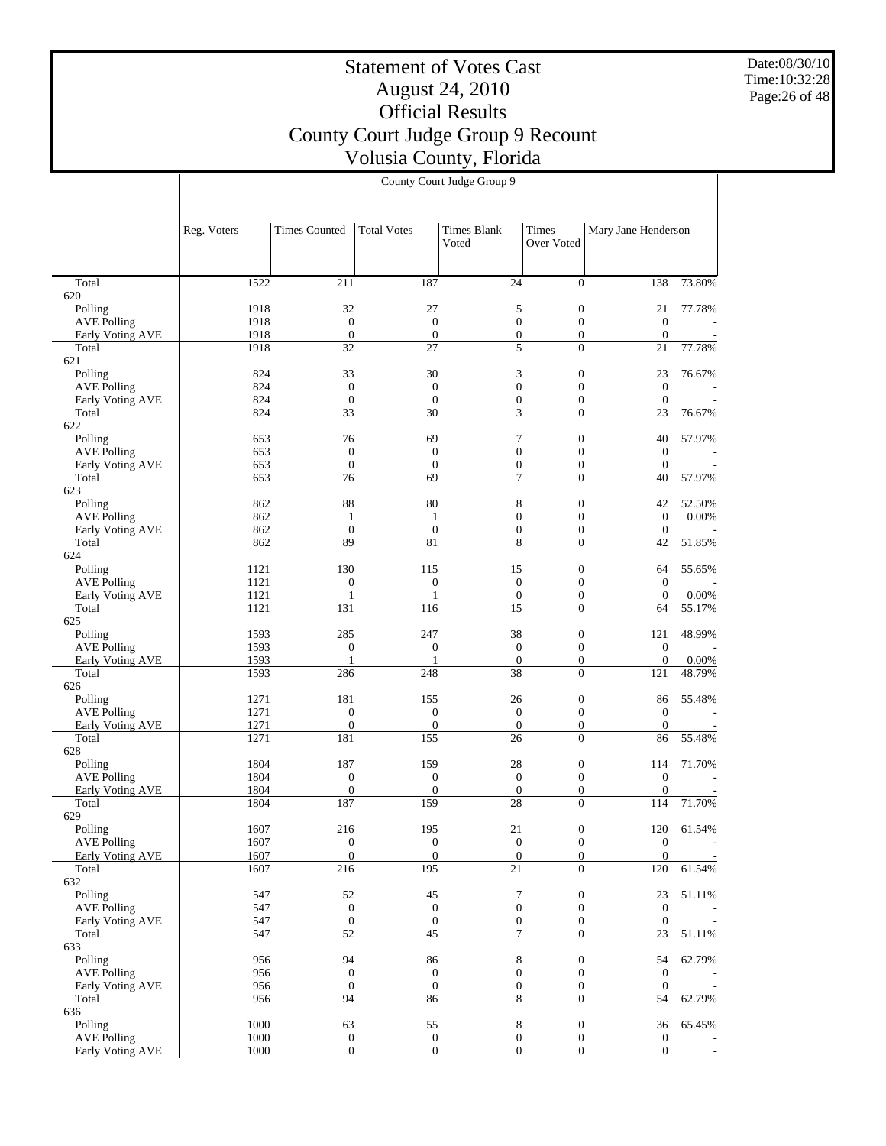Date:08/30/10 Time:10:32:28 Page:26 of 48

## Statement of Votes Cast August 24, 2010 Official Results County Court Judge Group 9 Recount Volusia County, Florida

Reg. Voters | Times Counted | Total Votes | Times Blank Voted Times Over Voted Mary Jane Henderson County Court Judge Group 9 1522 211 187 24 0 138 73.80%

| Total                         | 1522 | 211              | 187              | 24               | $\boldsymbol{0}$ | 138              | 73.80% |
|-------------------------------|------|------------------|------------------|------------------|------------------|------------------|--------|
| 620                           |      |                  |                  |                  |                  |                  |        |
| Polling                       | 1918 | 32               | 27               | 5                | $\boldsymbol{0}$ | 21               | 77.78% |
| <b>AVE Polling</b>            | 1918 | $\mathbf{0}$     | $\boldsymbol{0}$ | $\boldsymbol{0}$ | $\boldsymbol{0}$ | $\mathbf{0}$     |        |
| Early Voting AVE              | 1918 | $\boldsymbol{0}$ | $\boldsymbol{0}$ | $\boldsymbol{0}$ | $\boldsymbol{0}$ | $\mathbf{0}$     |        |
| Total                         | 1918 | $\overline{32}$  | 27               | 5                | $\overline{0}$   | 21               | 77.78% |
| 621                           |      |                  |                  |                  |                  |                  |        |
| Polling                       | 824  | 33               | 30               | 3                | $\boldsymbol{0}$ | 23               | 76.67% |
| <b>AVE Polling</b>            | 824  | $\mathbf{0}$     | $\mathbf{0}$     | $\boldsymbol{0}$ | $\boldsymbol{0}$ | $\mathbf{0}$     |        |
| <b>Early Voting AVE</b>       | 824  | $\boldsymbol{0}$ | $\overline{0}$   | $\boldsymbol{0}$ | $\overline{0}$   | $\mathbf{0}$     |        |
| Total                         | 824  | 33               | 30               | 3                | $\overline{0}$   | 23               | 76.67% |
| 622                           |      |                  |                  |                  |                  |                  |        |
|                               | 653  | 76               | 69               | 7                | $\boldsymbol{0}$ | 40               | 57.97% |
| Polling<br><b>AVE Polling</b> | 653  | $\mathbf{0}$     |                  | $\boldsymbol{0}$ |                  | $\mathbf{0}$     |        |
|                               |      |                  | $\boldsymbol{0}$ |                  | $\boldsymbol{0}$ |                  |        |
| <b>Early Voting AVE</b>       | 653  | $\boldsymbol{0}$ | $\boldsymbol{0}$ | $\boldsymbol{0}$ | $\boldsymbol{0}$ | $\mathbf{0}$     |        |
| Total                         | 653  | 76               | 69               | 7                | $\overline{0}$   | 40               | 57.97% |
| 623                           |      |                  |                  |                  |                  |                  |        |
| Polling                       | 862  | 88               | 80               | 8                | $\boldsymbol{0}$ | 42               | 52.50% |
| <b>AVE Polling</b>            | 862  | $\mathbf{1}$     | $\mathbf{1}$     | $\boldsymbol{0}$ | $\boldsymbol{0}$ | $\mathbf{0}$     | 0.00%  |
| <b>Early Voting AVE</b>       | 862  | $\overline{0}$   | $\mathbf{0}$     | $\boldsymbol{0}$ | $\boldsymbol{0}$ | $\mathbf{0}$     |        |
| Total                         | 862  | 89               | 81               | 8                | $\overline{0}$   | 42               | 51.85% |
| 624                           |      |                  |                  |                  |                  |                  |        |
| Polling                       | 1121 | 130              | 115              | 15               | $\boldsymbol{0}$ | 64               | 55.65% |
| <b>AVE Polling</b>            | 1121 | $\boldsymbol{0}$ | $\boldsymbol{0}$ | $\boldsymbol{0}$ | $\boldsymbol{0}$ | $\mathbf{0}$     |        |
| Early Voting AVE              | 1121 | $\mathbf{1}$     | $\mathbf{1}$     | $\mathbf{0}$     | $\boldsymbol{0}$ | $\mathbf{0}$     | 0.00%  |
| Total                         | 1121 | 131              | 116              | $\overline{15}$  | $\overline{0}$   | 64               | 55.17% |
| 625                           |      |                  |                  |                  |                  |                  |        |
| Polling                       | 1593 | 285              | 247              | 38               | $\boldsymbol{0}$ | 121              | 48.99% |
| <b>AVE Polling</b>            | 1593 | $\boldsymbol{0}$ | $\mathbf{0}$     | $\mathbf{0}$     | $\boldsymbol{0}$ | $\mathbf{0}$     |        |
| Early Voting AVE              | 1593 | $\mathbf{1}$     | 1                | $\boldsymbol{0}$ | $\overline{0}$   | $\boldsymbol{0}$ | 0.00%  |
| Total                         | 1593 | 286              | 248              | $\overline{38}$  | $\overline{0}$   | 121              | 48.79% |
|                               |      |                  |                  |                  |                  |                  |        |
| 626                           |      |                  |                  |                  |                  |                  |        |
| Polling                       | 1271 | 181              | 155              | 26               | $\boldsymbol{0}$ | 86               | 55.48% |
| <b>AVE Polling</b>            | 1271 | $\boldsymbol{0}$ | $\mathbf{0}$     | $\boldsymbol{0}$ | $\boldsymbol{0}$ | $\mathbf{0}$     |        |
| <b>Early Voting AVE</b>       | 1271 | $\boldsymbol{0}$ | $\boldsymbol{0}$ | $\mathbf{0}$     | $\boldsymbol{0}$ | $\mathbf{0}$     |        |
| Total                         | 1271 | 181              | 155              | 26               | $\overline{0}$   | 86               | 55.48% |
| 628                           |      |                  |                  |                  |                  |                  |        |
| Polling                       | 1804 | 187              | 159              | 28               | $\boldsymbol{0}$ | 114              | 71.70% |
| <b>AVE Polling</b>            | 1804 | $\boldsymbol{0}$ | $\mathbf{0}$     | $\mathbf{0}$     | $\boldsymbol{0}$ | $\mathbf{0}$     |        |
| <b>Early Voting AVE</b>       | 1804 | $\overline{0}$   | $\mathbf{0}$     | $\boldsymbol{0}$ | $\boldsymbol{0}$ | $\mathbf{0}$     |        |
| Total                         | 1804 | 187              | 159              | 28               | $\theta$         | 114              | 71.70% |
| 629                           |      |                  |                  |                  |                  |                  |        |
| Polling                       | 1607 | 216              | 195              | 21               | $\boldsymbol{0}$ | 120              | 61.54% |
| <b>AVE Polling</b>            | 1607 | $\boldsymbol{0}$ | $\mathbf{0}$     | $\boldsymbol{0}$ | $\boldsymbol{0}$ | $\mathbf{0}$     |        |
| Early Voting AVE              | 1607 | $\boldsymbol{0}$ | $\boldsymbol{0}$ | $\boldsymbol{0}$ | $\boldsymbol{0}$ | $\boldsymbol{0}$ |        |
| Total                         | 1607 | 216              | 195              | 21               | $\overline{0}$   | 120              | 61.54% |
| 632                           |      |                  |                  |                  |                  |                  |        |
| Polling                       | 547  | 52               | 45               | 7                | $\boldsymbol{0}$ | 23               | 51.11% |
| <b>AVE Polling</b>            | 547  | $\boldsymbol{0}$ | $\mathbf{0}$     | $\boldsymbol{0}$ | $\boldsymbol{0}$ | $\boldsymbol{0}$ |        |
|                               |      | $\overline{0}$   | $\mathbf{0}$     | $\overline{0}$   | $\overline{0}$   | $\overline{0}$   |        |
| Early Voting AVE              | 547  |                  |                  |                  |                  |                  |        |
| Total                         | 547  | 52               | 45               | 7                | $\boldsymbol{0}$ | 23               | 51.11% |
| 633                           |      |                  |                  |                  |                  |                  |        |
| Polling                       | 956  | 94               | 86               | 8                | $\boldsymbol{0}$ | 54               | 62.79% |
| <b>AVE Polling</b>            | 956  | $\mathbf{0}$     | $\mathbf{0}$     | $\boldsymbol{0}$ | $\boldsymbol{0}$ | $\mathbf{0}$     |        |
| Early Voting AVE              | 956  | $\mathbf{0}$     | $\mathbf{0}$     | $\boldsymbol{0}$ | $\boldsymbol{0}$ | $\mathbf{0}$     |        |
| Total                         | 956  | 94               | 86               | 8                | $\overline{0}$   | 54               | 62.79% |
| 636                           |      |                  |                  |                  |                  |                  |        |
| Polling                       | 1000 | 63               | 55               | $\,$ 8 $\,$      | $\boldsymbol{0}$ | 36               | 65.45% |
| <b>AVE Polling</b>            | 1000 | $\boldsymbol{0}$ | $\boldsymbol{0}$ | $\boldsymbol{0}$ | $\boldsymbol{0}$ | $\mathbf{0}$     |        |
| Early Voting AVE              | 1000 | $\boldsymbol{0}$ | $\boldsymbol{0}$ | $\boldsymbol{0}$ | $\boldsymbol{0}$ | $\mathbf{0}$     |        |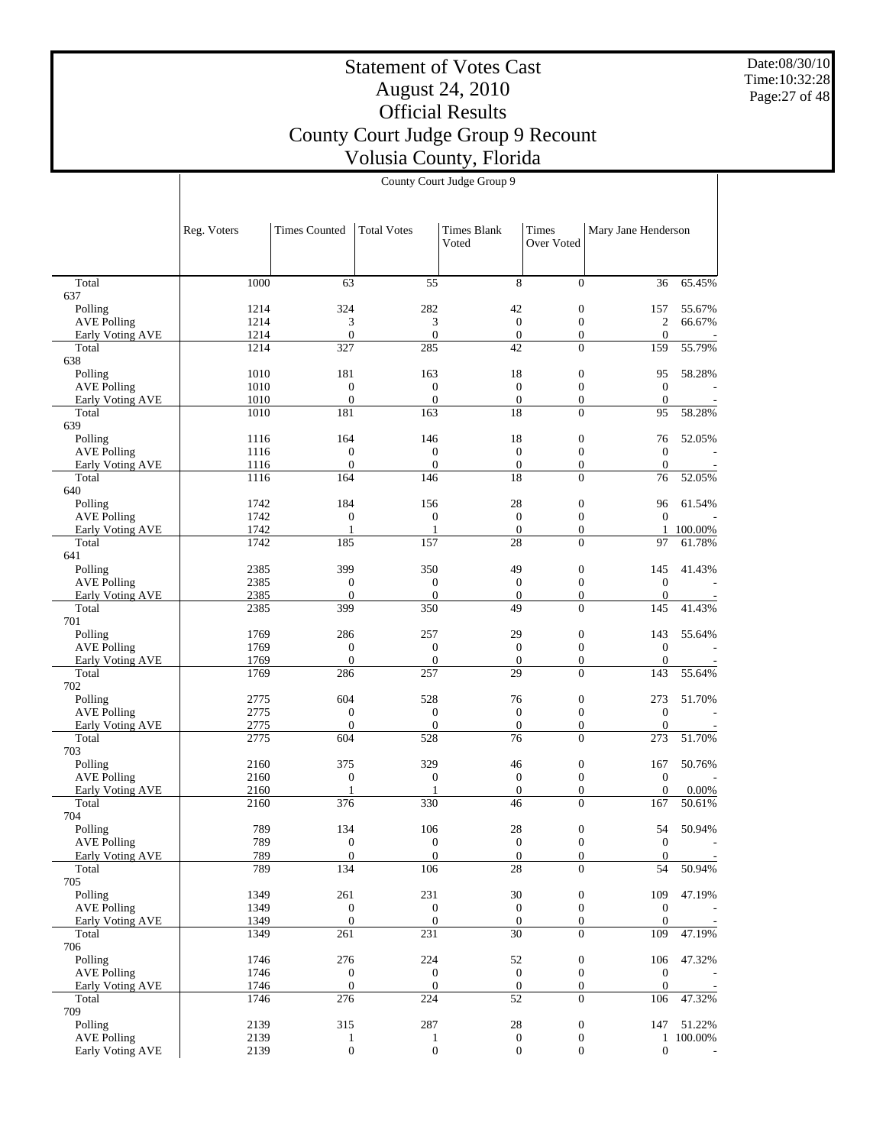Date:08/30/10 Time:10:32:28 Page:27 of 48

#### Statement of Votes Cast August 24, 2010 Official Results County Court Judge Group 9 Recount Volusia County, Florida County Court Judge Group 9

|                                        | Reg. Voters  | <b>Times Counted</b>                 | Total Votes                  | <b>Times Blank</b><br>Voted      | Times<br>Over Voted                  | Mary Jane Henderson              |           |
|----------------------------------------|--------------|--------------------------------------|------------------------------|----------------------------------|--------------------------------------|----------------------------------|-----------|
| Total                                  | 1000         | 63                                   | 55                           | 8                                | $\overline{0}$                       | 36                               | 65.45%    |
| 637                                    |              |                                      |                              |                                  |                                      |                                  |           |
| Polling                                | 1214         | 324                                  | 282                          | 42                               | $\boldsymbol{0}$                     | 157                              | 55.67%    |
| <b>AVE Polling</b>                     | 1214         | 3                                    | 3                            | $\mathbf{0}$                     | $\boldsymbol{0}$                     | $\sqrt{2}$                       | 66.67%    |
| Early Voting AVE                       | 1214         | $\mathbf{0}$                         | $\mathbf{0}$<br>285          | $\mathbf{0}$                     | $\boldsymbol{0}$                     | $\theta$                         |           |
| Total<br>638                           | 1214         | 327                                  |                              | 42                               | $\overline{0}$                       | 159                              | 55.79%    |
| Polling                                | 1010         | 181                                  | 163                          | 18                               | $\boldsymbol{0}$                     | 95                               | 58.28%    |
| <b>AVE Polling</b>                     | 1010         | $\mathbf{0}$                         | $\theta$                     | $\mathbf{0}$                     | $\boldsymbol{0}$                     | $\mathbf{0}$                     |           |
| Early Voting AVE                       | 1010         | $\mathbf{0}$                         | $\boldsymbol{0}$             | $\boldsymbol{0}$                 | $\boldsymbol{0}$                     | $\mathbf{0}$                     |           |
| Total                                  | 1010         | 181                                  | 163                          | 18                               | $\overline{0}$                       | 95                               | 58.28%    |
| 639<br>Polling                         | 1116         | 164                                  | 146                          | 18                               | $\boldsymbol{0}$                     | 76                               | 52.05%    |
| <b>AVE Polling</b>                     | 1116         | $\boldsymbol{0}$                     | $\mathbf{0}$                 | $\mathbf{0}$                     | $\boldsymbol{0}$                     | $\mathbf{0}$                     |           |
| Early Voting AVE                       | 1116         | $\boldsymbol{0}$                     | $\mathbf{0}$                 | $\boldsymbol{0}$                 | $\boldsymbol{0}$                     | $\theta$                         |           |
| Total                                  | 1116         | 164                                  | 146                          | $\overline{18}$                  | $\overline{0}$                       | 76                               | 52.05%    |
| 640                                    |              |                                      |                              |                                  |                                      |                                  |           |
| Polling<br><b>AVE Polling</b>          | 1742<br>1742 | 184<br>$\boldsymbol{0}$              | 156<br>$\mathbf{0}$          | 28<br>$\mathbf{0}$               | $\boldsymbol{0}$<br>$\boldsymbol{0}$ | 96<br>$\mathbf{0}$               | 61.54%    |
| Early Voting AVE                       | 1742         | $\mathbf{1}$                         | $\mathbf{1}$                 | $\overline{0}$                   | $\overline{0}$                       |                                  | 1 100.00% |
| Total                                  | 1742         | 185                                  | 157                          | 28                               | $\overline{0}$                       | 97                               | 61.78%    |
| 641                                    |              |                                      |                              |                                  |                                      |                                  |           |
| Polling                                | 2385         | 399                                  | 350                          | 49                               | $\boldsymbol{0}$                     | 145                              | 41.43%    |
| <b>AVE Polling</b>                     | 2385         | $\boldsymbol{0}$                     | $\mathbf{0}$                 | $\boldsymbol{0}$                 | $\boldsymbol{0}$                     | $\mathbf{0}$                     |           |
| Early Voting AVE<br>Total              | 2385<br>2385 | $\mathbf{0}$<br>399                  | $\theta$<br>350              | $\mathbf{0}$<br>49               | $\boldsymbol{0}$<br>$\overline{0}$   | $\theta$<br>145                  | 41.43%    |
| 701                                    |              |                                      |                              |                                  |                                      |                                  |           |
| Polling                                | 1769         | 286                                  | 257                          | 29                               | $\boldsymbol{0}$                     | 143                              | 55.64%    |
| <b>AVE Polling</b>                     | 1769         | $\mathbf{0}$                         | $\overline{0}$               | $\mathbf{0}$                     | $\boldsymbol{0}$                     | $\mathbf{0}$                     |           |
| Early Voting AVE                       | 1769         | $\boldsymbol{0}$                     | $\boldsymbol{0}$             | $\mathbf{0}$                     | $\boldsymbol{0}$                     | $\theta$                         |           |
| Total<br>702                           | 1769         | 286                                  | 257                          | 29                               | $\theta$                             | 143                              | 55.64%    |
| Polling                                | 2775         | 604                                  | 528                          | 76                               | $\boldsymbol{0}$                     | 273                              | 51.70%    |
| <b>AVE Polling</b>                     | 2775         | $\boldsymbol{0}$                     | $\boldsymbol{0}$             | $\mathbf{0}$                     | $\boldsymbol{0}$                     | $\mathbf{0}$                     |           |
| Early Voting AVE                       | 2775         | $\boldsymbol{0}$                     | $\theta$                     | $\mathbf{0}$                     | $\boldsymbol{0}$                     | $\theta$                         |           |
| Total                                  | 2775         | 604                                  | 528                          | 76                               | $\overline{0}$                       | 273                              | 51.70%    |
| 703<br>Polling                         | 2160         | 375                                  | 329                          | 46                               | $\boldsymbol{0}$                     | 167                              | 50.76%    |
| <b>AVE Polling</b>                     | 2160         | $\mathbf{0}$                         | $\mathbf{0}$                 | $\mathbf{0}$                     | $\boldsymbol{0}$                     | $\mathbf{0}$                     |           |
| Early Voting AVE                       | 2160         | $\mathbf{1}$                         | 1                            | $\mathbf{0}$                     | $\boldsymbol{0}$                     | $\overline{0}$                   | 0.00%     |
| Total                                  | 2160         | 376                                  | 330                          | 46                               | $\overline{0}$                       | 167                              | 50.61%    |
| 704                                    |              |                                      |                              |                                  |                                      |                                  |           |
| Polling                                | 789          | 134                                  | 106                          | 28                               | $\boldsymbol{0}$                     | 54                               | 50.94%    |
| <b>AVE Polling</b><br>Early Voting AVE | 789<br>789   | $\boldsymbol{0}$<br>$\boldsymbol{0}$ | $\mathbf{0}$<br>$\mathbf{0}$ | $\mathbf{0}$<br>$\boldsymbol{0}$ | $\overline{0}$<br>$\boldsymbol{0}$   | $\boldsymbol{0}$<br>$\mathbf{0}$ |           |
| Total                                  | 789          | 134                                  | 106                          | $\overline{28}$                  | $\overline{0}$                       | 54                               | 50.94%    |
| 705                                    |              |                                      |                              |                                  |                                      |                                  |           |
| Polling                                | 1349         | 261                                  | 231                          | 30                               | $\boldsymbol{0}$                     | 109                              | 47.19%    |
| <b>AVE Polling</b>                     | 1349         | $\boldsymbol{0}$                     | $\mathbf{0}$                 | $\boldsymbol{0}$                 | $\boldsymbol{0}$                     | $\mathbf{0}$                     |           |
| <b>Early Voting AVE</b><br>Total       | 1349<br>1349 | $\mathbf{0}$<br>261                  | $\boldsymbol{0}$<br>231      | $\boldsymbol{0}$<br>30           | $\overline{0}$<br>$\overline{0}$     | $\theta$<br>109                  |           |
| 706                                    |              |                                      |                              |                                  |                                      |                                  | 47.19%    |
| Polling                                | 1746         | 276                                  | 224                          | 52                               | $\boldsymbol{0}$                     | 106                              | 47.32%    |
| <b>AVE Polling</b>                     | 1746         | $\boldsymbol{0}$                     | $\mathbf{0}$                 | $\boldsymbol{0}$                 | $\boldsymbol{0}$                     | $\boldsymbol{0}$                 |           |
| Early Voting AVE                       | 1746         | $\mathbf{0}$                         | $\mathbf{0}$                 | $\mathbf{0}$                     | $\boldsymbol{0}$                     | $\theta$                         |           |
| Total                                  | 1746         | 276                                  | 224                          | 52                               | $\overline{0}$                       | 106                              | 47.32%    |
| 709<br>Polling                         | 2139         | 315                                  | 287                          | $28\,$                           | $\boldsymbol{0}$                     | 147                              | 51.22%    |
| <b>AVE Polling</b>                     | 2139         | $\mathbf{1}$                         | $\mathbf{1}$                 | $\boldsymbol{0}$                 | $\boldsymbol{0}$                     |                                  | 1 100.00% |
| Early Voting AVE                       | 2139         | $\boldsymbol{0}$                     | $\boldsymbol{0}$             | $\boldsymbol{0}$                 | $\boldsymbol{0}$                     | $\boldsymbol{0}$                 |           |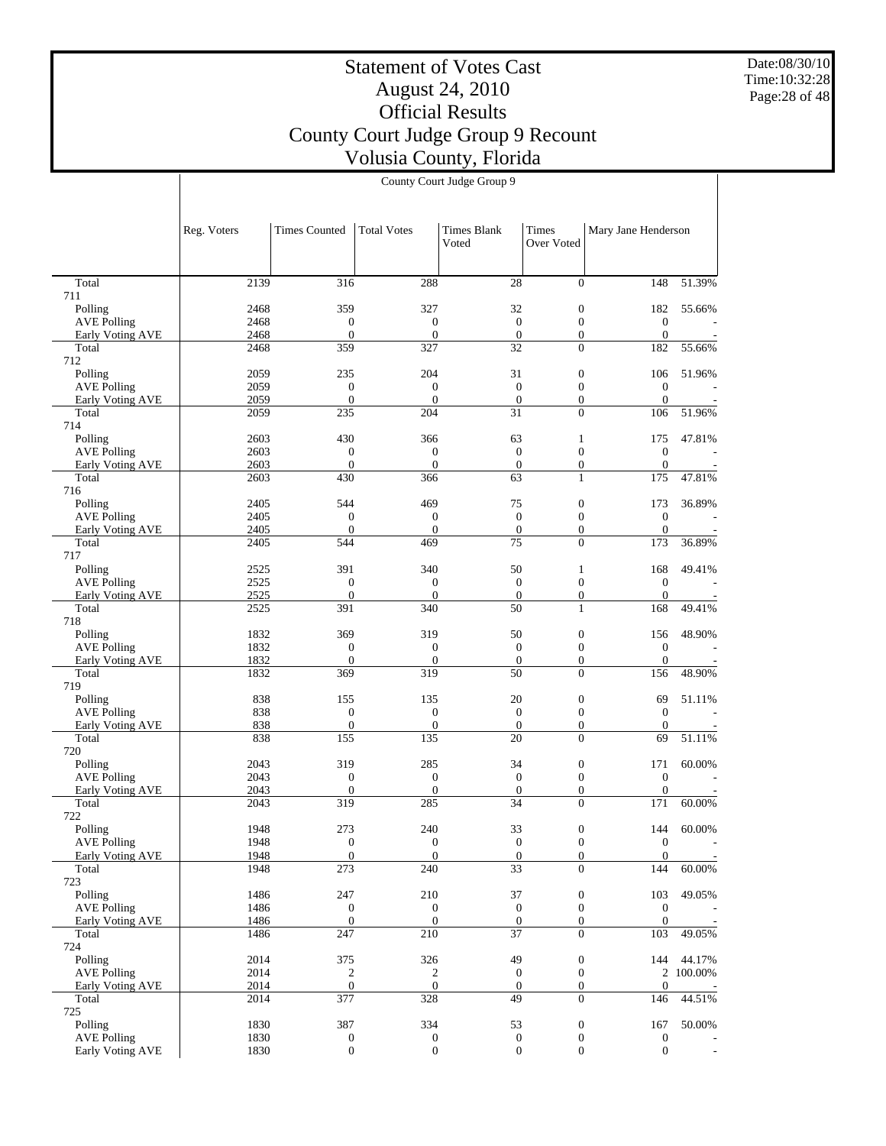Date:08/30/10 Time:10:32:28 Page:28 of 48

# Statement of Votes Cast August 24, 2010 Official Results County Court Judge Group 9 Recount Volusia County, Florida

|                                        | Reg. Voters  | <b>Times Counted</b>                 | <b>Total Votes</b>                 | <b>Times Blank</b><br>Voted          | Times<br>Over Voted              | Mary Jane Henderson            |         |
|----------------------------------------|--------------|--------------------------------------|------------------------------------|--------------------------------------|----------------------------------|--------------------------------|---------|
|                                        |              |                                      |                                    |                                      |                                  |                                |         |
| Total<br>711                           | 2139         | 316                                  | 288                                | 28                                   | $\Omega$                         | 148                            | 51.39%  |
| Polling                                | 2468         | 359                                  | 327                                | 32                                   | $\boldsymbol{0}$                 | 182                            | 55.66%  |
| <b>AVE Polling</b>                     | 2468         | $\boldsymbol{0}$                     | $\boldsymbol{0}$                   | $\mathbf{0}$                         | $\mathbf{0}$                     | $\boldsymbol{0}$               |         |
| Early Voting AVE                       | 2468         | $\overline{0}$                       | $\mathbf{0}$                       | $\mathbf{0}$                         | $\overline{0}$                   | $\mathbf{0}$                   |         |
| Total                                  | 2468         | 359                                  | 327                                | 32                                   | $\Omega$                         | 182                            | 55.66%  |
| 712<br>Polling                         | 2059         | 235                                  | 204                                | 31                                   | $\boldsymbol{0}$                 | 106                            | 51.96%  |
| <b>AVE Polling</b>                     | 2059         | $\boldsymbol{0}$                     | $\boldsymbol{0}$                   | $\boldsymbol{0}$                     | $\mathbf{0}$                     | $\mathbf{0}$                   |         |
| Early Voting AVE                       | 2059         | $\mathbf{0}$                         | $\overline{0}$                     | $\boldsymbol{0}$                     | $\mathbf{0}$                     | $\boldsymbol{0}$               |         |
| Total                                  | 2059         | 235                                  | 204                                | 31                                   | $\Omega$                         | 106                            | 51.96%  |
| 714                                    |              |                                      |                                    |                                      |                                  |                                |         |
| Polling<br><b>AVE Polling</b>          | 2603<br>2603 | 430<br>$\boldsymbol{0}$              | 366<br>$\boldsymbol{0}$            | 63<br>$\mathbf{0}$                   | $\mathbf{1}$<br>$\mathbf{0}$     | 175<br>$\mathbf{0}$            | 47.81%  |
| Early Voting AVE                       | 2603         | $\mathbf{0}$                         | $\mathbf{0}$                       | $\boldsymbol{0}$                     | $\mathbf{0}$                     | $\mathbf{0}$                   |         |
| Total                                  | 2603         | 430                                  | 366                                | 63                                   | $\mathbf{1}$                     | 175                            | 47.81%  |
| 716                                    |              |                                      |                                    |                                      |                                  |                                |         |
| Polling                                | 2405         | 544                                  | 469                                | 75                                   | $\boldsymbol{0}$                 | 173                            | 36.89%  |
| <b>AVE Polling</b><br>Early Voting AVE | 2405<br>2405 | $\boldsymbol{0}$<br>$\overline{0}$   | $\boldsymbol{0}$<br>$\overline{0}$ | $\boldsymbol{0}$<br>$\boldsymbol{0}$ | $\mathbf{0}$<br>$\mathbf{0}$     | $\mathbf{0}$<br>$\mathbf{0}$   |         |
| Total                                  | 2405         | 544                                  | 469                                | 75                                   | $\Omega$                         | 173                            | 36.89%  |
| 717                                    |              |                                      |                                    |                                      |                                  |                                |         |
| Polling                                | 2525         | 391                                  | 340                                | 50                                   | $\mathbf{1}$                     | 168                            | 49.41%  |
| <b>AVE Polling</b>                     | 2525         | $\mathbf{0}$                         | $\boldsymbol{0}$                   | $\mathbf{0}$                         | $\mathbf{0}$                     | $\mathbf{0}$                   |         |
| Early Voting AVE<br>Total              | 2525<br>2525 | $\overline{0}$<br>391                | $\mathbf{0}$<br>340                | $\boldsymbol{0}$<br>50               | $\mathbf{0}$<br>$\mathbf{1}$     | $\boldsymbol{0}$<br>168        | 49.41%  |
| 718                                    |              |                                      |                                    |                                      |                                  |                                |         |
| Polling                                | 1832         | 369                                  | 319                                | 50                                   | $\boldsymbol{0}$                 | 156                            | 48.90%  |
| <b>AVE Polling</b>                     | 1832         | $\boldsymbol{0}$                     | $\boldsymbol{0}$                   | $\boldsymbol{0}$                     | $\mathbf{0}$                     | $\mathbf{0}$                   |         |
| Early Voting AVE                       | 1832         | $\mathbf{0}$<br>369                  | $\boldsymbol{0}$<br>319            | $\boldsymbol{0}$<br>50               | $\mathbf{0}$<br>$\Omega$         | $\boldsymbol{0}$               |         |
| Total<br>719                           | 1832         |                                      |                                    |                                      |                                  | 156                            | 48.90%  |
| Polling                                | 838          | 155                                  | 135                                | 20                                   | $\mathbf{0}$                     | 69                             | 51.11%  |
| <b>AVE Polling</b>                     | 838          | $\boldsymbol{0}$                     | $\boldsymbol{0}$                   | $\mathbf{0}$                         | $\mathbf{0}$                     | $\mathbf{0}$                   |         |
| Early Voting AVE                       | 838          | $\boldsymbol{0}$                     | $\boldsymbol{0}$                   | $\boldsymbol{0}$                     | $\boldsymbol{0}$                 | $\mathbf{0}$                   |         |
| Total                                  | 838          | 155                                  | 135                                | 20                                   | $\overline{0}$                   | 69                             | 51.11%  |
| 720<br>Polling                         | 2043         | 319                                  | 285                                | 34                                   | $\boldsymbol{0}$                 | 171                            | 60.00%  |
| <b>AVE Polling</b>                     | 2043         | $\boldsymbol{0}$                     | $\boldsymbol{0}$                   | $\mathbf{0}$                         | $\mathbf{0}$                     | $\mathbf{0}$                   |         |
| Early Voting AVE                       | 2043         | $\overline{0}$                       | $\overline{0}$                     | $\boldsymbol{0}$                     | $\mathbf{0}$                     | $\boldsymbol{0}$               |         |
| Total                                  | 2043         | 319                                  | 285                                | 34                                   | $\overline{0}$                   | 171                            | 60.00%  |
| 722<br>Polling                         | 1948         | 273                                  | 240                                | 33                                   | $\boldsymbol{0}$                 | 144                            | 60.00%  |
| <b>AVE Polling</b>                     | 1948         | $\overline{0}$                       | $\boldsymbol{0}$                   | $\mathbf{0}$                         | $\overline{0}$                   | $\mathbf{0}$                   |         |
| Early Voting AVE                       | 1948         | $\boldsymbol{0}$                     | $\mathbf{0}$                       | $\mathbf{0}$                         | $\mathbf{0}$                     | $\boldsymbol{0}$               |         |
| Total                                  | 1948         | $\overline{273}$                     | 240                                | $\overline{33}$                      | $\overline{0}$                   | 144                            | 60.00%  |
| 723                                    |              |                                      |                                    |                                      |                                  |                                |         |
| Polling<br><b>AVE Polling</b>          | 1486<br>1486 | 247<br>$\boldsymbol{0}$              | 210<br>$\boldsymbol{0}$            | 37<br>$\boldsymbol{0}$               | $\boldsymbol{0}$<br>$\mathbf{0}$ | 103<br>$\boldsymbol{0}$        | 49.05%  |
| Early Voting AVE                       | 1486         | $\overline{0}$                       | $\overline{0}$                     | $\mathbf{0}$                         | $\mathbf{0}$                     | $\mathbf{0}$                   |         |
| Total                                  | 1486         | 247                                  | 210                                | $\overline{37}$                      | $\Omega$                         | 103                            | 49.05%  |
| 724                                    |              |                                      |                                    |                                      |                                  |                                |         |
| Polling                                | 2014         | 375                                  | 326                                | 49                                   | $\boldsymbol{0}$                 | 144                            | 44.17%  |
| <b>AVE Polling</b>                     | 2014<br>2014 | $\boldsymbol{2}$<br>$\boldsymbol{0}$ | 2<br>$\mathbf{0}$                  | $\boldsymbol{0}$<br>$\mathbf{0}$     | $\boldsymbol{0}$<br>$\mathbf{0}$ | $\overline{c}$<br>$\mathbf{0}$ | 100.00% |
| Early Voting AVE<br>Total              | 2014         | 377                                  | 328                                | 49                                   | $\overline{0}$                   | 146                            | 44.51%  |
| 725                                    |              |                                      |                                    |                                      |                                  |                                |         |
| Polling                                | 1830         | 387                                  | 334                                | 53                                   | $\boldsymbol{0}$                 | 167                            | 50.00%  |
| <b>AVE Polling</b>                     | 1830         | $\boldsymbol{0}$                     | $\boldsymbol{0}$                   | $\boldsymbol{0}$                     | $\boldsymbol{0}$                 | $\boldsymbol{0}$               |         |
| Early Voting AVE                       | 1830         | $\overline{0}$                       | $\overline{0}$                     | $\mathbf{0}$                         | $\overline{0}$                   | $\mathbf{0}$                   |         |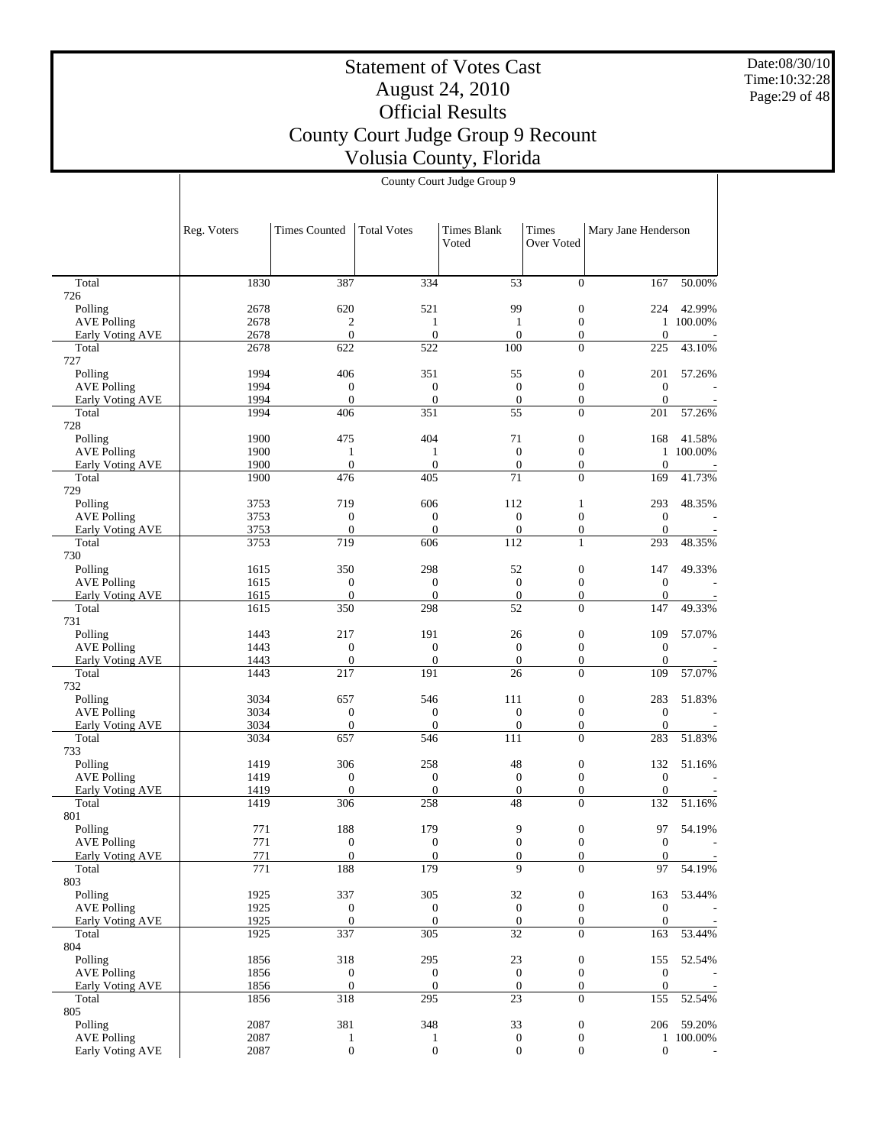Date:08/30/10 Time:10:32:28 Page:29 of 48

## Statement of Votes Cast August 24, 2010 Official Results County Court Judge Group 9 Recount Volusia County, Florida

|                         |             |                      |                    | County Court Judge Group 9 |                     |                     |           |
|-------------------------|-------------|----------------------|--------------------|----------------------------|---------------------|---------------------|-----------|
|                         | Reg. Voters | <b>Times Counted</b> | <b>Total Votes</b> | Times Blank<br>Voted       | Times<br>Over Voted | Mary Jane Henderson |           |
| Total                   | 1830        | 387                  | 334                | 53                         | $\overline{0}$      | 167                 | 50.00%    |
| 26<br>Polling           | 2678        | 620                  | 521                | 99                         | $\boldsymbol{0}$    | 224                 | 42.99%    |
| <b>AVE Polling</b>      | 2678        | $\overline{2}$       | 1                  | $\mathbf{1}$               | $\overline{0}$      |                     | 1 100.00% |
| Early Voting AVE        | 2678        | $\mathbf{0}$         | $\mathbf{0}$       | $\mathbf{0}$               | $\overline{0}$      | $\theta$            |           |
| Total<br>27             | 2678        | 622                  | 522                | 100                        | $\theta$            | 225                 | 43.10%    |
| Polling                 | 1994        | 406                  | 351                | 55                         | $\boldsymbol{0}$    | 201                 | 57.26%    |
| <b>AVE Polling</b>      | 1994        | $\boldsymbol{0}$     | $\boldsymbol{0}$   | $\boldsymbol{0}$           | $\boldsymbol{0}$    | $\boldsymbol{0}$    |           |
| Early Voting AVE        | 1994        | $\overline{0}$       | $\boldsymbol{0}$   | $\theta$                   | $\overline{0}$      | $\Omega$            |           |
| Total<br>28             | 1994        | 406                  | 351                | 55                         | $\theta$            | 201                 | 57.26%    |
| Polling                 | 1900        | 475                  | 404                | 71                         | $\theta$            | 168                 | 41.58%    |
| <b>AVE Polling</b>      | 1900        | 1                    | 1                  | $\Omega$                   | $\overline{0}$      |                     | 1 100.00% |
| Early Voting AVE        | 1900        | $\overline{0}$       | $\mathbf{0}$       | $\mathbf{0}$               | $\boldsymbol{0}$    | $\boldsymbol{0}$    |           |
| Total<br>29             | 1900        | 476                  | 405                | 71                         | $\mathbf{0}$        | 169                 | 41.73%    |
| Polling                 | 3753        | 719                  | 606                | 112                        | 1                   | 293                 | 48.35%    |
| <b>AVE Polling</b>      | 3753        | $\boldsymbol{0}$     | $\boldsymbol{0}$   | $\mathbf{0}$               | $\mathbf{0}$        | $\overline{0}$      |           |
| Early Voting AVE        | 3753        | $\overline{0}$       | $\overline{0}$     | $\mathbf{0}$               | $\overline{0}$      | $\mathbf{0}$        |           |
| Total                   | 3753        | 719                  | 606                | 112                        | 1                   | 293                 | 48.35%    |
| 30                      |             |                      |                    |                            |                     |                     |           |
| Polling                 | 1615        | 350                  | 298                | 52                         | $\boldsymbol{0}$    | 147                 | 49.33%    |
| <b>AVE Polling</b>      | 1615        | $\mathbf{0}$         | $\mathbf{0}$       | $\mathbf{0}$               | $\boldsymbol{0}$    | $\boldsymbol{0}$    |           |
| <b>Early Voting AVE</b> | 1615        | $\mathbf{0}$         | $\mathbf{0}$       | $\mathbf{0}$               | $\boldsymbol{0}$    | $\boldsymbol{0}$    |           |
| Total                   | 1615        | 350                  | 298                | 52                         | $\mathbf{0}$        | 147                 | 49.33%    |
| 31                      |             |                      |                    |                            |                     |                     |           |
| Polling                 | 1443        | 217                  | 191                | 26                         | $\boldsymbol{0}$    | 109                 | 57.07%    |
| <b>AVE Polling</b>      | 1443        | $\overline{0}$       | $\mathbf{0}$       | $\Omega$                   | $\mathbf{0}$        | $\theta$            |           |
| Early Voting AVE        | 1443        | $\theta$             | $\overline{0}$     | $\mathbf{0}$               | $\theta$            | $\overline{0}$      |           |
| Total<br>32             | 1443        | 217                  | 191                | 26                         | $\boldsymbol{0}$    | 109                 | 57.07%    |
| Polling                 | 3034        | 657                  | 546                | 111                        | $\boldsymbol{0}$    | 283                 | 51.83%    |
| <b>AVE Polling</b>      | 3034        | $\boldsymbol{0}$     | $\boldsymbol{0}$   | $\boldsymbol{0}$           | $\boldsymbol{0}$    | $\boldsymbol{0}$    |           |
| <b>Early Voting AVE</b> | 3034        | $\mathbf{0}$         | $\mathbf{0}$       | $\mathbf{0}$               | $\overline{0}$      | $\Omega$            |           |
| Total<br>33             | 3034        | 657                  | 546                | 111                        | $\Omega$            | 283                 | 51.83%    |
| Polling                 | 1419        | 306                  | 258                | 48                         | $\boldsymbol{0}$    | 132                 | 51.16%    |
| <b>AVE Polling</b>      | 1419        | $\mathbf{0}$         | $\boldsymbol{0}$   | $\boldsymbol{0}$           | $\boldsymbol{0}$    | $\boldsymbol{0}$    |           |
| <b>Early Voting AVE</b> | 1419        | $\boldsymbol{0}$     | $\boldsymbol{0}$   | $\boldsymbol{0}$           | $\boldsymbol{0}$    | $\boldsymbol{0}$    |           |
| Total<br>)1             | 1419        | 306                  | 258                | 48                         | $\overline{0}$      | 132                 | 51.16%    |
| Polling                 | 771         | 188                  | 179                | 9                          | $\boldsymbol{0}$    | 97                  | 54.19%    |
| <b>AVE Polling</b>      | 771         | $\boldsymbol{0}$     | $\boldsymbol{0}$   | $\boldsymbol{0}$           | $\mathbf{0}$        | $\boldsymbol{0}$    |           |
| Early Voting AVE        | 771         | $\overline{0}$       | $\overline{0}$     | $\Omega$                   | $\mathbf{0}$        | $\theta$            |           |

771 188 179 9 0 97 54.19% 1925 337 305 32 0 163 53.44% 1925 0 0 0 0 0 0 = 1925 0 0 0 0 0 0 0 1925 337 305 32 0 163 53.44% 1856 318 295 23 0 155 52.54% 1856 0 0 0 0 0 0 -1856 0 0 0 0 0 0 0 1856 318 295 23 0 155 52.54%

 $\begin{array}{cccccccc} 2087 && 381 && 348 && 33 && 0 && 206 & 59.20\% \\ 2087 && 1 && 1 && 0 && 0 && 1 & 100.00\% \end{array}$ 2087 1 1 0 0 1 100.00% 2087 0 0 0 0 0 0 =

**Total** 726

 Total 727

 Total 728

 Total 729

**Total** 730

 Total 731

**Total** 732

 Total 733

 Total 801

 Total 803 Polling AVE Polling Early Voting AVE

 Total 804 Polling AVE Polling Early Voting AVE

 Total 805 Polling AVE Polling Early Voting AVE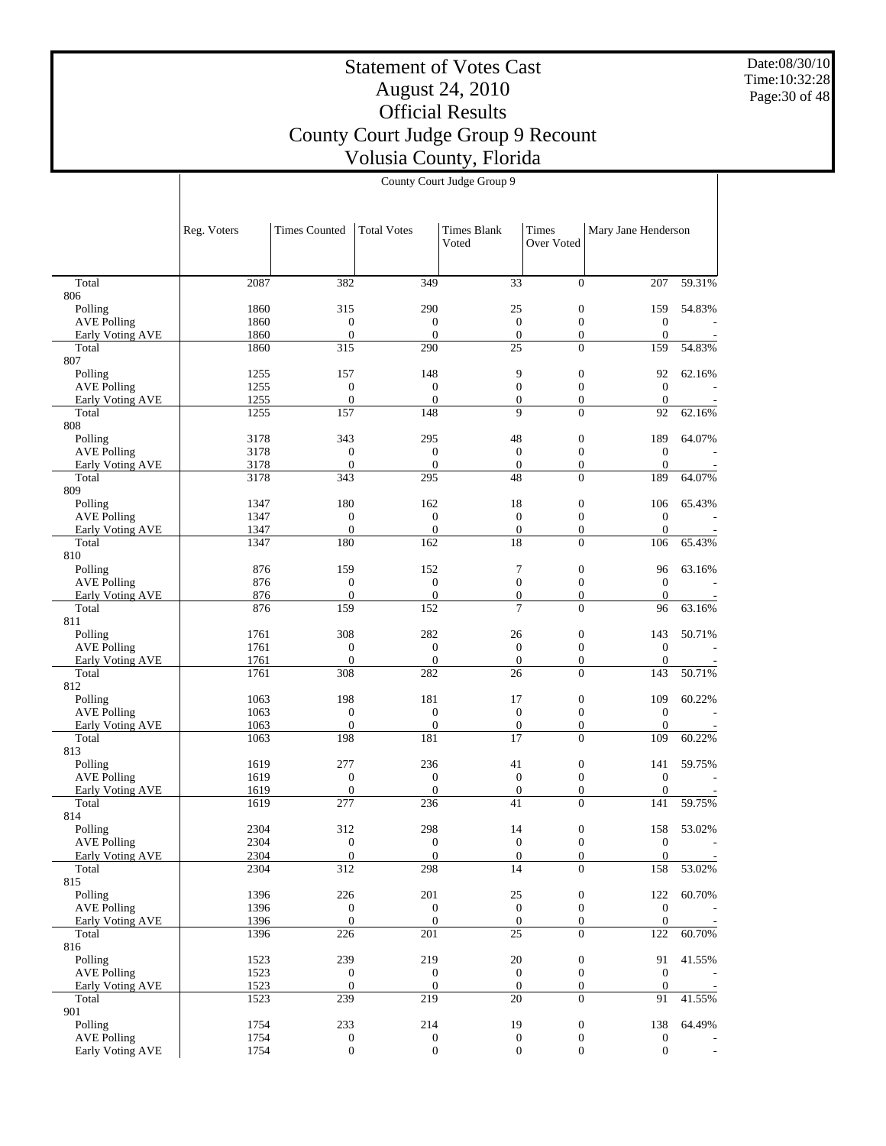Date:08/30/10 Time:10:32:28 Page:30 of 48

#### Statement of Votes Cast August 24, 2010 Official Results County Court Judge Group 9 Recount Volusia County, Florida County Court Judge Group 9

|                           | Reg. Voters  | <b>Times Counted</b>    | Total Votes         | <b>Times Blank</b><br>Voted        | Times<br>Over Voted                | Mary Jane Henderson  |        |
|---------------------------|--------------|-------------------------|---------------------|------------------------------------|------------------------------------|----------------------|--------|
| Total                     | 2087         | 382                     | 349                 | 33                                 | $\Omega$                           | 207                  | 59.31% |
| 806                       |              |                         |                     |                                    |                                    |                      |        |
| Polling                   | 1860         | 315                     | 290                 | 25                                 | $\boldsymbol{0}$                   | 159                  | 54.83% |
| <b>AVE Polling</b>        | 1860         | $\boldsymbol{0}$        | $\mathbf{0}$        | $\mathbf{0}$                       | $\mathbf{0}$                       | $\boldsymbol{0}$     |        |
| Early Voting AVE          | 1860         | $\boldsymbol{0}$        | $\mathbf{0}$        | $\mathbf{0}$                       | $\boldsymbol{0}$                   | $\overline{0}$       |        |
| Total                     | 1860         | 315                     | 290                 | 25                                 | $\overline{0}$                     | 159                  | 54.83% |
| 807<br>Polling            | 1255         | 157                     | 148                 | 9                                  | $\boldsymbol{0}$                   | 92                   | 62.16% |
| <b>AVE Polling</b>        | 1255         | $\boldsymbol{0}$        | $\mathbf{0}$        | $\boldsymbol{0}$                   | $\mathbf{0}$                       | $\theta$             |        |
| Early Voting AVE          | 1255         | $\overline{0}$          | $\mathbf{0}$        | $\mathbf{0}$                       | $\overline{0}$                     | $\mathbf{0}$         |        |
| Total                     | 1255         | 157                     | 148                 | 9                                  | $\overline{0}$                     | 92                   | 62.16% |
| 808                       |              |                         |                     |                                    |                                    |                      |        |
| Polling                   | 3178         | 343                     | 295                 | 48                                 | $\boldsymbol{0}$                   | 189                  | 64.07% |
| <b>AVE Polling</b>        | 3178         | $\boldsymbol{0}$        | $\mathbf{0}$        | $\mathbf{0}$                       | $\boldsymbol{0}$                   | $\boldsymbol{0}$     |        |
| Early Voting AVE          | 3178         | $\mathbf{0}$            | $\mathbf{0}$        | $\mathbf{0}$                       | $\boldsymbol{0}$                   | $\theta$             |        |
| Total                     | 3178         | 343                     | 295                 | 48                                 | $\Omega$                           | 189                  | 64.07% |
| 809                       |              |                         |                     |                                    |                                    |                      |        |
| Polling                   | 1347         | 180                     | 162                 | 18                                 | $\boldsymbol{0}$                   | 106                  | 65.43% |
| <b>AVE Polling</b>        | 1347         | $\boldsymbol{0}$        | $\mathbf{0}$        | $\mathbf{0}$                       | $\boldsymbol{0}$                   | $\mathbf{0}$         |        |
| Early Voting AVE          | 1347         | $\boldsymbol{0}$        | $\overline{0}$      | $\mathbf{0}$                       | $\boldsymbol{0}$                   | $\mathbf{0}$         |        |
| Total                     | 1347         | 180                     | 162                 | 18                                 | $\Omega$                           | 106                  | 65.43% |
| 810                       |              |                         |                     |                                    |                                    |                      |        |
| Polling                   | 876          | 159                     | 152                 | $\tau$                             | $\boldsymbol{0}$                   | 96                   | 63.16% |
| <b>AVE Polling</b>        | 876          | $\boldsymbol{0}$        | $\mathbf{0}$        | $\boldsymbol{0}$                   | $\overline{0}$                     | $\theta$             |        |
| Early Voting AVE<br>Total | 876<br>876   | $\boldsymbol{0}$<br>159 | $\mathbf{0}$<br>152 | $\boldsymbol{0}$<br>$\overline{7}$ | $\boldsymbol{0}$<br>$\Omega$       | $\overline{0}$<br>96 | 63.16% |
| 811                       |              |                         |                     |                                    |                                    |                      |        |
| Polling                   | 1761         | 308                     | 282                 | 26                                 | $\boldsymbol{0}$                   | 143                  | 50.71% |
| <b>AVE Polling</b>        | 1761         | $\boldsymbol{0}$        | $\mathbf{0}$        | $\mathbf{0}$                       | $\boldsymbol{0}$                   | $\mathbf{0}$         |        |
| Early Voting AVE          | 1761         | $\overline{0}$          | $\mathbf{0}$        | $\boldsymbol{0}$                   | $\overline{0}$                     | $\mathbf{0}$         |        |
| Total                     | 1761         | 308                     | 282                 | 26                                 | $\overline{0}$                     | 143                  | 50.71% |
| 812                       |              |                         |                     |                                    |                                    |                      |        |
| Polling                   | 1063         | 198                     | 181                 | 17                                 | $\boldsymbol{0}$                   | 109                  | 60.22% |
| <b>AVE Polling</b>        | 1063         | $\boldsymbol{0}$        | $\boldsymbol{0}$    | $\boldsymbol{0}$                   | $\boldsymbol{0}$                   | $\boldsymbol{0}$     |        |
| Early Voting AVE          | 1063         | $\mathbf{0}$            | $\boldsymbol{0}$    | $\mathbf{0}$                       | $\boldsymbol{0}$                   | $\theta$             |        |
| Total                     | 1063         | 198                     | 181                 | 17                                 | $\theta$                           | 109                  | 60.22% |
| 813                       |              |                         |                     |                                    |                                    |                      |        |
| Polling                   | 1619         | 277                     | 236                 | 41                                 | $\boldsymbol{0}$                   | 141                  | 59.75% |
| <b>AVE Polling</b>        | 1619         | $\boldsymbol{0}$        | $\mathbf{0}$        | $\boldsymbol{0}$                   | $\boldsymbol{0}$                   | $\mathbf{0}$         |        |
| Early Voting AVE<br>Total | 1619<br>1619 | $\boldsymbol{0}$<br>277 | $\mathbf{0}$<br>236 | $\boldsymbol{0}$<br>41             | $\boldsymbol{0}$<br>$\Omega$       | $\mathbf{0}$<br>141  | 59.75% |
| 814                       |              |                         |                     |                                    |                                    |                      |        |
| Polling                   | 2304         | 312                     | 298                 | 14                                 | $\boldsymbol{0}$                   | 158                  | 53.02% |
| <b>AVE Polling</b>        | 2304         | $\overline{0}$          | $\boldsymbol{0}$    | $\boldsymbol{0}$                   | $\boldsymbol{0}$                   | $\boldsymbol{0}$     |        |
| <b>Early Voting AVE</b>   | 2304         | $\boldsymbol{0}$        | $\boldsymbol{0}$    | $\boldsymbol{0}$                   | $\boldsymbol{0}$                   | $\boldsymbol{0}$     |        |
| Total                     | 2304         | 312                     | 298                 | 14                                 | $\overline{0}$                     | 158                  | 53.02% |
| 815                       |              |                         |                     |                                    |                                    |                      |        |
| Polling                   | 1396         | 226                     | 201                 | 25                                 | $\boldsymbol{0}$                   | 122                  | 60.70% |
| <b>AVE Polling</b>        | 1396         | $\boldsymbol{0}$        | $\boldsymbol{0}$    | $\boldsymbol{0}$                   | $\boldsymbol{0}$                   | $\mathbf{0}$         |        |
| Early Voting AVE          | 1396         | $\mathbf{0}$            | $\boldsymbol{0}$    | $\boldsymbol{0}$                   | $\boldsymbol{0}$                   | $\mathbf{0}$         |        |
| Total                     | 1396         | 226                     | 201                 | 25                                 | $\Omega$                           | 122                  | 60.70% |
| 816                       |              |                         |                     |                                    |                                    |                      |        |
| Polling                   | 1523         | 239                     | 219                 | 20                                 | $\boldsymbol{0}$                   | 91                   | 41.55% |
| <b>AVE Polling</b>        | 1523         | $\boldsymbol{0}$        | $\boldsymbol{0}$    | $\boldsymbol{0}$                   | $\boldsymbol{0}$                   | $\mathbf{0}$         |        |
| <b>Early Voting AVE</b>   | 1523         | $\boldsymbol{0}$        | $\mathbf{0}$        | $\mathbf{0}$                       | $\boldsymbol{0}$<br>$\overline{0}$ | $\overline{0}$       |        |
| Total<br>901              | 1523         | 239                     | 219                 | $20\,$                             |                                    | 91                   | 41.55% |
| Polling                   | 1754         | 233                     | 214                 | 19                                 | $\boldsymbol{0}$                   | 138                  | 64.49% |
| <b>AVE Polling</b>        | 1754         | $\mathbf{0}$            | $\mathbf{0}$        | $\mathbf{0}$                       | $\boldsymbol{0}$                   | $\mathbf{0}$         |        |
|                           |              |                         |                     |                                    |                                    |                      |        |

1754 0 0 0 0 0 0 -

Early Voting AVE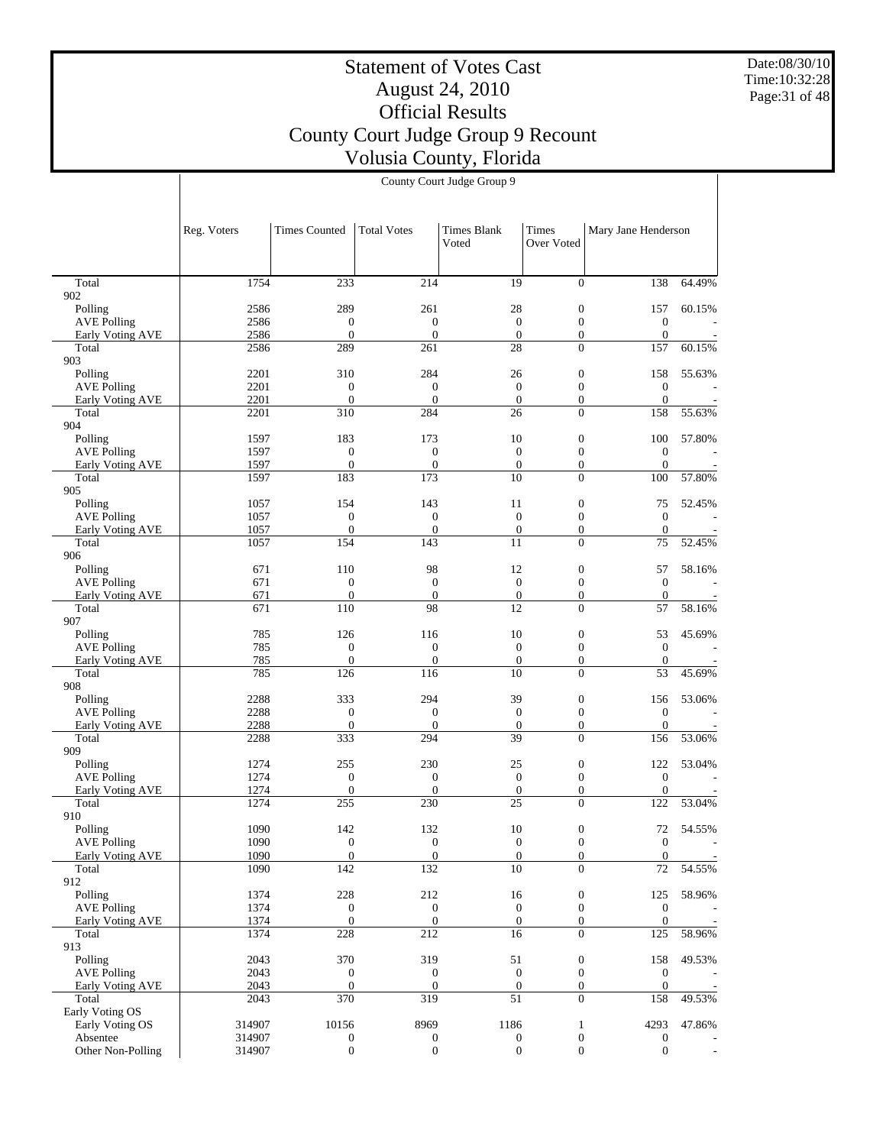Date:08/30/10 Time:10:32:28 Page:31 of 48

# Statement of Votes Cast August 24, 2010 Official Results County Court Judge Group 9 Recount Volusia County, Florida

|                                        | Reg. Voters  | <b>Times Counted</b>             | <b>Total Votes</b>           | <b>Times Blank</b><br>Voted      | Times<br>Over Voted                  | Mary Jane Henderson                  |        |
|----------------------------------------|--------------|----------------------------------|------------------------------|----------------------------------|--------------------------------------|--------------------------------------|--------|
| Total                                  | 1754         | 233                              | 214                          | 19                               | $\overline{0}$                       | 138                                  | 64.49% |
| 902                                    |              |                                  |                              |                                  |                                      |                                      |        |
| Polling                                | 2586         | 289                              | 261                          | 28                               | $\boldsymbol{0}$<br>$\mathbf{0}$     | 157                                  | 60.15% |
| <b>AVE Polling</b><br>Early Voting AVE | 2586<br>2586 | $\boldsymbol{0}$<br>$\mathbf{0}$ | $\boldsymbol{0}$<br>$\theta$ | $\mathbf{0}$<br>$\boldsymbol{0}$ | $\boldsymbol{0}$                     | $\boldsymbol{0}$<br>$\boldsymbol{0}$ |        |
| Total                                  | 2586         | 289                              | 261                          | 28                               | $\Omega$                             | 157                                  | 60.15% |
| 903                                    |              |                                  |                              |                                  |                                      |                                      |        |
| Polling                                | 2201         | 310                              | 284                          | 26                               | $\boldsymbol{0}$                     | 158                                  | 55.63% |
| <b>AVE Polling</b>                     | 2201         | $\mathbf{0}$                     | $\boldsymbol{0}$             | $\boldsymbol{0}$                 | $\boldsymbol{0}$                     | $\boldsymbol{0}$                     |        |
| Early Voting AVE<br>Total              | 2201<br>2201 | $\boldsymbol{0}$<br>310          | $\mathbf{0}$<br>284          | $\boldsymbol{0}$<br>26           | $\boldsymbol{0}$<br>$\theta$         | $\boldsymbol{0}$<br>158              | 55.63% |
| 904                                    |              |                                  |                              |                                  |                                      |                                      |        |
| Polling                                | 1597         | 183                              | 173                          | 10                               | $\boldsymbol{0}$                     | 100                                  | 57.80% |
| <b>AVE Polling</b>                     | 1597         | $\boldsymbol{0}$                 | $\mathbf{0}$                 | $\boldsymbol{0}$                 | $\mathbf{0}$                         | $\boldsymbol{0}$                     |        |
| Early Voting AVE                       | 1597         | $\boldsymbol{0}$                 | $\mathbf{0}$                 | $\boldsymbol{0}$                 | $\boldsymbol{0}$                     | $\boldsymbol{0}$                     |        |
| Total                                  | 1597         | 183                              | 173                          | 10                               | $\overline{0}$                       | 100                                  | 57.80% |
| 905                                    |              |                                  |                              |                                  |                                      |                                      |        |
| Polling<br><b>AVE Polling</b>          | 1057<br>1057 | 154<br>$\boldsymbol{0}$          | 143<br>$\mathbf{0}$          | 11<br>$\boldsymbol{0}$           | $\boldsymbol{0}$<br>$\boldsymbol{0}$ | 75<br>$\boldsymbol{0}$               | 52.45% |
| Early Voting AVE                       | 1057         | $\overline{0}$                   | $\mathbf{0}$                 | $\boldsymbol{0}$                 | $\boldsymbol{0}$                     | $\boldsymbol{0}$                     |        |
| Total                                  | 1057         | 154                              | 143                          | 11                               | $\theta$                             | 75                                   | 52.45% |
| 906                                    |              |                                  |                              |                                  |                                      |                                      |        |
| Polling                                | 671          | 110                              | 98                           | 12                               | $\boldsymbol{0}$                     | 57                                   | 58.16% |
| <b>AVE Polling</b>                     | 671          | $\boldsymbol{0}$                 | $\boldsymbol{0}$             | $\boldsymbol{0}$                 | $\mathbf{0}$                         | $\boldsymbol{0}$                     |        |
| Early Voting AVE                       | 671<br>671   | $\boldsymbol{0}$<br>110          | $\mathbf{0}$<br>98           | $\boldsymbol{0}$<br>12           | $\boldsymbol{0}$<br>$\Omega$         | $\boldsymbol{0}$                     | 58.16% |
| Total<br>907                           |              |                                  |                              |                                  |                                      | 57                                   |        |
| Polling                                | 785          | 126                              | 116                          | 10                               | $\boldsymbol{0}$                     | 53                                   | 45.69% |
| <b>AVE Polling</b>                     | 785          | $\mathbf{0}$                     | $\boldsymbol{0}$             | $\boldsymbol{0}$                 | $\boldsymbol{0}$                     | $\mathbf{0}$                         |        |
| Early Voting AVE                       | 785          | $\boldsymbol{0}$                 | $\mathbf{0}$                 | $\boldsymbol{0}$                 | $\boldsymbol{0}$                     | $\boldsymbol{0}$                     |        |
| Total                                  | 785          | 126                              | 116                          | 10                               | $\theta$                             | 53                                   | 45.69% |
| 908                                    |              |                                  | 294                          | 39                               |                                      |                                      |        |
| Polling<br><b>AVE Polling</b>          | 2288<br>2288 | 333<br>$\boldsymbol{0}$          | $\mathbf{0}$                 | $\mathbf{0}$                     | $\boldsymbol{0}$<br>$\mathbf{0}$     | 156<br>$\boldsymbol{0}$              | 53.06% |
| Early Voting AVE                       | 2288         | $\boldsymbol{0}$                 | $\mathbf{0}$                 | $\boldsymbol{0}$                 | $\boldsymbol{0}$                     | $\boldsymbol{0}$                     |        |
| Total                                  | 2288         | 333                              | 294                          | 39                               | $\overline{0}$                       | 156                                  | 53.06% |
| 909                                    |              |                                  |                              |                                  |                                      |                                      |        |
| Polling                                | 1274         | 255                              | 230                          | 25                               | $\boldsymbol{0}$                     | 122                                  | 53.04% |
| <b>AVE Polling</b>                     | 1274         | $\mathbf{0}$                     | $\mathbf{0}$                 | $\boldsymbol{0}$                 | $\boldsymbol{0}$                     | $\boldsymbol{0}$                     |        |
| <b>Early Voting AVE</b><br>Total       | 1274<br>1274 | $\mathbf{0}$<br>255              | $\mathbf{0}$<br>230          | $\boldsymbol{0}$<br>25           | $\boldsymbol{0}$<br>$\overline{0}$   | $\boldsymbol{0}$<br>122              | 53.04% |
| 910                                    |              |                                  |                              |                                  |                                      |                                      |        |
| Polling                                | 1090         | 142                              | 132                          | 10                               | $\boldsymbol{0}$                     | 72                                   | 54.55% |
| <b>AVE Polling</b>                     | 1090         | $\mathbf{0}$                     | $\mathbf{0}$                 | $\mathbf{0}$                     | $\mathbf{0}$                         | $\mathbf{0}$                         |        |
| Early Voting AVE                       | 1090         | $\boldsymbol{0}$                 | $\mathbf{0}$                 | $\boldsymbol{0}$                 | $\mathbf{0}$                         | $\boldsymbol{0}$                     |        |
| Total                                  | 1090         | 142                              | 132                          | $\overline{10}$                  | $\overline{0}$                       | 72                                   | 54.55% |
| 912<br>Polling                         | 1374         | 228                              | 212                          | 16                               | $\boldsymbol{0}$                     |                                      | 58.96% |
| <b>AVE Polling</b>                     | 1374         | $\mathbf{0}$                     | $\boldsymbol{0}$             | $\mathbf{0}$                     | $\mathbf{0}$                         | 125<br>$\boldsymbol{0}$              |        |
| <b>Early Voting AVE</b>                | 1374         | $\mathbf{0}$                     | $\mathbf{0}$                 | $\boldsymbol{0}$                 | $\overline{0}$                       | $\mathbf{0}$                         |        |
| Total                                  | 1374         | 228                              | 212                          | 16                               | $\Omega$                             | 125                                  | 58.96% |
| 913                                    |              |                                  |                              |                                  |                                      |                                      |        |
| Polling                                | 2043         | 370                              | 319                          | 51                               | $\boldsymbol{0}$                     | 158                                  | 49.53% |
| <b>AVE Polling</b><br>Early Voting AVE | 2043         | $\mathbf{0}$<br>$\mathbf{0}$     | $\boldsymbol{0}$             | $\boldsymbol{0}$                 | $\mathbf{0}$                         | $\boldsymbol{0}$                     |        |
| Total                                  | 2043<br>2043 | 370                              | $\theta$<br>319              | $\boldsymbol{0}$<br>51           | $\boldsymbol{0}$<br>$\Omega$         | $\boldsymbol{0}$<br>158              | 49.53% |
| Early Voting OS                        |              |                                  |                              |                                  |                                      |                                      |        |
| Early Voting OS                        | 314907       | 10156                            | 8969                         | 1186                             | $\mathbf{1}$                         | 4293                                 | 47.86% |
| Absentee                               | 314907       | $\boldsymbol{0}$                 | 0                            | $\boldsymbol{0}$                 | $\boldsymbol{0}$                     | $\boldsymbol{0}$                     |        |
| Other Non-Polling                      | 314907       | $\overline{0}$                   | $\overline{0}$               | $\boldsymbol{0}$                 | $\overline{0}$                       | $\mathbf{0}$                         |        |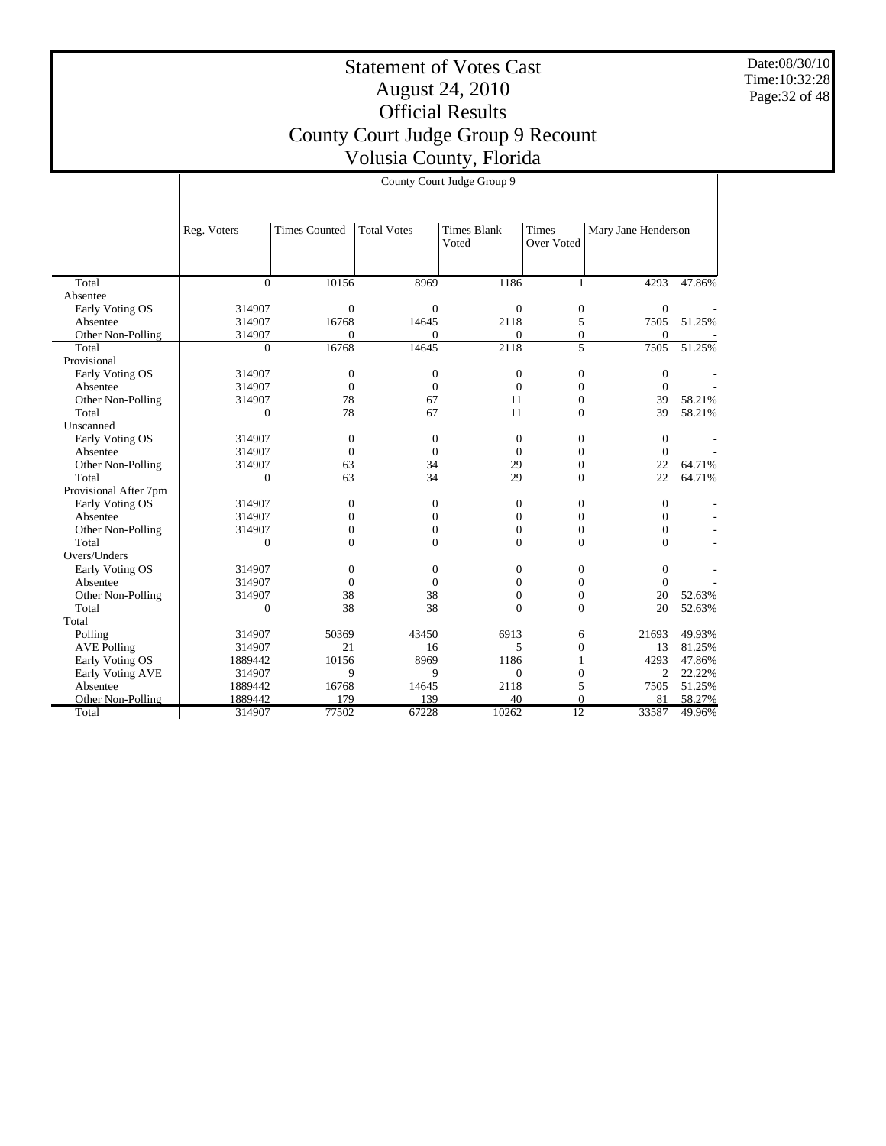Date:08/30/10 Time:10:32:28 Page:32 of 48

|                       |                | County Court Judge Group 9 |                    |                             |                     |                     |        |
|-----------------------|----------------|----------------------------|--------------------|-----------------------------|---------------------|---------------------|--------|
|                       |                |                            |                    |                             |                     |                     |        |
|                       | Reg. Voters    | <b>Times Counted</b>       | <b>Total Votes</b> | <b>Times Blank</b><br>Voted | Times<br>Over Voted | Mary Jane Henderson |        |
| Total                 | $\overline{0}$ | 10156                      | 8969               | 1186                        | $\mathbf{1}$        | 4293                | 47.86% |
| Absentee              |                |                            |                    |                             |                     |                     |        |
| Early Voting OS       | 314907         | $\overline{0}$             | $\mathbf{0}$       | $\mathbf{0}$                | $\mathbf{0}$        | $\boldsymbol{0}$    |        |
| Absentee              | 314907         | 16768                      | 14645              | 2118                        | 5                   | 7505                | 51.25% |
| Other Non-Polling     | 314907         | $\mathbf{0}$               | $\Omega$           | $\mathbf{0}$                | $\overline{0}$      | $\mathbf{0}$        |        |
| Total                 | $\Omega$       | 16768                      | 14645              | 2118                        | 5                   | 7505                | 51.25% |
| Provisional           |                |                            |                    |                             |                     |                     |        |
| Early Voting OS       | 314907         | $\mathbf{0}$               | $\boldsymbol{0}$   | $\boldsymbol{0}$            | $\boldsymbol{0}$    | $\boldsymbol{0}$    |        |
| Absentee              | 314907         | $\overline{0}$             | $\mathbf{0}$       | $\overline{0}$              | $\overline{0}$      | $\Omega$            |        |
| Other Non-Polling     | 314907         | 78                         | 67                 | 11                          | $\overline{0}$      | 39                  | 58.21% |
| Total                 | $\Omega$       | $\overline{78}$            | 67                 | 11                          | $\Omega$            | 39                  | 58.21% |
| Unscanned             |                |                            |                    |                             |                     |                     |        |
| Early Voting OS       | 314907         | $\overline{0}$             | $\mathbf{0}$       | $\boldsymbol{0}$            | $\overline{0}$      | $\boldsymbol{0}$    |        |
| Absentee              | 314907         | $\overline{0}$             | $\mathbf{0}$       | $\overline{0}$              | $\Omega$            | $\mathbf{0}$        |        |
| Other Non-Polling     | 314907         | 63                         | 34                 | 29                          | $\Omega$            | 22                  | 64.71% |
| Total                 | $\Omega$       | 63                         | 34                 | $\overline{29}$             | $\Omega$            | 22                  | 64.71% |
| Provisional After 7pm |                |                            |                    |                             |                     |                     |        |
| Early Voting OS       | 314907         | $\overline{0}$             | $\boldsymbol{0}$   | $\boldsymbol{0}$            | $\mathbf{0}$        | $\boldsymbol{0}$    |        |
| Absentee              | 314907         | $\overline{0}$             | $\overline{0}$     | $\mathbf{0}$                | $\mathbf{0}$        | $\boldsymbol{0}$    |        |
| Other Non-Polling     | 314907         | $\overline{0}$             | $\theta$           | $\boldsymbol{0}$            | $\Omega$            | $\mathbf{0}$        |        |
| Total                 | $\Omega$       | $\theta$                   | $\theta$           | $\mathbf{0}$                | $\Omega$            | $\Omega$            |        |
| Overs/Unders          |                |                            |                    |                             |                     |                     |        |
| Early Voting OS       | 314907         | $\overline{0}$             | $\mathbf{0}$       | $\boldsymbol{0}$            | $\boldsymbol{0}$    | $\boldsymbol{0}$    |        |
| Absentee              | 314907         | $\overline{0}$             | $\boldsymbol{0}$   | $\boldsymbol{0}$            | $\mathbf{0}$        | $\mathbf{0}$        |        |
| Other Non-Polling     | 314907         | 38                         | 38                 | $\boldsymbol{0}$            | $\overline{0}$      | 20                  | 52.63% |
| Total                 | $\theta$       | 38                         | 38                 | $\theta$                    | $\theta$            | 20                  | 52.63% |
| Total                 |                |                            |                    |                             |                     |                     |        |
| Polling               | 314907         | 50369                      | 43450              | 6913                        | 6                   | 21693               | 49.93% |
| <b>AVE Polling</b>    | 314907         | 21                         | 16                 | 5                           | $\overline{0}$      | 13                  | 81.25% |
| Early Voting OS       | 1889442        | 10156                      | 8969               | 1186                        | 1                   | 4293                | 47.86% |
| Early Voting AVE      | 314907         | 9                          | 9                  | $\Omega$                    | $\Omega$            | $\overline{c}$      | 22.22% |
| Absentee              | 1889442        | 16768                      | 14645              | 2118                        | 5                   | 7505                | 51.25% |
| Other Non-Polling     | 1889442        | 179                        | 139                | 40                          | $\Omega$            | 81                  | 58.27% |
| Total                 | 314907         | 77502                      | 67228              | 10262                       | 12                  | 33587               | 49.96% |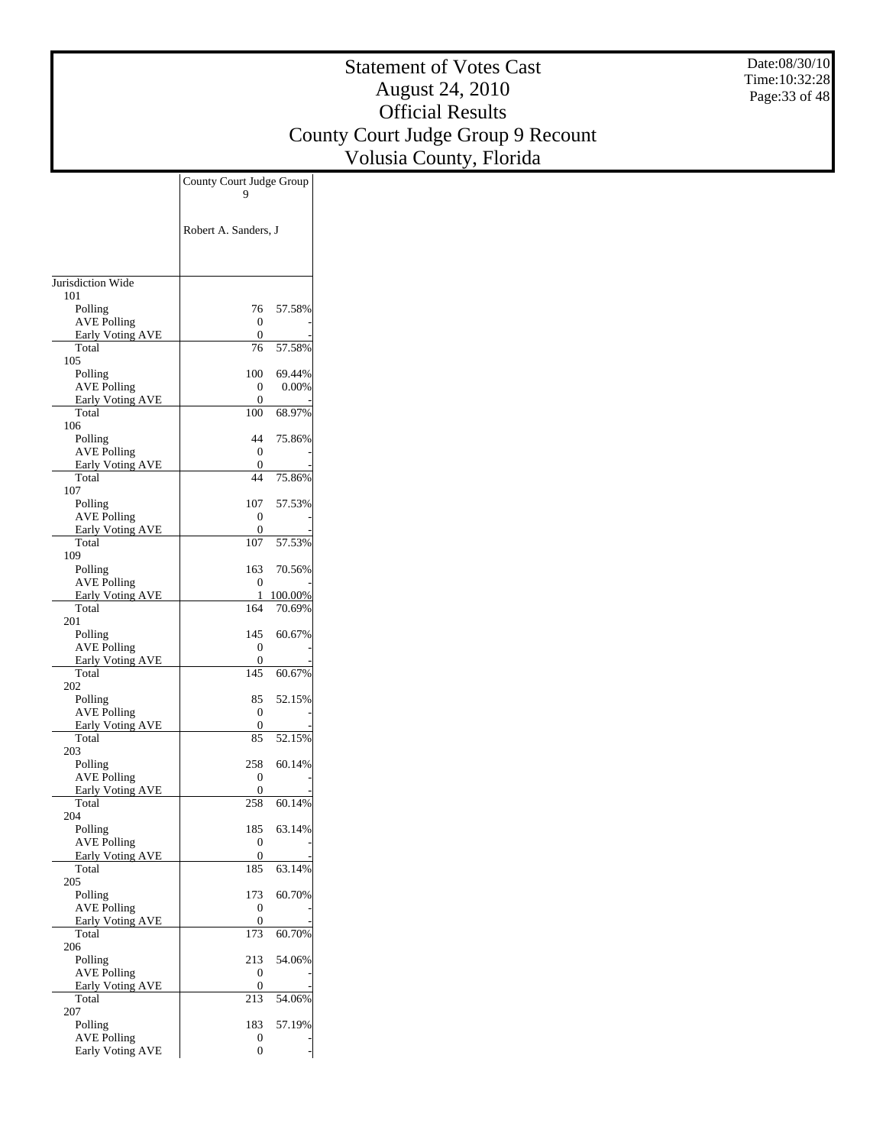Date:08/30/10 Time:10:32:28 Page:33 of 48

|                                               | County Court Judge Group |         |
|-----------------------------------------------|--------------------------|---------|
|                                               |                          |         |
|                                               | Robert A. Sanders, J     |         |
|                                               |                          |         |
|                                               |                          |         |
| Jurisdiction Wide                             |                          |         |
| 101                                           |                          |         |
| Polling                                       | 76                       | 57.58%  |
| <b>AVE Polling</b><br><b>Early Voting AVE</b> | 0<br>0                   |         |
| Total                                         | 76                       | 57.58%  |
| 105                                           | 100                      | 69.44%  |
| Polling<br><b>AVE Polling</b>                 | 0                        | 0.00%   |
| <b>Early Voting AVE</b>                       | 0                        |         |
| Total<br>106                                  | 100                      | 68.97%  |
| Polling                                       | 44                       | 75.86%  |
| <b>AVE Polling</b>                            | 0                        |         |
| <b>Early Voting AVE</b><br>Total              | 0<br>44                  | 75.86%  |
| 107                                           |                          |         |
| Polling                                       | 107                      | 57.53%  |
| <b>AVE Polling</b><br><b>Early Voting AVE</b> | 0<br>0                   |         |
| Total                                         | 107                      | 57.53%  |
| 109                                           |                          |         |
| Polling<br><b>AVE Polling</b>                 | 163<br>0                 | 70.56%  |
| <b>Early Voting AVE</b>                       | 1                        | 100.00% |
| Total<br>201                                  | 164                      | 70.69%  |
| Polling                                       | 145                      | 60.67%  |
| <b>AVE Polling</b>                            | 0                        |         |
| <b>Early Voting AVE</b><br>Total              | 0<br>145                 | 60.67%  |
| 202                                           |                          |         |
| Polling                                       | 85                       | 52.15%  |
| <b>AVE Polling</b><br><b>Early Voting AVE</b> | 0<br>0                   |         |
| Total                                         | 85                       | 52.15%  |
| 203<br>Polling                                | 258                      | 60.14%  |
| <b>AVE Polling</b>                            | 0                        |         |
| Early Voting AVE                              | 0                        |         |
| Total<br>204                                  | 258                      | 60.14%  |
| Polling                                       | 185                      | 63.14%  |
| <b>AVE Polling</b>                            | 0                        |         |
| <b>Early Voting AVE</b><br>Total              | 0<br>185                 | 63.14%  |
| 205                                           |                          |         |
| Polling                                       | 173                      | 60.70%  |
| <b>AVE Polling</b><br><b>Early Voting AVE</b> | 0<br>0                   |         |
| Total                                         | 173                      | 60.70%  |
| 206<br>Polling                                | 213                      | 54.06%  |
| <b>AVE Polling</b>                            | 0                        |         |
| <b>Early Voting AVE</b>                       | 0                        |         |
| Total<br>207                                  | 213                      | 54.06%  |
| Polling                                       | 183                      | 57.19%  |
| <b>AVE Polling</b>                            | 0                        |         |
| <b>Early Voting AVE</b>                       | 0                        |         |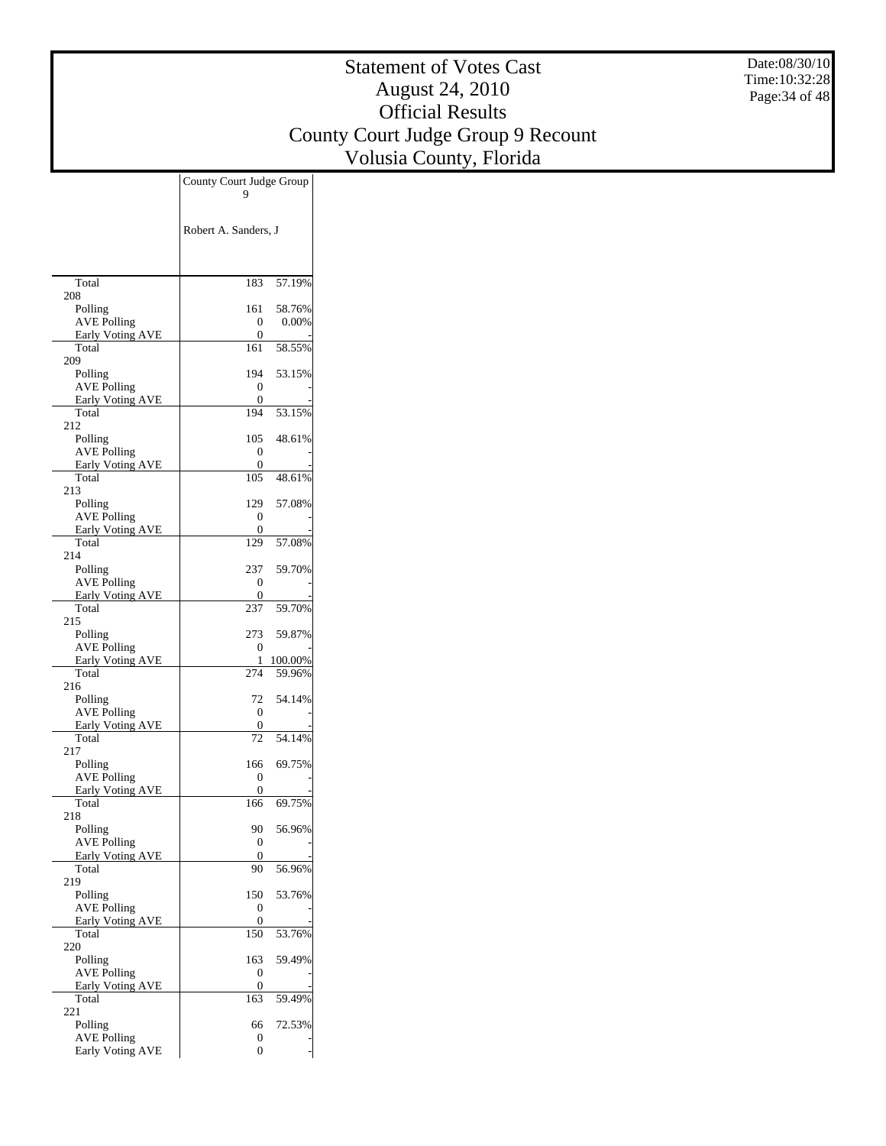Date:08/30/10 Time:10:32:28 Page:34 of 48

|                                               | County Court Judge Group<br>9 |
|-----------------------------------------------|-------------------------------|
|                                               |                               |
|                                               | Robert A. Sanders, J          |
|                                               |                               |
|                                               |                               |
| Total                                         | 183<br>57.19%                 |
| 208                                           |                               |
| Polling                                       | 161<br>58.76%                 |
| <b>AVE Polling</b><br><b>Early Voting AVE</b> | 0.00%<br>0                    |
| Total                                         | 0<br>58.55%<br>161            |
| 209                                           |                               |
| Polling                                       | 194<br>53.15%                 |
| <b>AVE Polling</b><br><b>Early Voting AVE</b> | 0<br>0                        |
| Total                                         | 194<br>53.15%                 |
| 212                                           |                               |
| Polling                                       | 105<br>48.61%                 |
| <b>AVE Polling</b><br><b>Early Voting AVE</b> | 0<br>0                        |
| Total                                         | 48.61%<br>105                 |
| 213                                           |                               |
| Polling                                       | 129<br>57.08%                 |
| <b>AVE Polling</b><br><b>Early Voting AVE</b> | 0<br>0                        |
| Total                                         | 129<br>57.08%                 |
| 214                                           |                               |
| Polling                                       | 237<br>59.70%                 |
| <b>AVE Polling</b><br><b>Early Voting AVE</b> | 0<br>0                        |
| Total                                         | 59.70%<br>237                 |
| 215                                           |                               |
| Polling                                       | 273<br>59.87%                 |
| <b>AVE Polling</b><br><b>Early Voting AVE</b> | 0<br>100.00%<br>1             |
| Total                                         | 274<br>59.96%                 |
| 216                                           |                               |
| Polling                                       | 54.14%<br>72                  |
| <b>AVE Polling</b><br><b>Early Voting AVE</b> | 0<br>0                        |
| Total                                         | 54.14%<br>72                  |
| 217                                           |                               |
| Polling                                       | 69.75%<br>166                 |
| <b>AVE Polling</b><br>Early Voting AVE        | 0<br>0                        |
| Total                                         | 69.75%<br>166                 |
| 218                                           |                               |
| Polling                                       | 90<br>56.96%                  |
| <b>AVE Polling</b><br>Early Voting AVE        | 0<br>0                        |
| Total                                         | 56.96%<br>90                  |
| 219                                           |                               |
| Polling                                       | 150<br>53.76%                 |
| <b>AVE Polling</b><br><b>Early Voting AVE</b> | 0<br>0                        |
| Total                                         | 150<br>53.76%                 |
| 220                                           |                               |
| Polling                                       | 59.49%<br>163                 |
| <b>AVE Polling</b><br><b>Early Voting AVE</b> | 0<br>0                        |
| Total                                         | 163<br>59.49%                 |
| 221                                           |                               |
| Polling                                       | 72.53%<br>66                  |
| <b>AVE Polling</b><br><b>Early Voting AVE</b> | 0<br>0                        |
|                                               |                               |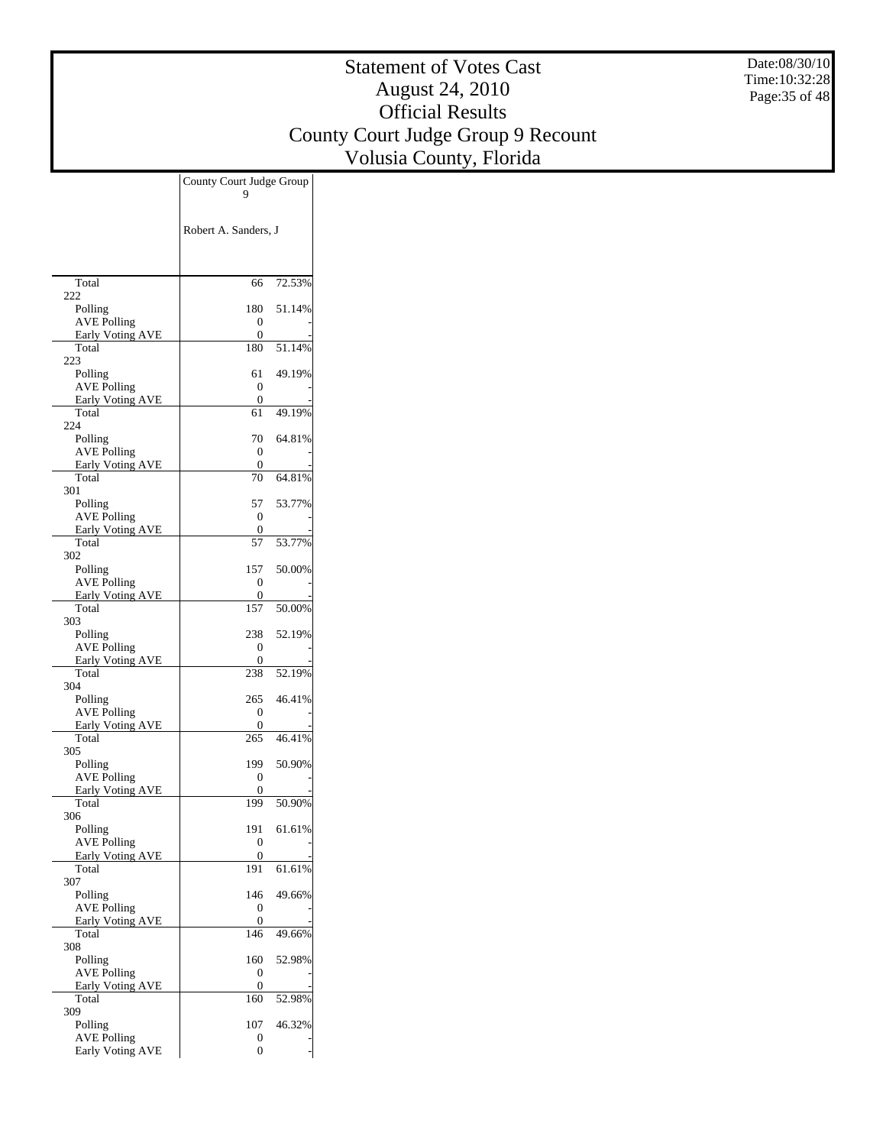Date:08/30/10 Time:10:32:28 Page:35 of 48

|                                               | County Court Judge Group |        |
|-----------------------------------------------|--------------------------|--------|
|                                               |                          |        |
|                                               |                          |        |
|                                               | Robert A. Sanders, J     |        |
|                                               |                          |        |
|                                               |                          |        |
| Total                                         | 66                       | 72.53% |
| 222<br>Polling                                | 180                      | 51.14% |
| <b>AVE Polling</b>                            | 0                        |        |
| Early Voting AVE                              | 0                        |        |
| Total<br>223                                  | 180                      | 51.14% |
| Polling                                       | 61                       | 49.19% |
| <b>AVE Polling</b>                            | 0                        |        |
| <b>Early Voting AVE</b>                       | 0                        |        |
| Total<br>224                                  | 61                       | 49.19% |
| Polling                                       | 70                       | 64.81% |
| <b>AVE Polling</b>                            | 0                        |        |
| <b>Early Voting AVE</b><br>Total              | 0<br>70                  | 64.81% |
| 301                                           |                          |        |
| Polling                                       | 57                       | 53.77% |
| <b>AVE Polling</b>                            | 0                        |        |
| <b>Early Voting AVE</b><br>Total              | 0<br>57                  | 53.77% |
| 302                                           |                          |        |
| Polling                                       | 157                      | 50.00% |
| <b>AVE Polling</b>                            | 0                        |        |
| Early Voting AVE<br>Total                     | 0<br>157                 | 50.00% |
| 303                                           |                          |        |
| Polling                                       | 238                      | 52.19% |
| <b>AVE Polling</b><br><b>Early Voting AVE</b> | 0<br>0                   |        |
| Total                                         | 238                      | 52.19% |
| 304                                           |                          |        |
| Polling                                       | 265                      | 46.41% |
| <b>AVE Polling</b><br><b>Early Voting AVE</b> | 0<br>0                   |        |
| Total                                         | 265                      | 46.41% |
| 305                                           |                          |        |
| Polling                                       | 199                      | 50.90% |
| <b>AVE Polling</b><br><b>Early Voting AVE</b> | 0<br>0                   |        |
| Total                                         | 199                      | 50.90% |
| 306                                           |                          |        |
| Polling<br><b>AVE Polling</b>                 | 191<br>0                 | 61.61% |
| <b>Early Voting AVE</b>                       | 0                        |        |
| Total                                         | 191                      | 61.61% |
| 307                                           |                          |        |
| Polling<br><b>AVE Polling</b>                 | 146<br>0                 | 49.66% |
| <b>Early Voting AVE</b>                       | $\boldsymbol{0}$         |        |
| Total                                         | 146                      | 49.66% |
| 308<br>Polling                                | 160                      | 52.98% |
| <b>AVE Polling</b>                            | 0                        |        |
| <b>Early Voting AVE</b>                       | 0                        |        |
| Total                                         | 160                      | 52.98% |
| 309<br>Polling                                | 107                      | 46.32% |
| <b>AVE Polling</b>                            | 0                        |        |
| <b>Early Voting AVE</b>                       | 0                        |        |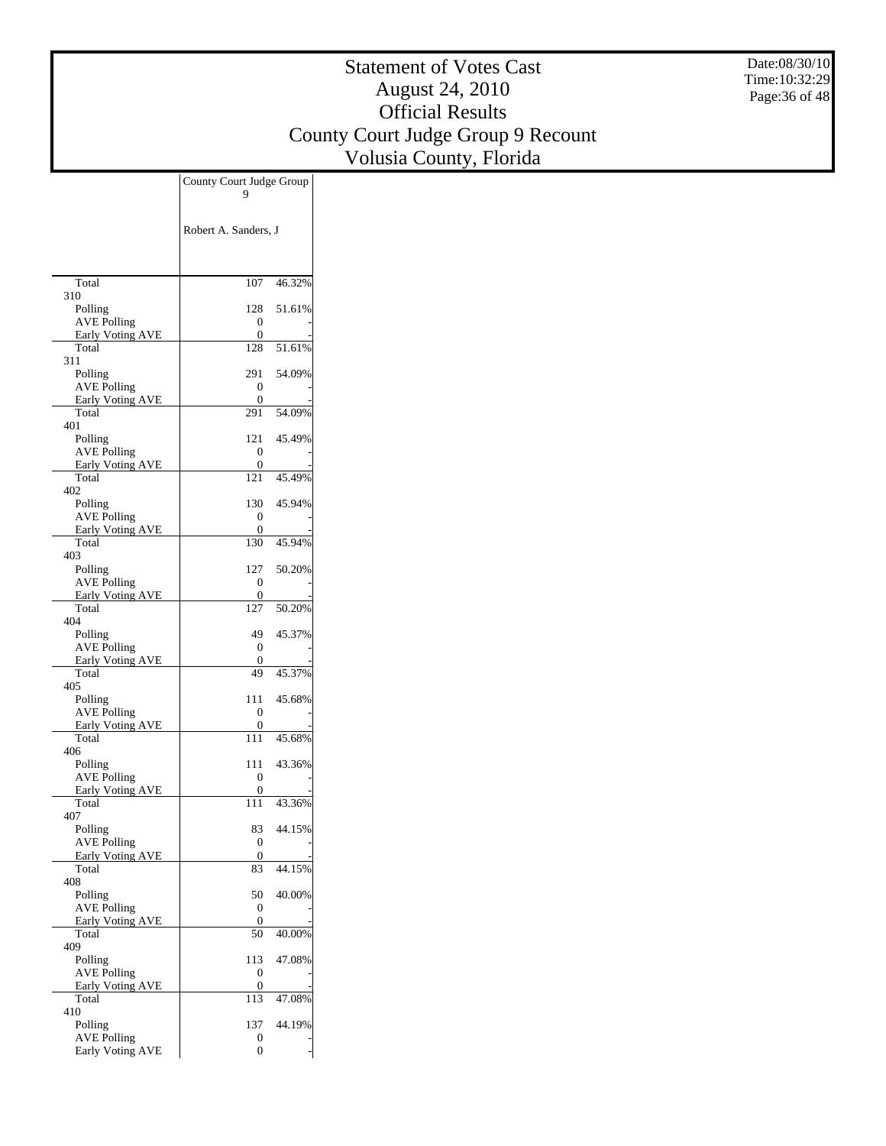Date:08/30/10 Time:10:32:29 Page:36 of 48

|                                               | County Court Judge Group |
|-----------------------------------------------|--------------------------|
|                                               |                          |
|                                               |                          |
|                                               | Robert A. Sanders, J     |
|                                               |                          |
|                                               |                          |
| Total                                         | 107<br>46.32%            |
| 310<br>Polling                                | 51.61%<br>128            |
| <b>AVE Polling</b>                            | 0                        |
| Early Voting AVE                              | 0                        |
| Total<br>311                                  | 128<br>51.61%            |
| Polling                                       | 291<br>54.09%            |
| <b>AVE Polling</b>                            | 0                        |
| <b>Early Voting AVE</b><br>Total              | 0<br>291<br>54.09%       |
| 401                                           |                          |
| Polling                                       | 121<br>45.49%            |
| <b>AVE Polling</b>                            | 0                        |
| <b>Early Voting AVE</b><br>Total              | 0<br>121<br>45.49%       |
| 402                                           |                          |
| Polling                                       | 130<br>45.94%            |
| <b>AVE Polling</b><br><b>Early Voting AVE</b> | 0<br>0                   |
| Total                                         | 45.94%<br>130            |
| 403                                           |                          |
| Polling                                       | 50.20%<br>127            |
| <b>AVE Polling</b><br>Early Voting AVE        | 0<br>0                   |
| Total                                         | 127<br>50.20%            |
| 404                                           |                          |
| Polling<br><b>AVE Polling</b>                 | 45.37%<br>49<br>0        |
| <b>Early Voting AVE</b>                       | 0                        |
| Total                                         | 45.37%<br>49             |
| 405<br>Polling                                | 45.68%<br>111            |
| <b>AVE Polling</b>                            | 0                        |
| Early Voting AVE                              | 0                        |
| Total<br>406                                  | 111<br>45.68%            |
| Polling                                       | 43.36%<br>111            |
| <b>AVE Polling</b>                            | 0                        |
| <b>Early Voting AVE</b><br>Total              | 0<br>43.36%<br>111       |
| 407                                           |                          |
| Polling                                       | 44.15%<br>83             |
| <b>AVE Polling</b>                            | 0                        |
| <b>Early Voting AVE</b><br>Total              | 0<br>83<br>44.15%        |
| 408                                           |                          |
| Polling                                       | 50<br>40.00%             |
| <b>AVE Polling</b><br><b>Early Voting AVE</b> | 0<br>0                   |
| Total                                         | 50<br>40.00%             |
| 409                                           |                          |
| Polling<br><b>AVE Polling</b>                 | 47.08%<br>113<br>0       |
| <b>Early Voting AVE</b>                       | 0                        |
| Total                                         | 47.08%<br>113            |
| 410                                           |                          |
| Polling<br><b>AVE Polling</b>                 | 137<br>44.19%<br>0       |
| <b>Early Voting AVE</b>                       | 0                        |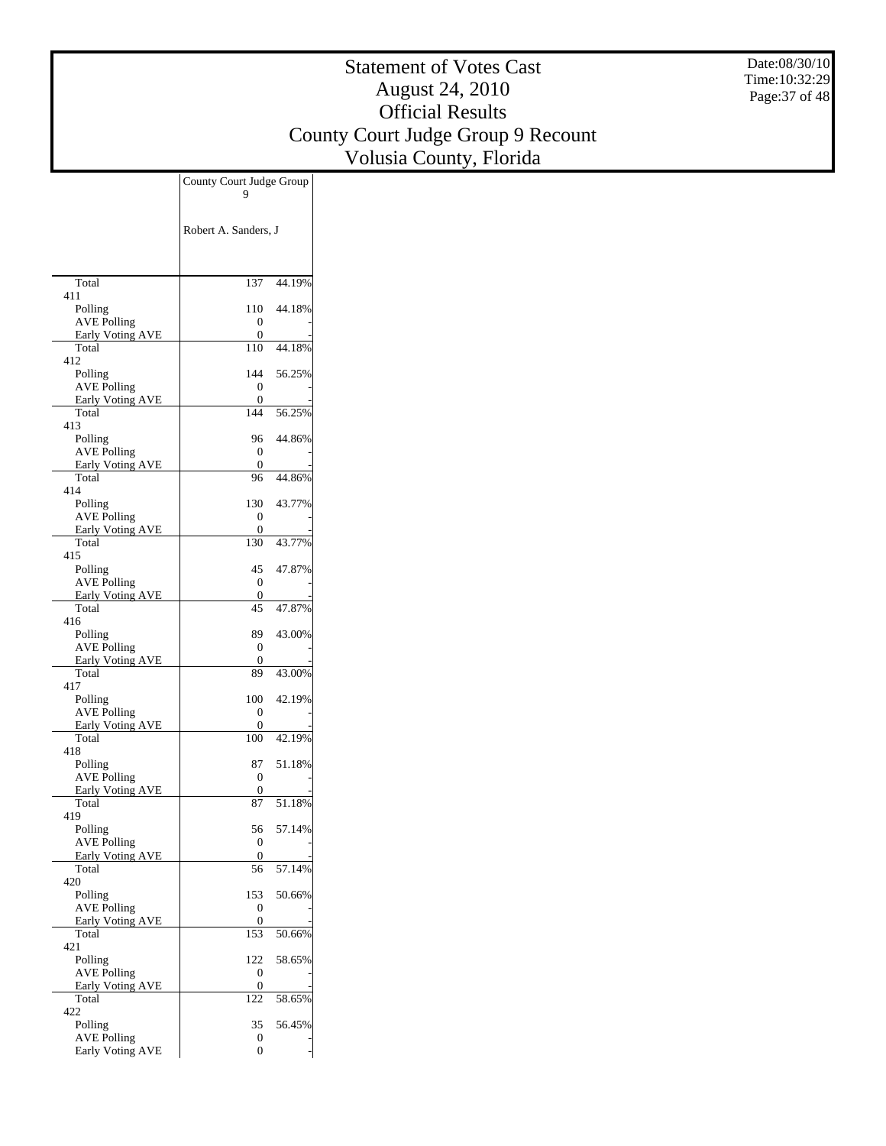Date:08/30/10 Time:10:32:29 Page:37 of 48

|                                               | County Court Judge Group |  |
|-----------------------------------------------|--------------------------|--|
|                                               |                          |  |
|                                               |                          |  |
|                                               | Robert A. Sanders, J     |  |
|                                               |                          |  |
|                                               |                          |  |
| Total<br>411                                  | 137<br>44.19%            |  |
| Polling                                       | 44.18%<br>110            |  |
| <b>AVE Polling</b>                            | 0<br>0                   |  |
| Early Voting AVE<br>Total                     | 110<br>44.18%            |  |
| 412                                           |                          |  |
| Polling<br><b>AVE Polling</b>                 | 56.25%<br>144<br>0       |  |
| <b>Early Voting AVE</b>                       | 0                        |  |
| Total                                         | 144<br>56.25%            |  |
| 413<br>Polling                                | 44.86%<br>96             |  |
| <b>AVE Polling</b>                            | 0                        |  |
| <b>Early Voting AVE</b><br>Total              | 0<br>44.86%<br>96        |  |
| 414                                           |                          |  |
| Polling                                       | 130<br>43.77%            |  |
| <b>AVE Polling</b><br>Early Voting AVE        | 0<br>0                   |  |
| Total                                         | 130<br>43.77%            |  |
| 415                                           |                          |  |
| Polling<br><b>AVE Polling</b>                 | 47.87%<br>45<br>0        |  |
| Early Voting AVE                              | 0                        |  |
| Total<br>416                                  | 47.87%<br>45             |  |
| Polling                                       | 89<br>43.00%             |  |
| <b>AVE Polling</b>                            | 0                        |  |
| <b>Early Voting AVE</b><br>Total              | 0<br>43.00%<br>89        |  |
| 417                                           |                          |  |
| Polling                                       | 42.19%<br>100            |  |
| <b>AVE Polling</b><br>Early Voting AVE        | 0<br>0                   |  |
| Total                                         | 42.19%<br>100            |  |
| 418<br>Polling                                | 51.18%<br>87             |  |
| <b>AVE Polling</b>                            | 0                        |  |
| <b>Early Voting AVE</b>                       | 0                        |  |
| Total<br>419                                  | 51.18%<br>87             |  |
| Polling                                       | 56<br>57.14%             |  |
| <b>AVE Polling</b>                            | 0                        |  |
| <b>Early Voting AVE</b><br>Total              | 0<br>56<br>57.14%        |  |
| 420                                           |                          |  |
| Polling                                       | 153<br>50.66%            |  |
| <b>AVE Polling</b><br><b>Early Voting AVE</b> | 0<br>0                   |  |
| Total                                         | 50.66%<br>153            |  |
| 421<br>Polling                                | 58.65%<br>122            |  |
| <b>AVE Polling</b>                            | 0                        |  |
| Early Voting AVE                              | 0                        |  |
| Total<br>422                                  | 122<br>58.65%            |  |
| Polling                                       | 35<br>56.45%             |  |
| <b>AVE Polling</b>                            | 0                        |  |
| <b>Early Voting AVE</b>                       | 0                        |  |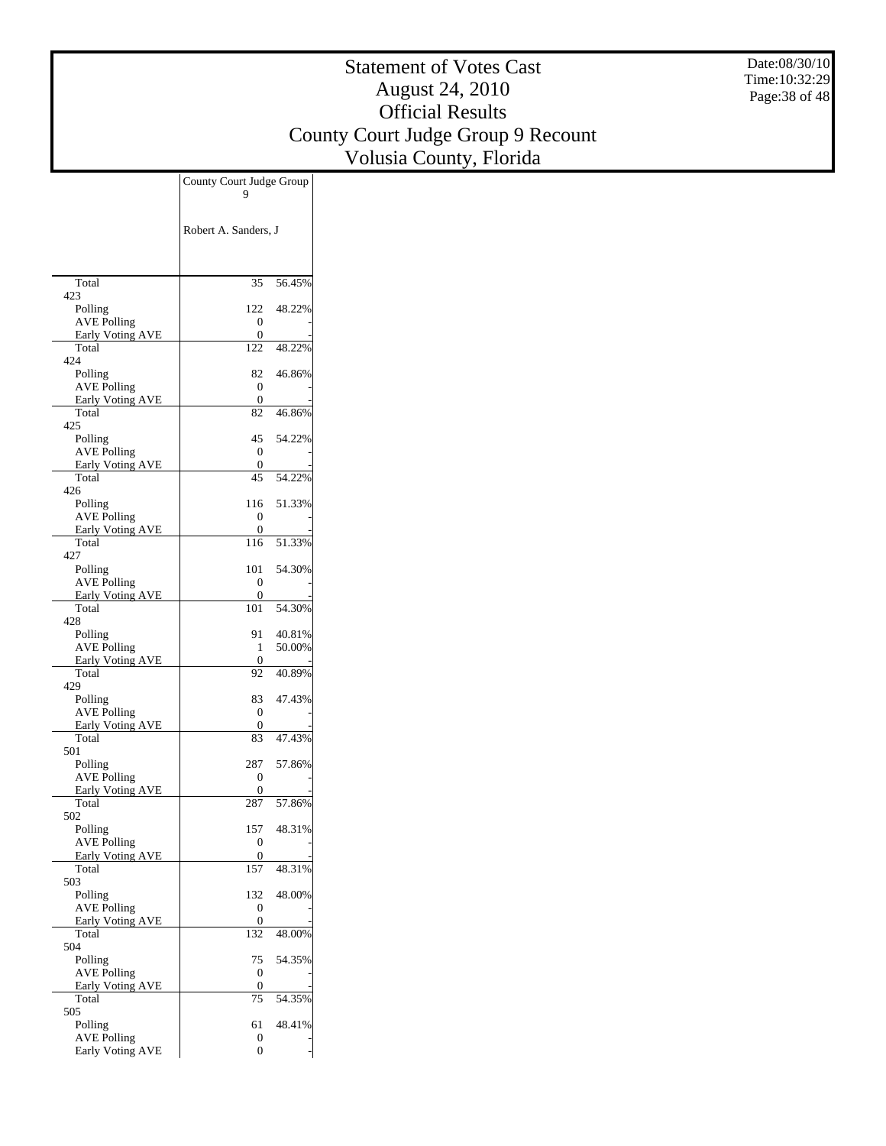Date:08/30/10 Time:10:32:29 Page:38 of 48

|                                               | County Court Judge Group |  |
|-----------------------------------------------|--------------------------|--|
|                                               |                          |  |
|                                               |                          |  |
|                                               | Robert A. Sanders, J     |  |
|                                               |                          |  |
|                                               |                          |  |
| Total                                         | 56.45%<br>35             |  |
| 423<br>Polling                                | 48.22%<br>122            |  |
| <b>AVE Polling</b>                            | 0                        |  |
| <b>Early Voting AVE</b>                       | 0                        |  |
| Total<br>424                                  | 122<br>48.22%            |  |
| Polling                                       | 46.86%<br>82             |  |
| <b>AVE Polling</b>                            | 0                        |  |
| <b>Early Voting AVE</b>                       | 0                        |  |
| Total<br>425                                  | 46.86%<br>82             |  |
| Polling                                       | 45<br>54.22%             |  |
| <b>AVE Polling</b>                            | 0                        |  |
| <b>Early Voting AVE</b><br>Total              | 0<br>45                  |  |
| 426                                           | 54.22%                   |  |
| Polling                                       | 51.33%<br>116            |  |
| <b>AVE Polling</b>                            | 0                        |  |
| <b>Early Voting AVE</b><br>Total              | 0<br>51.33%<br>116       |  |
| 427                                           |                          |  |
| Polling                                       | 54.30%<br>101            |  |
| <b>AVE Polling</b>                            | 0                        |  |
| Early Voting AVE<br>Total                     | 0<br>101<br>54.30%       |  |
| 428                                           |                          |  |
| Polling                                       | 91<br>40.81%             |  |
| <b>AVE Polling</b><br><b>Early Voting AVE</b> | 50.00%<br>1<br>0         |  |
| Total                                         | 40.89%<br>92             |  |
| 429                                           |                          |  |
| Polling                                       | 47.43%<br>83             |  |
| <b>AVE Polling</b><br>Early Voting AVE        | 0<br>0                   |  |
| Total                                         | 47.43%<br>83             |  |
| 501                                           |                          |  |
| Polling                                       | 287<br>57.86%            |  |
| <b>AVE Polling</b><br><b>Early Voting AVE</b> | 0<br>0                   |  |
| Total                                         | 57.86%<br>287            |  |
| 502                                           |                          |  |
| Polling<br><b>AVE Polling</b>                 | 48.31%<br>157<br>0       |  |
| <b>Early Voting AVE</b>                       | 0                        |  |
| Total                                         | 157<br>48.31%            |  |
| 503                                           |                          |  |
| Polling<br><b>AVE Polling</b>                 | 48.00%<br>132<br>0       |  |
| <b>Early Voting AVE</b>                       | 0                        |  |
| Total                                         | 132<br>48.00%            |  |
| 504<br>Polling                                | 54.35%<br>75             |  |
| <b>AVE Polling</b>                            | 0                        |  |
| Early Voting AVE                              | 0                        |  |
| Total                                         | 75<br>54.35%             |  |
| 505<br>Polling                                | 61<br>48.41%             |  |
| <b>AVE Polling</b>                            | 0                        |  |
| <b>Early Voting AVE</b>                       | 0                        |  |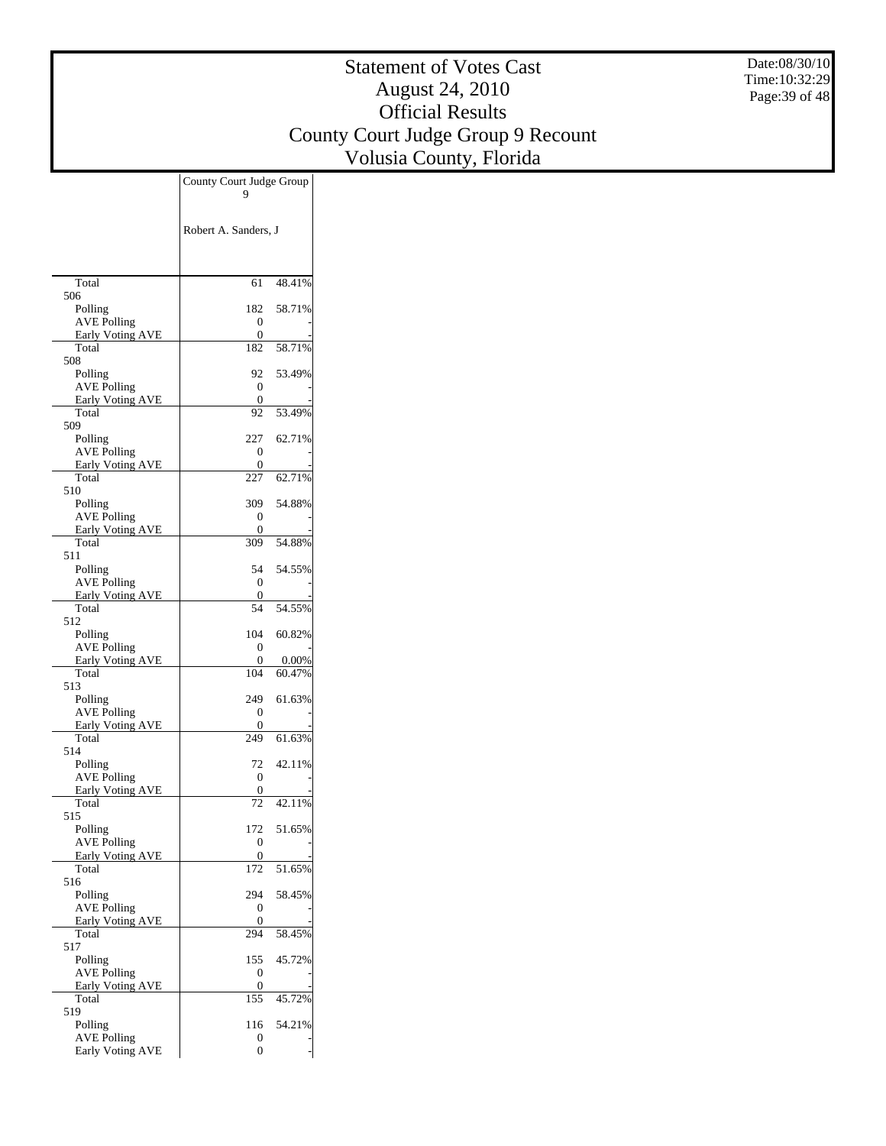Date:08/30/10 Time:10:32:29 Page:39 of 48

|                                               | County Court Judge Group |                 |
|-----------------------------------------------|--------------------------|-----------------|
|                                               |                          |                 |
|                                               |                          |                 |
|                                               | Robert A. Sanders, J     |                 |
|                                               |                          |                 |
|                                               |                          |                 |
| Total<br>506                                  | 61                       | 48.41%          |
| Polling                                       | 182                      | 58.71%          |
| <b>AVE Polling</b>                            | 0                        |                 |
| Early Voting AVE<br>Total                     | 0<br>182                 | 58.71%          |
| 508                                           |                          |                 |
| Polling<br><b>AVE Polling</b>                 | 92<br>0                  | 53.49%          |
| <b>Early Voting AVE</b>                       | 0                        |                 |
| Total                                         | 92                       | 53.49%          |
| 509<br>Polling                                | 227                      | 62.71%          |
| <b>AVE Polling</b>                            | 0                        |                 |
| Early Voting AVE                              | 0                        |                 |
| Total<br>510                                  | 227                      | 62.71%          |
| Polling                                       | 309                      | 54.88%          |
| <b>AVE Polling</b><br>Early Voting AVE        | 0<br>0                   |                 |
| Total                                         | 309                      | 54.88%          |
| 511                                           |                          |                 |
| Polling<br><b>AVE Polling</b>                 | 54<br>0                  | 54.55%          |
| Early Voting AVE                              | 0                        |                 |
| Total                                         | 54                       | 54.55%          |
| 512<br>Polling                                | 104                      | 60.82%          |
| <b>AVE Polling</b>                            | 0                        |                 |
| <b>Early Voting AVE</b><br>Total              | 0<br>104                 | 0.00%<br>60.47% |
| 513                                           |                          |                 |
| Polling                                       | 249                      | 61.63%          |
| <b>AVE Polling</b><br>Early Voting AVE        | 0<br>0                   |                 |
| Total                                         | 249                      | 61.63%          |
| 514                                           |                          |                 |
| Polling<br><b>AVE Polling</b>                 | 72<br>0                  | 42.11%          |
| <b>Early Voting AVE</b>                       | 0                        |                 |
| Total<br>515                                  | 72                       | 42.11%          |
| Polling                                       | 172                      | 51.65%          |
| <b>AVE Polling</b>                            | 0                        |                 |
| <b>Early Voting AVE</b><br>Total              | 0<br>172                 | 51.65%          |
| 516                                           |                          |                 |
| Polling                                       | 294                      | 58.45%          |
| <b>AVE Polling</b><br><b>Early Voting AVE</b> | 0<br>0                   |                 |
| Total                                         | 294                      | 58.45%          |
| 517                                           | 155                      | 45.72%          |
| Polling<br><b>AVE Polling</b>                 | 0                        |                 |
| <b>Early Voting AVE</b>                       | 0                        |                 |
| Total<br>519                                  | 155                      | 45.72%          |
| Polling                                       | 116                      | 54.21%          |
| <b>AVE Polling</b>                            | 0                        |                 |
| Early Voting AVE                              | 0                        |                 |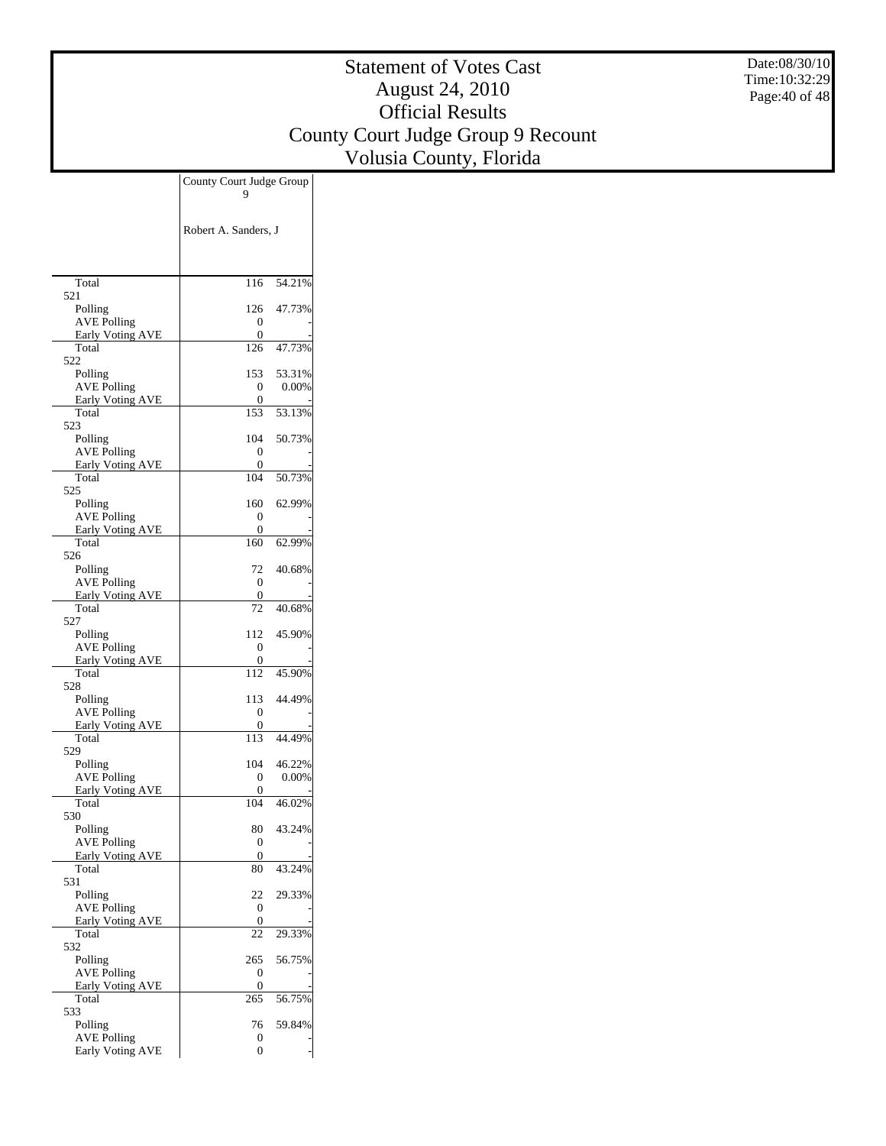Date:08/30/10 Time:10:32:29 Page:40 of 48

|                                               | County Court Judge Group<br>9        |        |
|-----------------------------------------------|--------------------------------------|--------|
|                                               | Robert A. Sanders, J                 |        |
|                                               |                                      |        |
| Total                                         | 116                                  | 54.21% |
| 521<br>Polling                                | 126                                  | 47.73% |
| <b>AVE Polling</b>                            | 0                                    |        |
| <b>Early Voting AVE</b>                       | 0                                    |        |
| Total<br>522                                  | 126                                  | 47.73% |
| Polling                                       | 153                                  | 53.31% |
| <b>AVE Polling</b><br><b>Early Voting AVE</b> | 0<br>0                               | 0.00%  |
| Total                                         | 153                                  | 53.13% |
| 523                                           | 104                                  | 50.73% |
| Polling<br><b>AVE Polling</b>                 | 0                                    |        |
| <b>Early Voting AVE</b>                       | 0                                    |        |
| Total<br>525                                  | 104                                  | 50.73% |
| Polling                                       | 160                                  | 62.99% |
| <b>AVE Polling</b>                            | 0<br>0                               |        |
| <b>Early Voting AVE</b><br>Total              | 160                                  | 62.99% |
| 526                                           |                                      |        |
| Polling<br><b>AVE Polling</b>                 | 72.<br>$\mathbf{0}$                  | 40.68% |
| <b>Early Voting AVE</b>                       | 0                                    |        |
| Total                                         | 72                                   | 40.68% |
| 527<br>Polling                                | 112                                  | 45.90% |
| <b>AVE Polling</b>                            | 0                                    |        |
| <b>Early Voting AVE</b><br>Total              | 0<br>112                             | 45.90% |
| 528                                           |                                      |        |
| Polling                                       | 113                                  | 44.49% |
| <b>AVE Polling</b><br><b>Early Voting AVE</b> | 0<br>0                               |        |
| Total                                         | 113                                  | 44.49% |
| 529<br>Polling                                | 104                                  | 46.22% |
| <b>AVE Polling</b>                            | 0                                    | 0.00%  |
| Early Voting AVE                              | 0                                    |        |
| Total<br>530                                  | 104                                  | 46.02% |
| Polling                                       | 80                                   | 43.24% |
| <b>AVE Polling</b>                            | $\boldsymbol{0}$<br>$\boldsymbol{0}$ |        |
| Early Voting AVE<br>Total                     | 80                                   | 43.24% |
| 531                                           |                                      |        |
| Polling<br><b>AVE Polling</b>                 | 22<br>0                              | 29.33% |
| <b>Early Voting AVE</b>                       | $\boldsymbol{0}$                     |        |
| Total<br>532                                  | 22                                   | 29.33% |
| Polling                                       | 265                                  | 56.75% |
| <b>AVE Polling</b>                            | 0                                    |        |
| <b>Early Voting AVE</b><br>Total              | 0<br>265                             | 56.75% |
| 533                                           |                                      |        |
| Polling                                       | 76                                   | 59.84% |
| <b>AVE Polling</b><br><b>Early Voting AVE</b> | 0<br>0                               |        |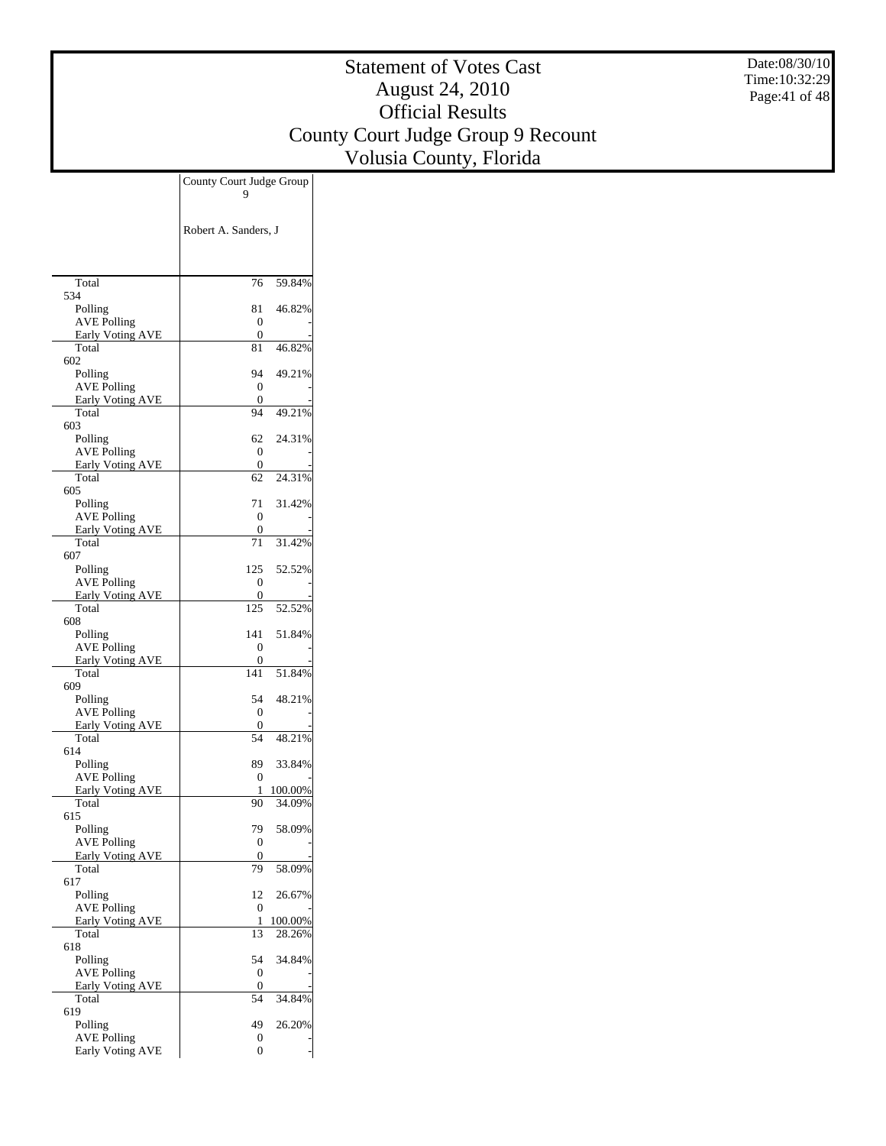Date:08/30/10 Time:10:32:29 Page:41 of 48

|                                               | County Court Judge Group |  |
|-----------------------------------------------|--------------------------|--|
|                                               |                          |  |
|                                               |                          |  |
|                                               | Robert A. Sanders, J     |  |
|                                               |                          |  |
|                                               |                          |  |
| Total                                         | 59.84%<br>76             |  |
| 534<br>Polling                                | 46.82%<br>81             |  |
| <b>AVE Polling</b>                            | 0                        |  |
| Early Voting AVE                              | 0                        |  |
| Total<br>602                                  | 46.82%<br>81             |  |
| Polling                                       | 94<br>49.21%             |  |
| <b>AVE Polling</b>                            | 0                        |  |
| <b>Early Voting AVE</b>                       | 0                        |  |
| Total<br>603                                  | 49.21%<br>94             |  |
| Polling                                       | 24.31%<br>62             |  |
| <b>AVE Polling</b>                            | 0                        |  |
| Early Voting AVE<br>Total                     | 0<br>62<br>24.31%        |  |
| 605                                           |                          |  |
| Polling                                       | 71<br>31.42%             |  |
| <b>AVE Polling</b>                            | 0                        |  |
| <b>Early Voting AVE</b><br>Total              | 0<br>31.42%<br>71        |  |
| 607                                           |                          |  |
| Polling                                       | 52.52%<br>125            |  |
| <b>AVE Polling</b>                            | 0                        |  |
| Early Voting AVE<br>Total                     | 0<br>52.52%<br>125       |  |
| 608                                           |                          |  |
| Polling                                       | 51.84%<br>141            |  |
| <b>AVE Polling</b>                            | 0                        |  |
| <b>Early Voting AVE</b><br>Total              | 0<br>141<br>51.84%       |  |
| 609                                           |                          |  |
| Polling                                       | 48.21%<br>54             |  |
| <b>AVE Polling</b><br>Early Voting AVE        | 0<br>0                   |  |
| Total                                         | 48.21%<br>54             |  |
| 614                                           |                          |  |
| Polling                                       | 89<br>33.84%             |  |
| <b>AVE Polling</b><br><b>Early Voting AVE</b> | 0<br>100.00%<br>1        |  |
| Total                                         | 34.09%<br>90             |  |
| 615                                           |                          |  |
| Polling                                       | 79<br>58.09%             |  |
| <b>AVE Polling</b><br><b>Early Voting AVE</b> | 0<br>0                   |  |
| Total                                         | 79<br>58.09%             |  |
| 617                                           |                          |  |
| Polling<br><b>AVE Polling</b>                 | 12<br>26.67%<br>0        |  |
| <b>Early Voting AVE</b>                       | 100.00%<br>1             |  |
| Total                                         | 28.26%<br>13             |  |
| 618                                           |                          |  |
| Polling<br><b>AVE Polling</b>                 | 34.84%<br>54<br>0        |  |
| <b>Early Voting AVE</b>                       | 0                        |  |
| Total                                         | 54<br>34.84%             |  |
| 619                                           |                          |  |
| Polling<br><b>AVE Polling</b>                 | 49<br>26.20%<br>0        |  |
| <b>Early Voting AVE</b>                       | 0                        |  |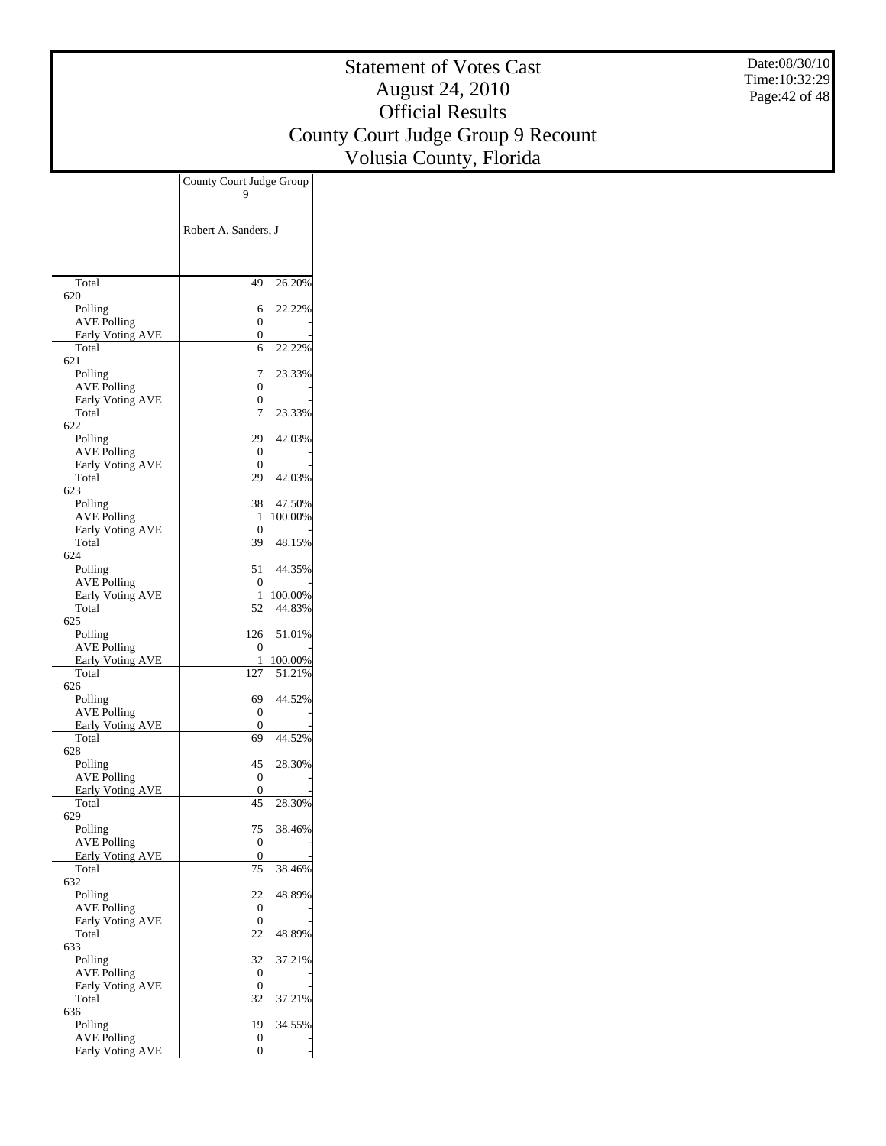Date:08/30/10 Time:10:32:29 Page:42 of 48

|                                               | County Court Judge Group     |  |
|-----------------------------------------------|------------------------------|--|
|                                               |                              |  |
|                                               |                              |  |
|                                               | Robert A. Sanders, J         |  |
|                                               |                              |  |
|                                               |                              |  |
| Total<br>620                                  | 49<br>26.20%                 |  |
| Polling                                       | 22.22%<br>6                  |  |
| <b>AVE Polling</b>                            | 0                            |  |
| Early Voting AVE<br>Total                     | 0<br>22.22%<br>6             |  |
| 621                                           |                              |  |
| Polling                                       | 23.33%<br>7                  |  |
| <b>AVE Polling</b><br><b>Early Voting AVE</b> | 0<br>0                       |  |
| Total                                         | 7<br>23.33%                  |  |
| 622                                           |                              |  |
| Polling<br><b>AVE Polling</b>                 | 29<br>42.03%<br>0            |  |
| Early Voting AVE                              | 0                            |  |
| Total                                         | 29<br>42.03%                 |  |
| 623<br>Polling                                | 47.50%<br>38                 |  |
| <b>AVE Polling</b>                            | 100.00%<br>1                 |  |
| <b>Early Voting AVE</b>                       | 0                            |  |
| Total<br>624                                  | 39<br>48.15%                 |  |
| Polling                                       | 51<br>44.35%                 |  |
| <b>AVE Polling</b>                            | 0                            |  |
| Early Voting AVE<br>Total                     | 100.00%<br>1<br>44.83%<br>52 |  |
| 625                                           |                              |  |
| Polling                                       | 126<br>51.01%                |  |
| <b>AVE Polling</b><br><b>Early Voting AVE</b> | 0<br>100.00%<br>1            |  |
| Total                                         | 51.21%<br>127                |  |
| 626                                           |                              |  |
| Polling<br><b>AVE Polling</b>                 | 44.52%<br>69<br>0            |  |
| Early Voting AVE                              | 0                            |  |
| Total                                         | 44.52%<br>69                 |  |
| 628<br>Polling                                | 45<br>28.30%                 |  |
| <b>AVE Polling</b>                            | 0                            |  |
| <b>Early Voting AVE</b>                       | 0                            |  |
| Total<br>629                                  | 28.30%<br>45                 |  |
| Polling                                       | 38.46%<br>75                 |  |
| <b>AVE Polling</b>                            | 0                            |  |
| <b>Early Voting AVE</b><br>Total              | 0<br>75<br>38.46%            |  |
| 632                                           |                              |  |
| Polling                                       | 48.89%<br>22                 |  |
| <b>AVE Polling</b><br><b>Early Voting AVE</b> | 0<br>0                       |  |
| Total                                         | 48.89%<br>22                 |  |
| 633                                           |                              |  |
| Polling<br><b>AVE Polling</b>                 | 37.21%<br>32<br>0            |  |
| <b>Early Voting AVE</b>                       | 0                            |  |
| Total                                         | 37.21%<br>32                 |  |
| 636<br>Polling                                | 34.55%<br>19                 |  |
| <b>AVE Polling</b>                            | 0                            |  |
| Early Voting AVE                              | 0                            |  |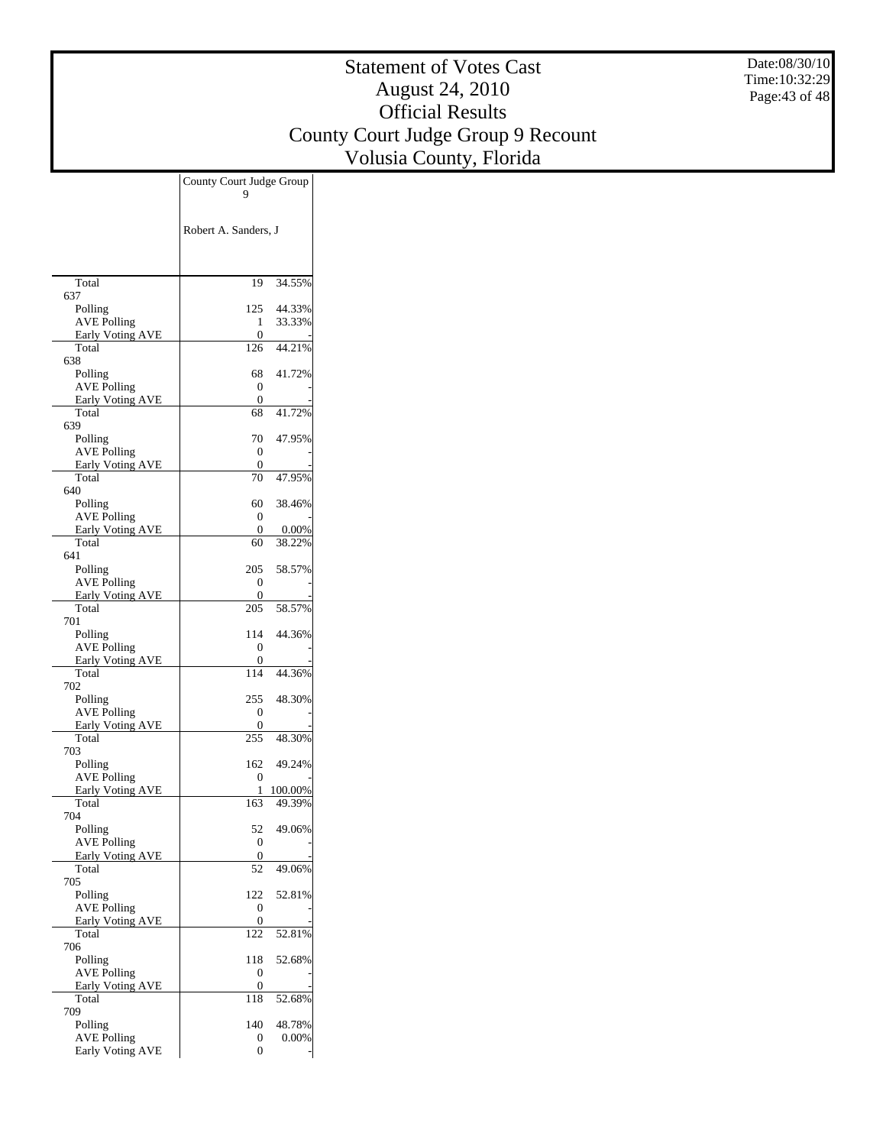Date:08/30/10 Time:10:32:29 Page:43 of 48

|                                               | County Court Judge Group |                   |
|-----------------------------------------------|--------------------------|-------------------|
|                                               |                          |                   |
|                                               |                          |                   |
|                                               | Robert A. Sanders, J     |                   |
|                                               |                          |                   |
|                                               |                          |                   |
| Total<br>637                                  | 19                       | 34.55%            |
| Polling                                       | 125                      | 44.33%            |
| <b>AVE Polling</b>                            | 1                        | 33.33%            |
| <b>Early Voting AVE</b><br>Total              | 0<br>126                 | 44.21%            |
| 638                                           |                          |                   |
| Polling                                       | 68                       | 41.72%            |
| <b>AVE Polling</b><br>Early Voting AVE        | 0<br>0                   |                   |
| Total                                         | 68                       | 41.72%            |
| 639                                           |                          |                   |
| Polling<br><b>AVE Polling</b>                 | 70<br>0                  | 47.95%            |
| <b>Early Voting AVE</b>                       | 0                        |                   |
| Total                                         | 70                       | 47.95%            |
| 640<br>Polling                                | 60                       | 38.46%            |
| <b>AVE Polling</b>                            | 0                        |                   |
| Early Voting AVE                              | 0                        | 0.00%             |
| Total<br>641                                  | 60                       | 38.22%            |
| Polling                                       | 205                      | 58.57%            |
| <b>AVE Polling</b>                            | 0                        |                   |
| Early Voting AVE<br>Total                     | 0<br>205                 | 58.57%            |
| 701                                           |                          |                   |
| Polling                                       | 114                      | 44.36%            |
| <b>AVE Polling</b><br><b>Early Voting AVE</b> | 0<br>0                   |                   |
| Total                                         | 114                      | 44.36%            |
| 702                                           |                          |                   |
| Polling<br><b>AVE Polling</b>                 | 255<br>0                 | 48.30%            |
| <b>Early Voting AVE</b>                       | 0                        |                   |
| Total                                         | 255                      | 48.30%            |
| 703<br>Polling                                | 162                      | 49.24%            |
| <b>AVE Polling</b>                            | 0                        |                   |
| Early Voting AVE<br>Total                     | 1<br>163                 | 100.00%<br>49.39% |
| 704                                           |                          |                   |
| Polling                                       | 52                       | 49.06%            |
| <b>AVE Polling</b>                            | 0                        |                   |
| <b>Early Voting AVE</b><br>Total              | 0<br>52                  | 49.06%            |
| 705                                           |                          |                   |
| Polling<br><b>AVE Polling</b>                 | 122                      | 52.81%            |
| Early Voting AVE                              | 0<br>0                   |                   |
| Total                                         | 122                      | 52.81%            |
| 706<br>Polling                                | 118                      | 52.68%            |
| <b>AVE Polling</b>                            | 0                        |                   |
| Early Voting AVE                              | 0                        |                   |
| Total<br>709                                  | 118                      | 52.68%            |
| Polling                                       | 140                      | 48.78%            |
| <b>AVE Polling</b>                            | 0                        | 0.00%             |
| <b>Early Voting AVE</b>                       | 0                        |                   |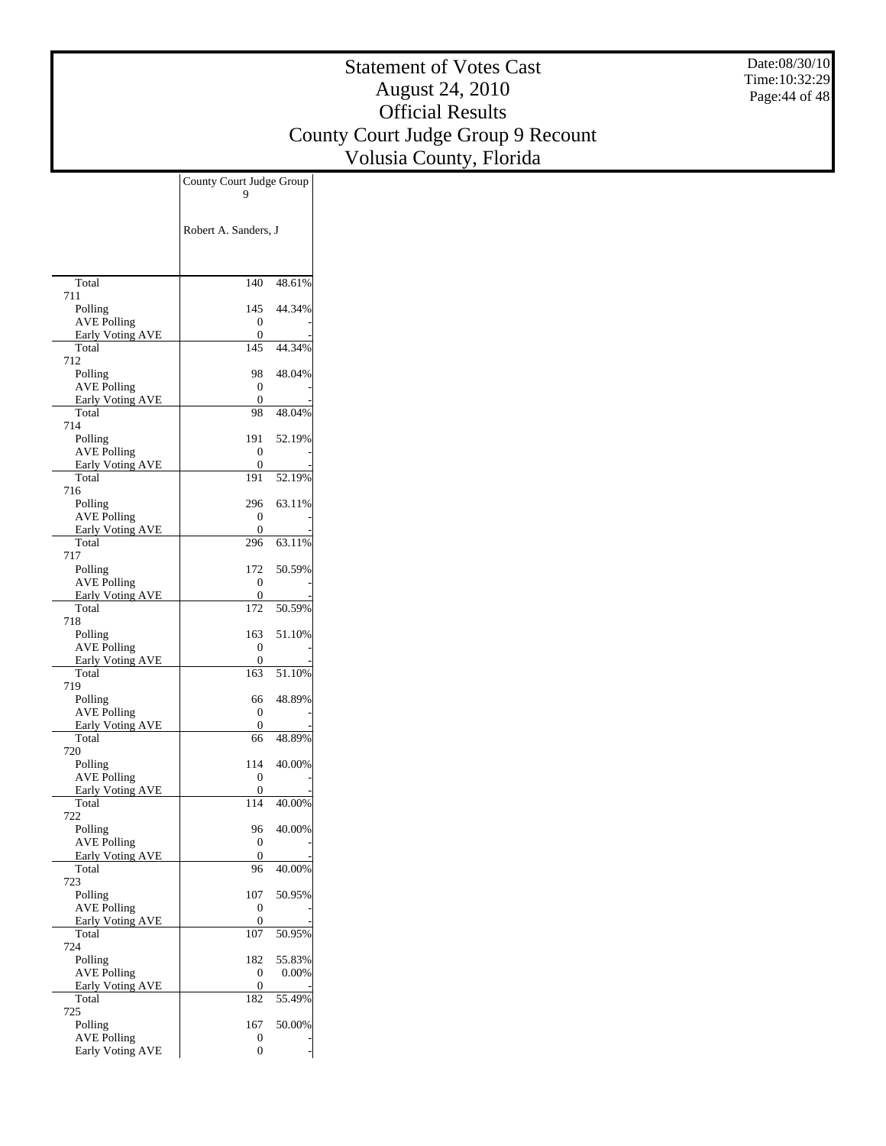Date:08/30/10 Time:10:32:29 Page:44 of 48

| Robert A. Sanders, J<br>Total<br>140<br>48.61%<br>711<br>145<br>44.34%<br>Polling<br><b>AVE Polling</b><br>0<br>Early Voting AVE<br>0<br>Total<br>145<br>44.34%<br>712<br>48.04%<br>Polling<br>98<br><b>AVE Polling</b><br>0<br><b>Early Voting AVE</b><br>0<br>Total<br>48.04%<br>98<br>714<br>52.19%<br>Polling<br>191<br><b>AVE Polling</b><br>0<br><b>Early Voting AVE</b><br>0<br>Total<br>191<br>52.19%<br>716<br>296<br>63.11%<br>Polling<br><b>AVE Polling</b><br>0<br><b>Early Voting AVE</b><br>0<br>Total<br>63.11%<br>296<br>717<br>50.59%<br>Polling<br>172<br><b>AVE Polling</b><br>0<br>Early Voting AVE<br>0<br>Total<br>172<br>50.59%<br>718<br>163<br>51.10%<br>Polling<br><b>AVE Polling</b><br>0<br><b>Early Voting AVE</b><br>0<br>Total<br>163<br>51.10%<br>719<br>48.89%<br>Polling<br>66<br><b>AVE Polling</b><br>0<br><b>Early Voting AVE</b><br>0<br>Total<br>66<br>48.89%<br>720<br>40.00%<br>Polling<br>114<br><b>AVE Polling</b><br>0<br><b>Early Voting AVE</b><br>0<br>Total<br>114<br>40.00%<br>722<br>Polling<br>96<br>40.00%<br><b>AVE Polling</b><br>0<br><b>Early Voting AVE</b><br>0<br>Total<br>96<br>40.00%<br>723<br>107<br>50.95%<br>Polling<br><b>AVE Polling</b><br>0<br><b>Early Voting AVE</b><br>0<br>Total<br>50.95%<br>107<br>724<br>Polling<br>182<br>55.83%<br><b>AVE Polling</b><br>0<br>$0.00\%$<br><b>Early Voting AVE</b><br>0<br>Total<br>55.49%<br>182<br>725<br>Polling<br>167<br>50.00%<br><b>AVE Polling</b><br>0<br>Early Voting AVE<br>0 | County Court Judge Group |  |
|-------------------------------------------------------------------------------------------------------------------------------------------------------------------------------------------------------------------------------------------------------------------------------------------------------------------------------------------------------------------------------------------------------------------------------------------------------------------------------------------------------------------------------------------------------------------------------------------------------------------------------------------------------------------------------------------------------------------------------------------------------------------------------------------------------------------------------------------------------------------------------------------------------------------------------------------------------------------------------------------------------------------------------------------------------------------------------------------------------------------------------------------------------------------------------------------------------------------------------------------------------------------------------------------------------------------------------------------------------------------------------------------------------------------------------------------------------------------------------------------------------|--------------------------|--|
|                                                                                                                                                                                                                                                                                                                                                                                                                                                                                                                                                                                                                                                                                                                                                                                                                                                                                                                                                                                                                                                                                                                                                                                                                                                                                                                                                                                                                                                                                                       |                          |  |
|                                                                                                                                                                                                                                                                                                                                                                                                                                                                                                                                                                                                                                                                                                                                                                                                                                                                                                                                                                                                                                                                                                                                                                                                                                                                                                                                                                                                                                                                                                       |                          |  |
|                                                                                                                                                                                                                                                                                                                                                                                                                                                                                                                                                                                                                                                                                                                                                                                                                                                                                                                                                                                                                                                                                                                                                                                                                                                                                                                                                                                                                                                                                                       |                          |  |
|                                                                                                                                                                                                                                                                                                                                                                                                                                                                                                                                                                                                                                                                                                                                                                                                                                                                                                                                                                                                                                                                                                                                                                                                                                                                                                                                                                                                                                                                                                       |                          |  |
|                                                                                                                                                                                                                                                                                                                                                                                                                                                                                                                                                                                                                                                                                                                                                                                                                                                                                                                                                                                                                                                                                                                                                                                                                                                                                                                                                                                                                                                                                                       |                          |  |
|                                                                                                                                                                                                                                                                                                                                                                                                                                                                                                                                                                                                                                                                                                                                                                                                                                                                                                                                                                                                                                                                                                                                                                                                                                                                                                                                                                                                                                                                                                       |                          |  |
|                                                                                                                                                                                                                                                                                                                                                                                                                                                                                                                                                                                                                                                                                                                                                                                                                                                                                                                                                                                                                                                                                                                                                                                                                                                                                                                                                                                                                                                                                                       |                          |  |
|                                                                                                                                                                                                                                                                                                                                                                                                                                                                                                                                                                                                                                                                                                                                                                                                                                                                                                                                                                                                                                                                                                                                                                                                                                                                                                                                                                                                                                                                                                       |                          |  |
|                                                                                                                                                                                                                                                                                                                                                                                                                                                                                                                                                                                                                                                                                                                                                                                                                                                                                                                                                                                                                                                                                                                                                                                                                                                                                                                                                                                                                                                                                                       |                          |  |
|                                                                                                                                                                                                                                                                                                                                                                                                                                                                                                                                                                                                                                                                                                                                                                                                                                                                                                                                                                                                                                                                                                                                                                                                                                                                                                                                                                                                                                                                                                       |                          |  |
|                                                                                                                                                                                                                                                                                                                                                                                                                                                                                                                                                                                                                                                                                                                                                                                                                                                                                                                                                                                                                                                                                                                                                                                                                                                                                                                                                                                                                                                                                                       |                          |  |
|                                                                                                                                                                                                                                                                                                                                                                                                                                                                                                                                                                                                                                                                                                                                                                                                                                                                                                                                                                                                                                                                                                                                                                                                                                                                                                                                                                                                                                                                                                       |                          |  |
|                                                                                                                                                                                                                                                                                                                                                                                                                                                                                                                                                                                                                                                                                                                                                                                                                                                                                                                                                                                                                                                                                                                                                                                                                                                                                                                                                                                                                                                                                                       |                          |  |
|                                                                                                                                                                                                                                                                                                                                                                                                                                                                                                                                                                                                                                                                                                                                                                                                                                                                                                                                                                                                                                                                                                                                                                                                                                                                                                                                                                                                                                                                                                       |                          |  |
|                                                                                                                                                                                                                                                                                                                                                                                                                                                                                                                                                                                                                                                                                                                                                                                                                                                                                                                                                                                                                                                                                                                                                                                                                                                                                                                                                                                                                                                                                                       |                          |  |
|                                                                                                                                                                                                                                                                                                                                                                                                                                                                                                                                                                                                                                                                                                                                                                                                                                                                                                                                                                                                                                                                                                                                                                                                                                                                                                                                                                                                                                                                                                       |                          |  |
|                                                                                                                                                                                                                                                                                                                                                                                                                                                                                                                                                                                                                                                                                                                                                                                                                                                                                                                                                                                                                                                                                                                                                                                                                                                                                                                                                                                                                                                                                                       |                          |  |
|                                                                                                                                                                                                                                                                                                                                                                                                                                                                                                                                                                                                                                                                                                                                                                                                                                                                                                                                                                                                                                                                                                                                                                                                                                                                                                                                                                                                                                                                                                       |                          |  |
|                                                                                                                                                                                                                                                                                                                                                                                                                                                                                                                                                                                                                                                                                                                                                                                                                                                                                                                                                                                                                                                                                                                                                                                                                                                                                                                                                                                                                                                                                                       |                          |  |
|                                                                                                                                                                                                                                                                                                                                                                                                                                                                                                                                                                                                                                                                                                                                                                                                                                                                                                                                                                                                                                                                                                                                                                                                                                                                                                                                                                                                                                                                                                       |                          |  |
|                                                                                                                                                                                                                                                                                                                                                                                                                                                                                                                                                                                                                                                                                                                                                                                                                                                                                                                                                                                                                                                                                                                                                                                                                                                                                                                                                                                                                                                                                                       |                          |  |
|                                                                                                                                                                                                                                                                                                                                                                                                                                                                                                                                                                                                                                                                                                                                                                                                                                                                                                                                                                                                                                                                                                                                                                                                                                                                                                                                                                                                                                                                                                       |                          |  |
|                                                                                                                                                                                                                                                                                                                                                                                                                                                                                                                                                                                                                                                                                                                                                                                                                                                                                                                                                                                                                                                                                                                                                                                                                                                                                                                                                                                                                                                                                                       |                          |  |
|                                                                                                                                                                                                                                                                                                                                                                                                                                                                                                                                                                                                                                                                                                                                                                                                                                                                                                                                                                                                                                                                                                                                                                                                                                                                                                                                                                                                                                                                                                       |                          |  |
|                                                                                                                                                                                                                                                                                                                                                                                                                                                                                                                                                                                                                                                                                                                                                                                                                                                                                                                                                                                                                                                                                                                                                                                                                                                                                                                                                                                                                                                                                                       |                          |  |
|                                                                                                                                                                                                                                                                                                                                                                                                                                                                                                                                                                                                                                                                                                                                                                                                                                                                                                                                                                                                                                                                                                                                                                                                                                                                                                                                                                                                                                                                                                       |                          |  |
|                                                                                                                                                                                                                                                                                                                                                                                                                                                                                                                                                                                                                                                                                                                                                                                                                                                                                                                                                                                                                                                                                                                                                                                                                                                                                                                                                                                                                                                                                                       |                          |  |
|                                                                                                                                                                                                                                                                                                                                                                                                                                                                                                                                                                                                                                                                                                                                                                                                                                                                                                                                                                                                                                                                                                                                                                                                                                                                                                                                                                                                                                                                                                       |                          |  |
|                                                                                                                                                                                                                                                                                                                                                                                                                                                                                                                                                                                                                                                                                                                                                                                                                                                                                                                                                                                                                                                                                                                                                                                                                                                                                                                                                                                                                                                                                                       |                          |  |
|                                                                                                                                                                                                                                                                                                                                                                                                                                                                                                                                                                                                                                                                                                                                                                                                                                                                                                                                                                                                                                                                                                                                                                                                                                                                                                                                                                                                                                                                                                       |                          |  |
|                                                                                                                                                                                                                                                                                                                                                                                                                                                                                                                                                                                                                                                                                                                                                                                                                                                                                                                                                                                                                                                                                                                                                                                                                                                                                                                                                                                                                                                                                                       |                          |  |
|                                                                                                                                                                                                                                                                                                                                                                                                                                                                                                                                                                                                                                                                                                                                                                                                                                                                                                                                                                                                                                                                                                                                                                                                                                                                                                                                                                                                                                                                                                       |                          |  |
|                                                                                                                                                                                                                                                                                                                                                                                                                                                                                                                                                                                                                                                                                                                                                                                                                                                                                                                                                                                                                                                                                                                                                                                                                                                                                                                                                                                                                                                                                                       |                          |  |
|                                                                                                                                                                                                                                                                                                                                                                                                                                                                                                                                                                                                                                                                                                                                                                                                                                                                                                                                                                                                                                                                                                                                                                                                                                                                                                                                                                                                                                                                                                       |                          |  |
|                                                                                                                                                                                                                                                                                                                                                                                                                                                                                                                                                                                                                                                                                                                                                                                                                                                                                                                                                                                                                                                                                                                                                                                                                                                                                                                                                                                                                                                                                                       |                          |  |
|                                                                                                                                                                                                                                                                                                                                                                                                                                                                                                                                                                                                                                                                                                                                                                                                                                                                                                                                                                                                                                                                                                                                                                                                                                                                                                                                                                                                                                                                                                       |                          |  |
|                                                                                                                                                                                                                                                                                                                                                                                                                                                                                                                                                                                                                                                                                                                                                                                                                                                                                                                                                                                                                                                                                                                                                                                                                                                                                                                                                                                                                                                                                                       |                          |  |
|                                                                                                                                                                                                                                                                                                                                                                                                                                                                                                                                                                                                                                                                                                                                                                                                                                                                                                                                                                                                                                                                                                                                                                                                                                                                                                                                                                                                                                                                                                       |                          |  |
|                                                                                                                                                                                                                                                                                                                                                                                                                                                                                                                                                                                                                                                                                                                                                                                                                                                                                                                                                                                                                                                                                                                                                                                                                                                                                                                                                                                                                                                                                                       |                          |  |
|                                                                                                                                                                                                                                                                                                                                                                                                                                                                                                                                                                                                                                                                                                                                                                                                                                                                                                                                                                                                                                                                                                                                                                                                                                                                                                                                                                                                                                                                                                       |                          |  |
|                                                                                                                                                                                                                                                                                                                                                                                                                                                                                                                                                                                                                                                                                                                                                                                                                                                                                                                                                                                                                                                                                                                                                                                                                                                                                                                                                                                                                                                                                                       |                          |  |
|                                                                                                                                                                                                                                                                                                                                                                                                                                                                                                                                                                                                                                                                                                                                                                                                                                                                                                                                                                                                                                                                                                                                                                                                                                                                                                                                                                                                                                                                                                       |                          |  |
|                                                                                                                                                                                                                                                                                                                                                                                                                                                                                                                                                                                                                                                                                                                                                                                                                                                                                                                                                                                                                                                                                                                                                                                                                                                                                                                                                                                                                                                                                                       |                          |  |
|                                                                                                                                                                                                                                                                                                                                                                                                                                                                                                                                                                                                                                                                                                                                                                                                                                                                                                                                                                                                                                                                                                                                                                                                                                                                                                                                                                                                                                                                                                       |                          |  |
|                                                                                                                                                                                                                                                                                                                                                                                                                                                                                                                                                                                                                                                                                                                                                                                                                                                                                                                                                                                                                                                                                                                                                                                                                                                                                                                                                                                                                                                                                                       |                          |  |
|                                                                                                                                                                                                                                                                                                                                                                                                                                                                                                                                                                                                                                                                                                                                                                                                                                                                                                                                                                                                                                                                                                                                                                                                                                                                                                                                                                                                                                                                                                       |                          |  |
|                                                                                                                                                                                                                                                                                                                                                                                                                                                                                                                                                                                                                                                                                                                                                                                                                                                                                                                                                                                                                                                                                                                                                                                                                                                                                                                                                                                                                                                                                                       |                          |  |
|                                                                                                                                                                                                                                                                                                                                                                                                                                                                                                                                                                                                                                                                                                                                                                                                                                                                                                                                                                                                                                                                                                                                                                                                                                                                                                                                                                                                                                                                                                       |                          |  |
|                                                                                                                                                                                                                                                                                                                                                                                                                                                                                                                                                                                                                                                                                                                                                                                                                                                                                                                                                                                                                                                                                                                                                                                                                                                                                                                                                                                                                                                                                                       |                          |  |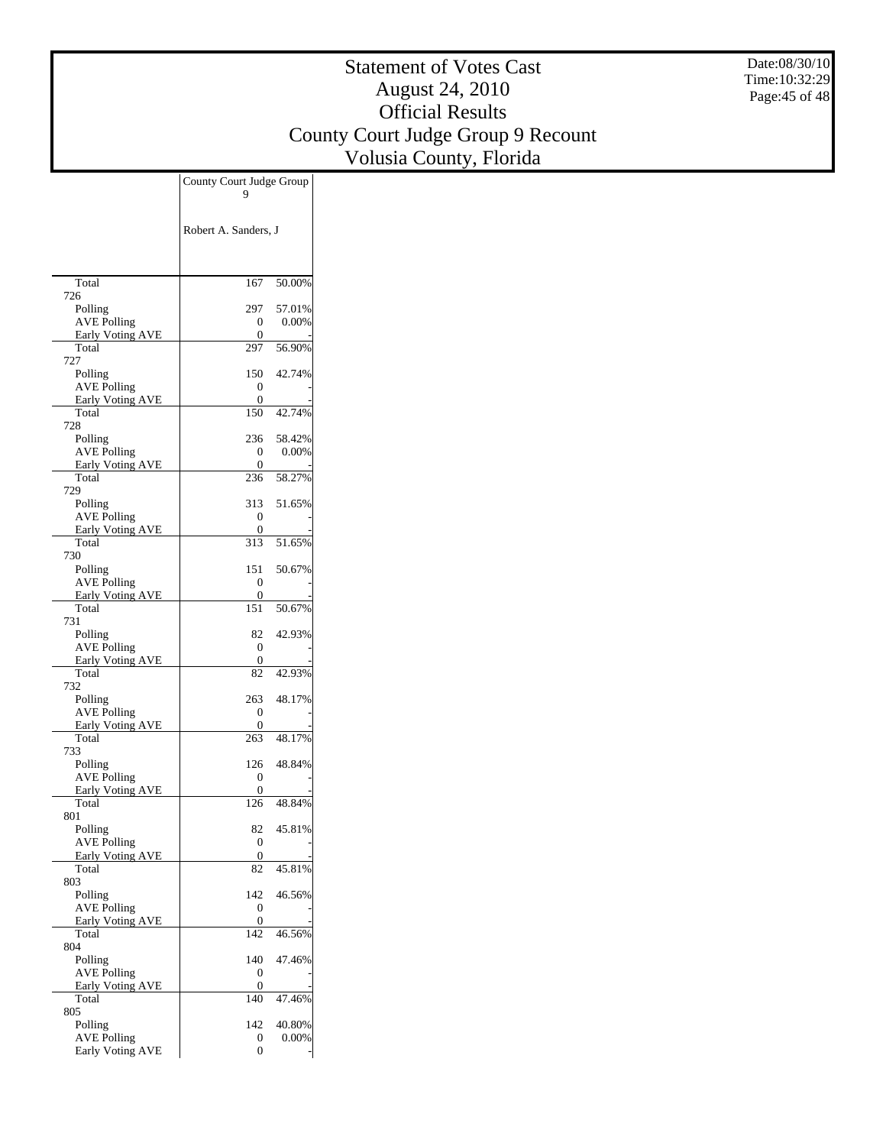Date:08/30/10 Time:10:32:29 Page:45 of 48

|                                               | County Court Judge Group<br>9 |  |
|-----------------------------------------------|-------------------------------|--|
|                                               |                               |  |
|                                               | Robert A. Sanders, J          |  |
|                                               |                               |  |
|                                               |                               |  |
| Total                                         | 167<br>50.00%                 |  |
| 726                                           |                               |  |
| Polling<br><b>AVE Polling</b>                 | 297<br>57.01%<br>0.00%        |  |
| <b>Early Voting AVE</b>                       | 0<br>0                        |  |
| Total                                         | 297<br>56.90%                 |  |
| 727<br>Polling                                | 150<br>42.74%                 |  |
| <b>AVE Polling</b>                            | 0                             |  |
| Early Voting AVE                              | 0                             |  |
| Total<br>728                                  | 42.74%<br>150                 |  |
| Polling                                       | 58.42%<br>236                 |  |
| <b>AVE Polling</b>                            | 0.00%<br>0                    |  |
| <b>Early Voting AVE</b><br>Total              | 0<br>58.27%<br>236            |  |
| 729                                           |                               |  |
| Polling                                       | 51.65%<br>313                 |  |
| <b>AVE Polling</b>                            | 0                             |  |
| <b>Early Voting AVE</b><br>Total              | 0<br>51.65%<br>313            |  |
| 730                                           |                               |  |
| Polling                                       | 151<br>50.67%                 |  |
| <b>AVE Polling</b><br><b>Early Voting AVE</b> | 0<br>0                        |  |
| Total                                         | 151<br>50.67%                 |  |
| 731                                           | 82<br>42.93%                  |  |
| Polling<br><b>AVE Polling</b>                 | 0                             |  |
| Early Voting AVE                              | 0                             |  |
| Total<br>732                                  | 42.93%<br>82                  |  |
| Polling                                       | 48.17%<br>263                 |  |
| <b>AVE Polling</b>                            | 0                             |  |
| <b>Early Voting AVE</b><br>Total              | 0<br>48.17%<br>263            |  |
| 733                                           |                               |  |
| Polling                                       | 48.84%<br>126                 |  |
| <b>AVE Polling</b><br><b>Early Voting AVE</b> | 0<br>0                        |  |
| Total                                         | 48.84%<br>126                 |  |
| 801                                           |                               |  |
| Polling<br><b>AVE Polling</b>                 | 82<br>45.81%<br>0             |  |
| Early Voting AVE                              | 0                             |  |
| Total                                         | 45.81%<br>82                  |  |
| 803<br>Polling                                | 142<br>46.56%                 |  |
| <b>AVE Polling</b>                            | 0                             |  |
| <b>Early Voting AVE</b>                       | 0                             |  |
| Total<br>804                                  | 46.56%<br>142                 |  |
| Polling                                       | 140<br>47.46%                 |  |
| <b>AVE Polling</b>                            | 0                             |  |
| <b>Early Voting AVE</b><br>Total              | 0<br>140<br>47.46%            |  |
| 805                                           |                               |  |
| Polling                                       | 142<br>40.80%                 |  |
| <b>AVE Polling</b><br>Early Voting AVE        | $0.00\%$<br>0<br>0            |  |
|                                               |                               |  |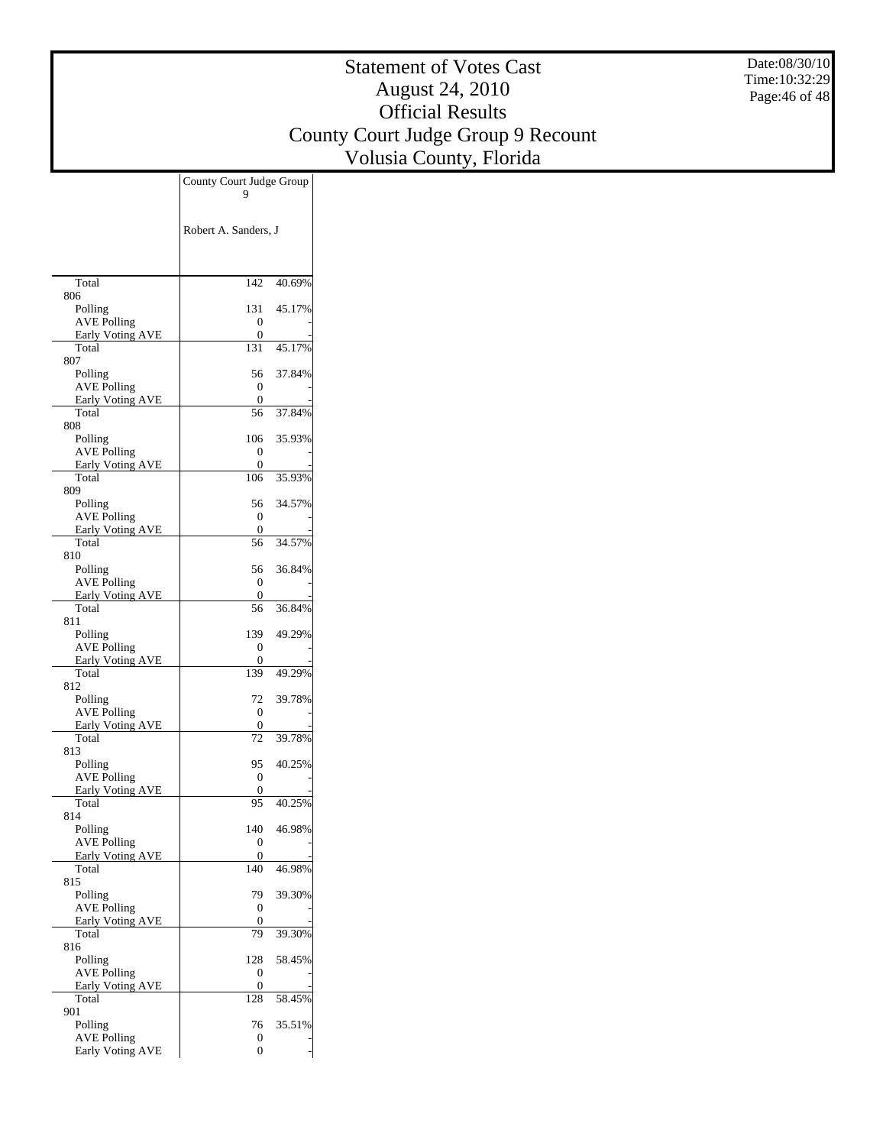Date:08/30/10 Time:10:32:29 Page:46 of 48

|                               | County Court Judge Group |        |
|-------------------------------|--------------------------|--------|
|                               |                          |        |
|                               |                          |        |
|                               | Robert A. Sanders, J     |        |
|                               |                          |        |
|                               |                          |        |
| Total                         | 142                      | 40.69% |
| 806                           |                          |        |
| Polling<br><b>AVE Polling</b> | 131<br>0                 | 45.17% |
| <b>Early Voting AVE</b>       | 0                        |        |
| Total                         | 131                      | 45.17% |
| 807<br>Polling                | 56                       | 37.84% |
| <b>AVE Polling</b>            | 0                        |        |
| Early Voting AVE              | 0                        |        |
| Total                         | 56                       | 37.84% |
| 808<br>Polling                | 106                      | 35.93% |
| <b>AVE Polling</b>            | 0                        |        |
| <b>Early Voting AVE</b>       | 0                        |        |
| Total                         | 106                      | 35.93% |
| 809<br>Polling                | 56                       | 34.57% |
| <b>AVE Polling</b>            | 0                        |        |
| <b>Early Voting AVE</b>       | 0                        |        |
| Total                         | 56                       | 34.57% |
| 810<br>Polling                | 56                       | 36.84% |
| <b>AVE Polling</b>            | 0                        |        |
| Early Voting AVE              | 0                        |        |
| Total                         | 56                       | 36.84% |
| 811<br>Polling                | 139                      | 49.29% |
| <b>AVE Polling</b>            | 0                        |        |
| <b>Early Voting AVE</b>       | 0                        |        |
| Total                         | 139                      | 49.29% |
| 812<br>Polling                | 72                       | 39.78% |
| <b>AVE Polling</b>            | 0                        |        |
| <b>Early Voting AVE</b>       | 0                        |        |
| Total                         | 72                       | 39.78% |
| 813<br>Polling                | 95                       | 40.25% |
| <b>AVE Polling</b>            | 0                        |        |
| Early Voting AVE              | 0                        |        |
| Total                         | 95                       | 40.25% |
| 814<br>Polling                | 140                      | 46.98% |
| <b>AVE Polling</b>            | 0                        |        |
| <b>Early Voting AVE</b>       | 0                        |        |
| Total                         | 140                      | 46.98% |
| 815<br>Polling                | 79                       | 39.30% |
| <b>AVE Polling</b>            | 0                        |        |
| Early Voting AVE              | 0                        |        |
| Total                         | 79                       | 39.30% |
| 816                           | 128                      | 58.45% |
| Polling<br><b>AVE Polling</b> | 0                        |        |
| <b>Early Voting AVE</b>       | 0                        |        |
| Total                         | 128                      | 58.45% |
| 901                           |                          |        |
| Polling<br><b>AVE Polling</b> | 76<br>0                  | 35.51% |
| Early Voting AVE              | 0                        |        |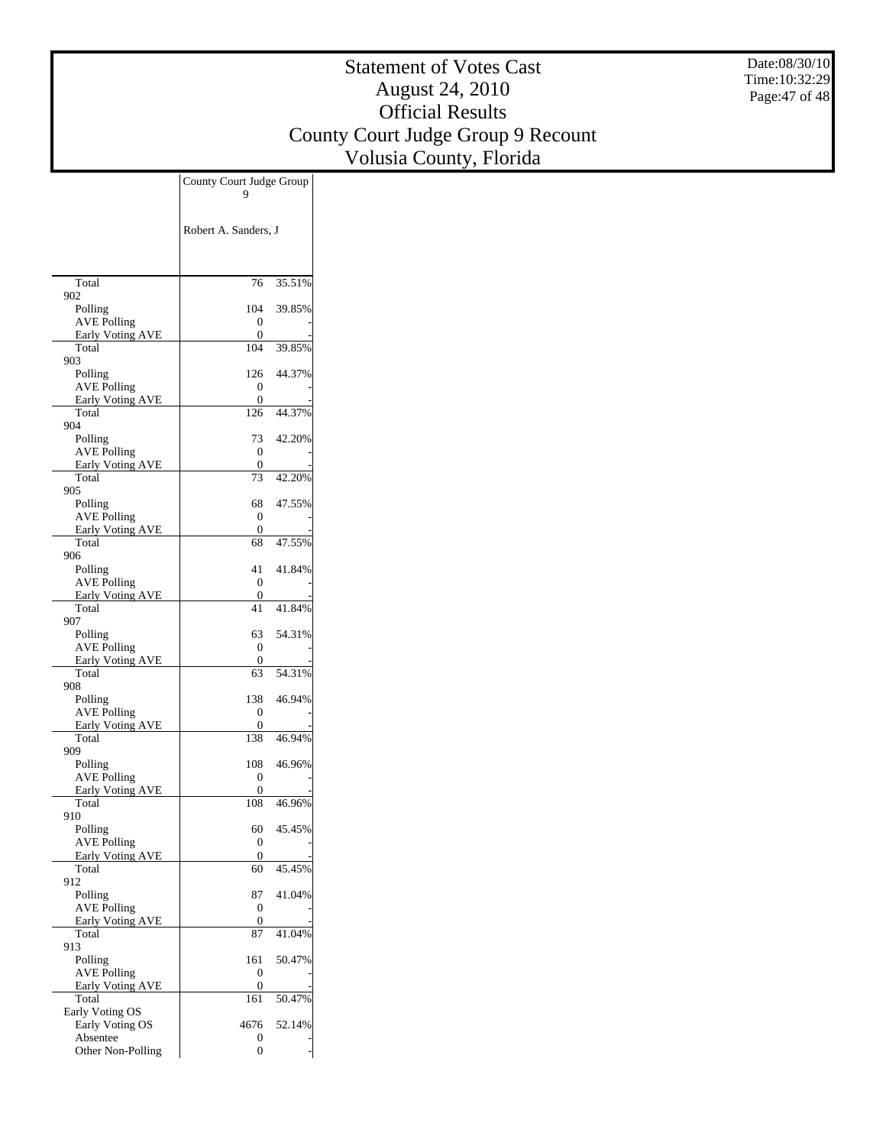Date:08/30/10 Time:10:32:29 Page:47 of 48

|                                               | County Court Judge Group |        |
|-----------------------------------------------|--------------------------|--------|
|                                               |                          |        |
|                                               |                          |        |
|                                               | Robert A. Sanders, J     |        |
|                                               |                          |        |
|                                               |                          |        |
| Total                                         | 76                       | 35.51% |
| 902                                           | 104                      | 39.85% |
| Polling<br><b>AVE Polling</b>                 | 0                        |        |
| Early Voting AVE                              | 0                        |        |
| Total                                         | 104                      | 39.85% |
| 903<br>Polling                                | 126                      | 44.37% |
| <b>AVE Polling</b>                            | 0                        |        |
| <b>Early Voting AVE</b>                       | 0                        |        |
| Total<br>904                                  | 126                      | 44.37% |
| Polling                                       | 73                       | 42.20% |
| <b>AVE Polling</b>                            | 0                        |        |
| <b>Early Voting AVE</b>                       | 0                        |        |
| Total<br>905                                  | 73                       | 42.20% |
| Polling                                       | 68                       | 47.55% |
| <b>AVE Polling</b>                            | 0                        |        |
| <b>Early Voting AVE</b>                       | 0                        |        |
| Total<br>906                                  | 68                       | 47.55% |
| Polling                                       | 41                       | 41.84% |
| <b>AVE Polling</b>                            | 0                        |        |
| Early Voting AVE<br>Total                     | 0<br>41                  | 41.84% |
| 907                                           |                          |        |
| Polling                                       | 63                       | 54.31% |
| <b>AVE Polling</b>                            | 0                        |        |
| <b>Early Voting AVE</b><br>Total              | 0<br>63                  | 54.31% |
| 908                                           |                          |        |
| Polling                                       | 138                      | 46.94% |
| <b>AVE Polling</b>                            | 0<br>0                   |        |
| Early Voting AVE<br>Total                     | 138                      | 46.94% |
| 909                                           |                          |        |
| Polling                                       | 108                      | 46.96% |
| <b>AVE Polling</b><br><b>Early Voting AVE</b> | 0<br>0                   |        |
| Total                                         | 108                      | 46.96% |
| 910                                           |                          |        |
| Polling                                       | 60                       | 45.45% |
| <b>AVE Polling</b><br><b>Early Voting AVE</b> | 0<br>0                   |        |
| Total                                         | 60                       | 45.45% |
| 912                                           |                          |        |
| Polling<br><b>AVE Polling</b>                 | 87<br>0                  | 41.04% |
| <b>Early Voting AVE</b>                       | 0                        |        |
| Total                                         | 87                       | 41.04% |
| 913                                           |                          |        |
| Polling<br><b>AVE Polling</b>                 | 161<br>0                 | 50.47% |
| Early Voting AVE                              | 0                        |        |
| Total                                         | 161                      | 50.47% |
| Early Voting OS                               |                          |        |
| Early Voting OS<br>Absentee                   | 4676<br>0                | 52.14% |
| Other Non-Polling                             | 0                        |        |
|                                               |                          |        |